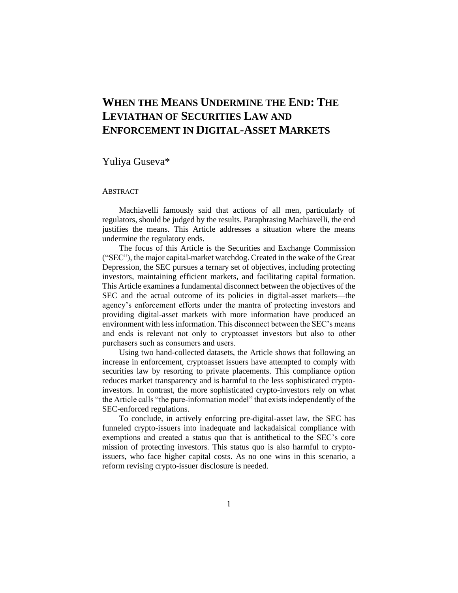# **WHEN THE MEANS UNDERMINE THE END: THE LEVIATHAN OF SECURITIES LAW AND ENFORCEMENT IN DIGITAL-ASSET MARKETS**

# Yuliya Guseva\*

#### ABSTRACT

Machiavelli famously said that actions of all men, particularly of regulators, should be judged by the results. Paraphrasing Machiavelli, the end justifies the means. This Article addresses a situation where the means undermine the regulatory ends.

The focus of this Article is the Securities and Exchange Commission ("SEC"), the major capital-market watchdog. Created in the wake of the Great Depression, the SEC pursues a ternary set of objectives, including protecting investors, maintaining efficient markets, and facilitating capital formation. This Article examines a fundamental disconnect between the objectives of the SEC and the actual outcome of its policies in digital-asset markets—the agency's enforcement efforts under the mantra of protecting investors and providing digital-asset markets with more information have produced an environment with less information. This disconnect between the SEC's means and ends is relevant not only to cryptoasset investors but also to other purchasers such as consumers and users.

Using two hand-collected datasets, the Article shows that following an increase in enforcement, cryptoasset issuers have attempted to comply with securities law by resorting to private placements. This compliance option reduces market transparency and is harmful to the less sophisticated cryptoinvestors. In contrast, the more sophisticated crypto-investors rely on what the Article calls "the pure-information model" that exists independently of the SEC-enforced regulations.

To conclude, in actively enforcing pre-digital-asset law, the SEC has funneled crypto-issuers into inadequate and lackadaisical compliance with exemptions and created a status quo that is antithetical to the SEC's core mission of protecting investors. This status quo is also harmful to cryptoissuers, who face higher capital costs. As no one wins in this scenario, a reform revising crypto-issuer disclosure is needed.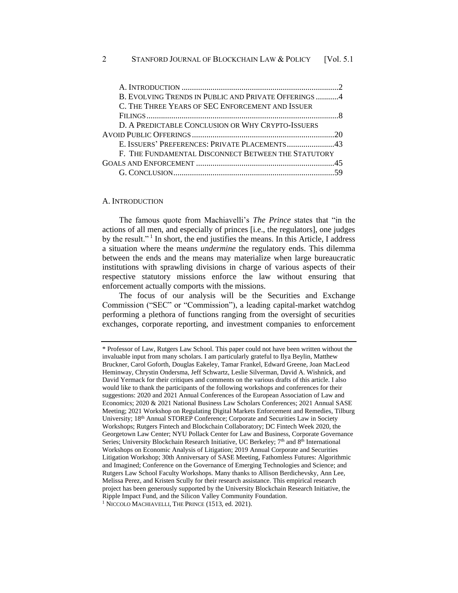| B. EVOLVING TRENDS IN PUBLIC AND PRIVATE OFFERINGS 4 |  |
|------------------------------------------------------|--|
| C. THE THREE YEARS OF SEC ENFORCEMENT AND ISSUER     |  |
|                                                      |  |
| D. A PREDICTABLE CONCLUSION OR WHY CRYPTO-ISSUERS    |  |
|                                                      |  |
| E. ISSUERS' PREFERENCES: PRIVATE PLACEMENTS43        |  |
| F. THE FUNDAMENTAL DISCONNECT BETWEEN THE STATUTORY  |  |
|                                                      |  |
|                                                      |  |

#### A. INTRODUCTION

The famous quote from Machiavelli's *The Prince* states that "in the actions of all men, and especially of princes [i.e., the regulators], one judges by the result."<sup>1</sup> In short, the end justifies the means. In this Article, I address a situation where the means *undermine* the regulatory ends. This dilemma between the ends and the means may materialize when large bureaucratic institutions with sprawling divisions in charge of various aspects of their respective statutory missions enforce the law without ensuring that enforcement actually comports with the missions.

The focus of our analysis will be the Securities and Exchange Commission ("SEC" or "Commission"), a leading capital-market watchdog performing a plethora of functions ranging from the oversight of securities exchanges, corporate reporting, and investment companies to enforcement

<sup>\*</sup> Professor of Law, Rutgers Law School. This paper could not have been written without the invaluable input from many scholars. I am particularly grateful to Ilya Beylin, Matthew Bruckner, Carol Goforth, Douglas Eakeley, Tamar Frankel, Edward Greene, Joan MacLeod Heminway, Chrystin Ondersma, Jeff Schwartz, Leslie Silverman, David A. Wishnick, and David Yermack for their critiques and comments on the various drafts of this article. I also would like to thank the participants of the following workshops and conferences for their suggestions: 2020 and 2021 Annual Conferences of the European Association of Law and Economics; 2020 & 2021 National Business Law Scholars Conferences; 2021 Annual SASE Meeting; 2021 Workshop on Regulating Digital Markets Enforcement and Remedies, Tilburg University; 18th Annual STOREP Conference; Corporate and Securities Law in Society Workshops; Rutgers Fintech and Blockchain Collaboratory; DC Fintech Week 2020, the Georgetown Law Center; NYU Pollack Center for Law and Business, Corporate Governance Series; University Blockchain Research Initiative, UC Berkeley; 7<sup>th</sup> and 8<sup>th</sup> International Workshops on Economic Analysis of Litigation; 2019 Annual Corporate and Securities Litigation Workshop; 30th Anniversary of SASE Meeting, Fathomless Futures: Algorithmic and Imagined; Conference on the Governance of Emerging Technologies and Science; and Rutgers Law School Faculty Workshops. Many thanks to Allison Berdichevsky, Ann Lee, Melissa Perez, and Kristen Scully for their research assistance. This empirical research project has been generously supported by the University Blockchain Research Initiative, the Ripple Impact Fund, and the Silicon Valley Community Foundation. <sup>1</sup> NICCOLO MACHIAVELLI, THE PRINCE (1513, ed. 2021).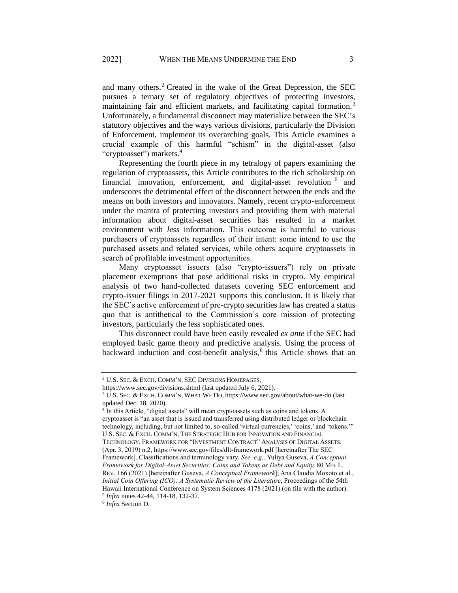and many others.<sup>2</sup> Created in the wake of the Great Depression, the SEC pursues a ternary set of regulatory objectives of protecting investors, maintaining fair and efficient markets, and facilitating capital formation.<sup>3</sup> Unfortunately, a fundamental disconnect may materialize between the SEC's statutory objectives and the ways various divisions, particularly the Division of Enforcement, implement its overarching goals. This Article examines a crucial example of this harmful "schism" in the digital-asset (also "cryptoasset") markets.<sup>4</sup>

<span id="page-2-0"></span>Representing the fourth piece in my tetralogy of papers examining the regulation of cryptoassets, this Article contributes to the rich scholarship on financial innovation, enforcement, and digital-asset revolution<sup>5</sup> and underscores the detrimental effect of the disconnect between the ends and the means on both investors and innovators. Namely, recent crypto-enforcement under the mantra of protecting investors and providing them with material information about digital-asset securities has resulted in a market environment with *less* information. This outcome is harmful to various purchasers of cryptoassets regardless of their intent: some intend to use the purchased assets and related services, while others acquire cryptoassets in search of profitable investment opportunities.

Many cryptoasset issuers (also "crypto-issuers") rely on private placement exemptions that pose additional risks in crypto. My empirical analysis of two hand-collected datasets covering SEC enforcement and crypto-issuer filings in 2017-2021 supports this conclusion. It is likely that the SEC's active enforcement of pre-crypto securities law has created a status quo that is antithetical to the Commission's core mission of protecting investors, particularly the less sophisticated ones.

This disconnect could have been easily revealed *ex ante* if the SEC had employed basic game theory and predictive analysis. Using the process of backward induction and cost-benefit analysis,<sup>6</sup> this Article shows that an

5 *Infra* notes 42-44, 114-18, 132-37. 6 *Infra* Section D.

<sup>2</sup> U.S. SEC. & EXCH. COMM'N, SEC DIVISIONS HOMEPAGES,

https://www.sec.gov/divisions.shtml (last updated July 6, 2021).

<sup>3</sup> U.S. SEC. & EXCH. COMM'N, WHAT WE DO, https://www.sec.gov/about/what-we-do (last updated Dec. 18, 2020).

<sup>&</sup>lt;sup>4</sup> In this Article, "digital assets" will mean cryptoassets such as coins and tokens. A cryptoasset is "an asset that is issued and transferred using distributed ledger or blockchain technology, including, but not limited to, so-called 'virtual currencies,' 'coins,' and 'tokens."" U.S. SEC. & EXCH. COMM'N, THE STRATEGIC HUB FOR INNOVATION AND FINANCIAL TECHNOLOGY, FRAMEWORK FOR "INVESTMENT CONTRACT" ANALYSIS OF DIGITAL ASSETS. (Apr. 3, 2019) n.2, https://www.sec.gov/files/dlt-framework.pdf [hereinafter The SEC Framework]. Classifications and terminology vary. *See, e.g.,* Yuliya Guseva, *A Conceptual Framework for Digital-Asset Securities: Coins and Tokens as Debt and Equity,* 80 MD. L. REV. 166 (2021) [hereinafter Guseva, *A Conceptual Framework*]; Ana Claudia Moxoto et al., *Initial Coin Offering (ICO): A Systematic Review of the Literature*, Proceedings of the 54th Hawaii International Conference on System Sciences 4178 (2021) (on file with the author).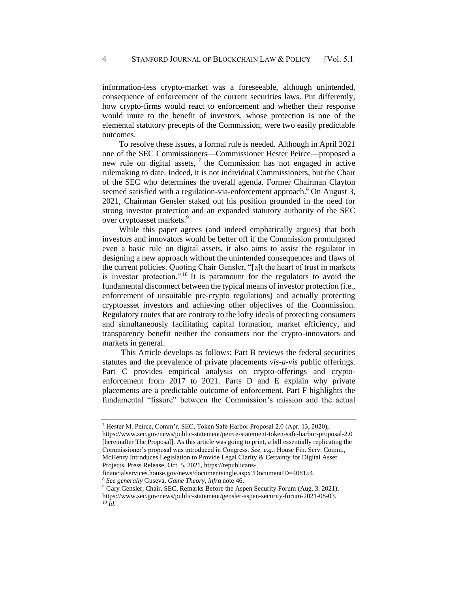information-less crypto-market was a foreseeable, although unintended, consequence of enforcement of the current securities laws. Put differently, how crypto-firms would react to enforcement and whether their response would inure to the benefit of investors, whose protection is one of the elemental statutory precepts of the Commission, were two easily predictable outcomes.

<span id="page-3-0"></span>To resolve these issues, a formal rule is needed. Although in April 2021 one of the SEC Commissioners—Commissioner Hester Peirce—proposed a new rule on digital assets,  $7$  the Commission has not engaged in active rulemaking to date. Indeed, it is not individual Commissioners, but the Chair of the SEC who determines the overall agenda. Former Chairman Clayton seemed satisfied with a regulation-via-enforcement approach.<sup>8</sup> On August 3, 2021, Chairman Gensler staked out his position grounded in the need for strong investor protection and an expanded statutory authority of the SEC over cryptoasset markets.<sup>9</sup>

While this paper agrees (and indeed emphatically argues) that both investors and innovators would be better off if the Commission promulgated even a basic rule on digital assets, it also aims to assist the regulator in designing a new approach without the unintended consequences and flaws of the current policies. Quoting Chair Gensler, "[a]t the heart of trust in markets is investor protection."<sup>10</sup> It is paramount for the regulators to avoid the fundamental disconnect between the typical means of investor protection (i.e., enforcement of unsuitable pre-crypto regulations) and actually protecting cryptoasset investors and achieving other objectives of the Commission. Regulatory routes that are contrary to the lofty ideals of protecting consumers and simultaneously facilitating capital formation, market efficiency, and transparency benefit neither the consumers nor the crypto-innovators and markets in general.

This Article develops as follows: Part B reviews the federal securities statutes and the prevalence of private placements *vis-a-vis* public offerings. Part C provides empirical analysis on crypto-offerings and cryptoenforcement from 2017 to 2021. Parts D and E explain why private placements are a predictable outcome of enforcement. Part F highlights the fundamental "fissure" between the Commission's mission and the actual

<sup>7</sup> Hester M. Peirce, Comm'r, SEC, Token Safe Harbor Proposal 2.0 (Apr. 13, 2020),

https://www.sec.gov/news/public-statement/peirce-statement-token-safe-harbor-proposal-2.0 [hereinafter The Proposal]. As this article was going to print, a bill essentially replicating the Commissioner's proposal was introduced in Congress. *See, e.g.,* House Fin. Serv. Comm., McHenry Introduces Legislation to Provide Legal Clarity & Certainty for Digital Asset Projects, Press Release, Oct. 5, 2021, https://republicans-

financialservices.house.gov/news/documentsingle.aspx?DocumentID=408154. <sup>8</sup> *See generally* Guseva, *Game Theory*, *infra* not[e 46.](#page-8-0) 

<sup>9</sup> Gary Gensler, Chair, SEC, Remarks Before the Aspen Security Forum (Aug. 3, 2021), https://www.sec.gov/news/public-statement/gensler-aspen-security-forum-2021-08-03. <sup>10</sup> *Id.*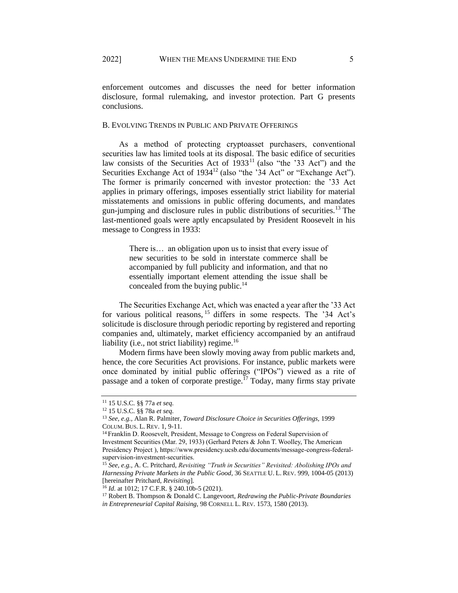enforcement outcomes and discusses the need for better information disclosure, formal rulemaking, and investor protection. Part G presents conclusions.

#### B. EVOLVING TRENDS IN PUBLIC AND PRIVATE OFFERINGS

As a method of protecting cryptoasset purchasers, conventional securities law has limited tools at its disposal. The basic edifice of securities law consists of the Securities Act of  $1933<sup>11</sup>$  (also "the '33 Act") and the Securities Exchange Act of 1934<sup>12</sup> (also "the '34 Act" or "Exchange Act"). The former is primarily concerned with investor protection: the '33 Act applies in primary offerings, imposes essentially strict liability for material misstatements and omissions in public offering documents, and mandates gun-jumping and disclosure rules in public distributions of securities.<sup>13</sup> The last-mentioned goals were aptly encapsulated by President Roosevelt in his message to Congress in 1933:

> <span id="page-4-2"></span><span id="page-4-1"></span>There is… an obligation upon us to insist that every issue of new securities to be sold in interstate commerce shall be accompanied by full publicity and information, and that no essentially important element attending the issue shall be concealed from the buying public. $^{14}$

The Securities Exchange Act, which was enacted a year after the '33 Act for various political reasons,  $15$  differs in some respects. The '34 Act's solicitude is disclosure through periodic reporting by registered and reporting companies and, ultimately, market efficiency accompanied by an antifraud liability (i.e., not strict liability) regime. $16$ 

Modern firms have been slowly moving away from public markets and, hence, the core Securities Act provisions. For instance, public markets were once dominated by initial public offerings ("IPOs") viewed as a rite of passage and a token of corporate prestige.<sup>17</sup> Today, many firms stay private

<span id="page-4-0"></span><sup>11</sup> 15 U.S.C. §§ 77a *et seq*.

<sup>12</sup> 15 U.S.C. §§ 78a *et seq*.

<sup>13</sup> *See, e.g.,* Alan R. Palmiter, *Toward Disclosure Choice in Securities Offerings,* 1999 COLUM. BUS. L. REV. 1, 9-11.

<sup>&</sup>lt;sup>14</sup> Franklin D. Roosevelt, President, Message to Congress on Federal Supervision of Investment Securities (Mar. 29, 1933) (Gerhard Peters & John T. Woolley, The American Presidency Project ), [https://www.presidency.ucsb.edu/documents/message-congress-federal](https://www.presidency.ucsb.edu/documents/message-congress-federal-supervision-investment-securities)[supervision-investment-securities.](https://www.presidency.ucsb.edu/documents/message-congress-federal-supervision-investment-securities)

<sup>15</sup> *See, e.g.,* A. C. Pritchard, *Revisiting "Truth in Securities" Revisited: Abolishing IPOs and Harnessing Private Markets in the Public Good*, 36 SEATTLE U. L. REV. 999, 1004-05 (2013) [hereinafter Pritchard, *Revisiting*].

<sup>16</sup> *Id.* at 1012; 17 C.F.R. § 240.10b-5 (2021).

<sup>17</sup> Robert B. Thompson & Donald C. Langevoort, *Redrawing the Public-Private Boundaries in Entrepreneurial Capital Raising,* 98 CORNELL L. REV. 1573, 1580 (2013).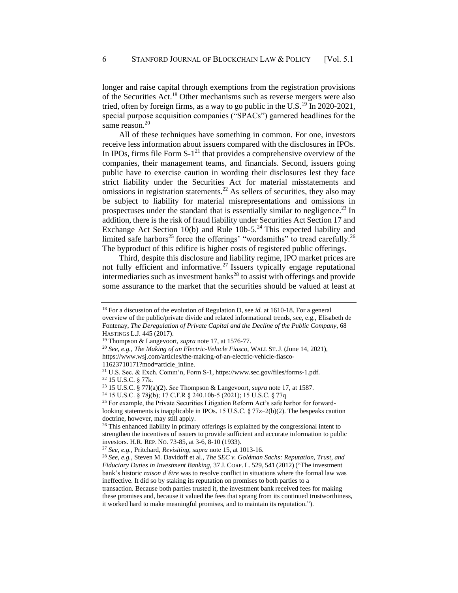<span id="page-5-1"></span>longer and raise capital through exemptions from the registration provisions of the Securities Act.<sup>18</sup> Other mechanisms such as reverse mergers were also tried, often by foreign firms, as a way to go public in the U.S.<sup>19</sup> In 2020-2021, special purpose acquisition companies ("SPACs") garnered headlines for the same reason.<sup>20</sup>

All of these techniques have something in common. For one, investors receive less information about issuers compared with the disclosures in IPOs. In IPOs, firms file Form  $S-1<sup>21</sup>$  that provides a comprehensive overview of the companies, their management teams, and financials. Second, issuers going public have to exercise caution in wording their disclosures lest they face strict liability under the Securities Act for material misstatements and omissions in registration statements.<sup>22</sup> As sellers of securities, they also may be subject to liability for material misrepresentations and omissions in prospectuses under the standard that is essentially similar to negligence.<sup>23</sup> In addition, there is the risk of fraud liability under Securities Act Section 17 and Exchange Act Section 10(b) and Rule  $10b-5$ .<sup>24</sup> This expected liability and limited safe harbors<sup>25</sup> force the offerings' "wordsmiths" to tread carefully.<sup>26</sup> The byproduct of this edifice is higher costs of registered public offerings.

<span id="page-5-0"></span>Third, despite this disclosure and liability regime, IPO market prices are not fully efficient and informative.<sup>27</sup> Issuers typically engage reputational intermediaries such as investment banks<sup>28</sup> to assist with offerings and provide some assurance to the market that the securities should be valued at least at

<sup>18</sup> For a discussion of the evolution of Regulation D, see *id.* at 1610-18. For a general overview of the public/private divide and related informational trends, see, e.g., Elisabeth de Fontenay, *The Deregulation of Private Capital and the Decline of the Public Company*, 68 HASTINGS L.J. 445 (2017).

<sup>19</sup> Thompson & Langevoort, *supra* not[e 17,](#page-4-0) at 1576-77.

<sup>20</sup> *See, e.g., The Making of an Electric-Vehicle Fiasco,* WALL ST. J. (June 14, 2021), https://www.wsj.com/articles/the-making-of-an-electric-vehicle-fiasco-11623710171?mod=article\_inline.

<sup>21</sup> U.S. Sec. & Exch. Comm'n, Form S-1, https://www.sec.gov/files/forms-1.pdf.

<sup>22</sup> 15 U.S.C. § 77k.

<sup>23</sup> 15 U.S.C. § 77l(a)(2). *See* Thompson & Langevoort, *supra* not[e 17,](#page-4-0) at 1587.

<sup>24</sup> 15 U.S.C. § 78j(b); 17 C.F.R § 240.10b-5 (2021); 15 U.S.C. § 77q

<sup>&</sup>lt;sup>25</sup> For example, the Private Securities Litigation Reform Act's safe harbor for forwardlooking statements is inapplicable in IPOs. 15 U.S.C.  $\S 77z-2(b)(2)$ . The bespeaks caution doctrine, however, may still apply.

<sup>&</sup>lt;sup>26</sup> This enhanced liability in primary offerings is explained by the congressional intent to strengthen the incentives of issuers to provide sufficient and accurate information to public investors. H.R. REP. NO. 73-85, at 3-6, 8-10 (1933).

<sup>27</sup> *See, e.g.,* Pritchard, *Revisiting, supra* note [15,](#page-4-1) at 1013-16.

<sup>28</sup> *See, e.g.,* Steven M. Davidoff et al., *The SEC v. Goldman Sachs: Reputation, Trust, and Fiduciary Duties in Investment Banking,* 37 J. CORP. L. 529, 541 (2012) ("The investment bank's historic *raison d'être* was to resolve conflict in situations where the formal law was ineffective. It did so by staking its reputation on promises to both parties to a

transaction. Because both parties trusted it, the investment bank received fees for making these promises and, because it valued the fees that sprang from its continued trustworthiness, it worked hard to make meaningful promises, and to maintain its reputation.").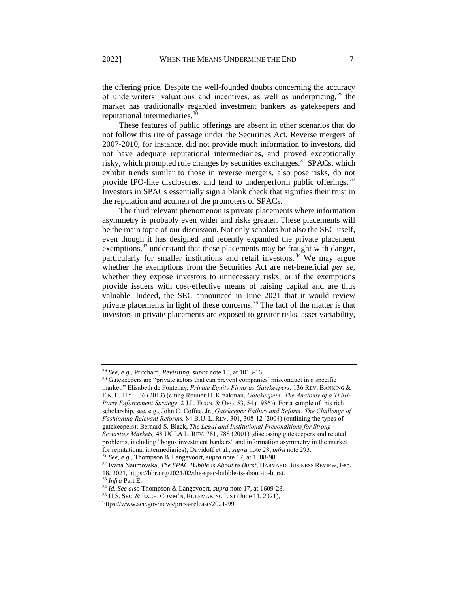the offering price. Despite the well-founded doubts concerning the accuracy of underwriters' valuations and incentives, as well as underpricing, <sup>29</sup> the market has traditionally regarded investment bankers as gatekeepers and reputational intermediaries.<sup>30</sup>

<span id="page-6-1"></span>These features of public offerings are absent in other scenarios that do not follow this rite of passage under the Securities Act. Reverse mergers of 2007-2010, for instance, did not provide much information to investors, did not have adequate reputational intermediaries, and proved exceptionally risky, which prompted rule changes by securities exchanges.<sup>31</sup> SPACs, which exhibit trends similar to those in reverse mergers, also pose risks, do not provide IPO-like disclosures, and tend to underperform public offerings.<sup>32</sup> Investors in SPACs essentially sign a blank check that signifies their trust in the reputation and acumen of the promoters of SPACs.

The third relevant phenomenon is private placements where information asymmetry is probably even wider and risks greater. These placements will be the main topic of our discussion. Not only scholars but also the SEC itself, even though it has designed and recently expanded the private placement exemptions,<sup>33</sup> understand that these placements may be fraught with danger, particularly for smaller institutions and retail investors.<sup>34</sup> We may argue whether the exemptions from the Securities Act are net-beneficial *per se*, whether they expose investors to unnecessary risks, or if the exemptions provide issuers with cost-effective means of raising capital and are thus valuable. Indeed, the SEC announced in June 2021 that it would review private placements in light of these concerns.<sup>35</sup> The fact of the matter is that investors in private placements are exposed to greater risks, asset variability,

<span id="page-6-0"></span><sup>29</sup> *See, e.g.,* Pritchard, *Revisiting, supra* note [15,](#page-4-1) at 1013-16.

<sup>&</sup>lt;sup>30</sup> Gatekeepers are "private actors that can prevent companies' misconduct in a specific market." Elisabeth de Fontenay, *Private Equity Firms as Gatekeepers*, 136 REV. BANKING & FIN. L. 115, 136 (2013) (citing Reinier H. Kraakman, *Gatekeepers: The Anatomy of a Third-Party Enforcement Strategy*, 2 J.L. ECON. & ORG. 53, 54 (1986)). For a sample of this rich scholarship, see, e.g., John C. Coffee, Jr., *Gatekeeper Failure and Reform: The Challenge of Fashioning Relevant Reforms,* 84 B.U. L. REV. 301, 308-12 (2004) (outlining the types of gatekeepers); Bernard S. Black, *The Legal and Institutional Preconditions for Strong Securities Markets,* 48 UCLA L. REV. 781, 788 (2001) (discussing gatekeepers and related problems, including "bogus investment bankers" and information asymmetry in the market for reputational intermediaries); Davidoff et al., *supra* note [28;](#page-5-0) *infra* note [293.](#page-52-0)

<sup>31</sup> *See, e.g.,* Thompson & Langevoort, *supra* note [17,](#page-4-0) at 1588-98.

<sup>32</sup> Ivana Naumovska, *The SPAC Bubble is About to Burst*, HARVARD BUSINESS REVIEW, Feb. 18, 2021, https://hbr.org/2021/02/the-spac-bubble-is-about-to-burst.

<sup>33</sup> *Infra* Part E.

<sup>34</sup> *Id*. *See also* Thompson & Langevoort, *supra* not[e 17,](#page-4-0) at 1609-23.

<sup>35</sup> U.S. SEC. & EXCH. COMM'N, RULEMAKING LIST (June 11, 2021),

https://www.sec.gov/news/press-release/2021-99.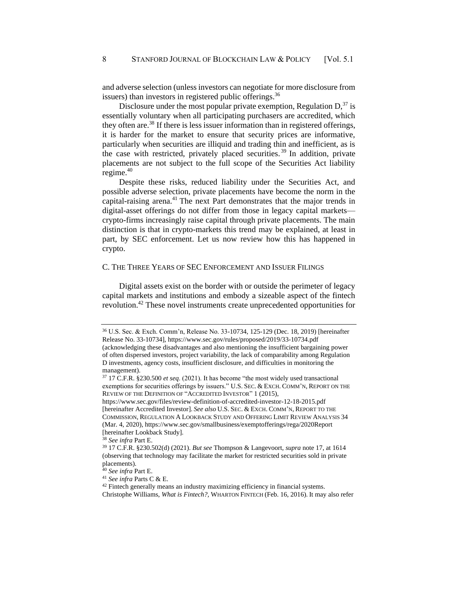<span id="page-7-2"></span>and adverse selection (unless investors can negotiate for more disclosure from issuers) than investors in registered public offerings.<sup>36</sup>

<span id="page-7-1"></span>Disclosure under the most popular private exemption, Regulation  $D<sub>1</sub><sup>37</sup>$  is essentially voluntary when all participating purchasers are accredited, which they often are.<sup>38</sup> If there is less issuer information than in registered offerings, it is harder for the market to ensure that security prices are informative, particularly when securities are illiquid and trading thin and inefficient, as is the case with restricted, privately placed securities.<sup>39</sup> In addition, private placements are not subject to the full scope of the Securities Act liability regime. $40$ 

Despite these risks, reduced liability under the Securities Act, and possible adverse selection, private placements have become the norm in the capital-raising arena.<sup>41</sup> The next Part demonstrates that the major trends in digital-asset offerings do not differ from those in legacy capital markets crypto-firms increasingly raise capital through private placements. The main distinction is that in crypto-markets this trend may be explained, at least in part, by SEC enforcement. Let us now review how this has happened in crypto.

## C. THE THREE YEARS OF SEC ENFORCEMENT AND ISSUER FILINGS

<span id="page-7-0"></span>Digital assets exist on the border with or outside the perimeter of legacy capital markets and institutions and embody a sizeable aspect of the fintech revolution.<sup>42</sup> These novel instruments create unprecedented opportunities for

<sup>36</sup> U.S. Sec. & Exch. Comm'n, Release No. 33-10734, 125-129 (Dec. 18, 2019) [hereinafter Release No. 33-10734], https://www.sec.gov/rules/proposed/2019/33-10734.pdf (acknowledging these disadvantages and also mentioning the insufficient bargaining power of often dispersed investors, project variability, the lack of comparability among Regulation D investments, agency costs, insufficient disclosure, and difficulties in monitoring the management).

<sup>37</sup> 17 C.F.R. §230.500 *et seq*. (2021). It has become "the most widely used transactional exemptions for securities offerings by issuers." U.S. SEC. & EXCH. COMM'N, REPORT ON THE REVIEW OF THE DEFINITION OF "ACCREDITED INVESTOR" 1 (2015),

https://www.sec.gov/files/review-definition-of-accredited-investor-12-18-2015.pdf [hereinafter Accredited Investor]. *See also* U.S. SEC. & EXCH. COMM'N, REPORT TO THE COMMISSION, REGULATION A LOOKBACK STUDY AND OFFERING LIMIT REVIEW ANALYSIS 34 (Mar. 4, 2020), https://www.sec.gov/smallbusiness/exemptofferings/rega/2020Report [hereinafter Lookback Study].

<sup>38</sup> *See infra* Part E.

<sup>39</sup> 17 C.F.R. §230.502(d) (2021). *But see* Thompson & Langevoort, *supra* not[e 17,](#page-4-0) at 1614 (observing that technology may facilitate the market for restricted securities sold in private placements).

<sup>40</sup> *See infra* Part E.

<sup>41</sup> *See infra* Parts C & E.

<sup>&</sup>lt;sup>42</sup> Fintech generally means an industry maximizing efficiency in financial systems.

Christophe Williams, *What is Fintech?,* WHARTON FINTECH (Feb. 16, 2016). It may also refer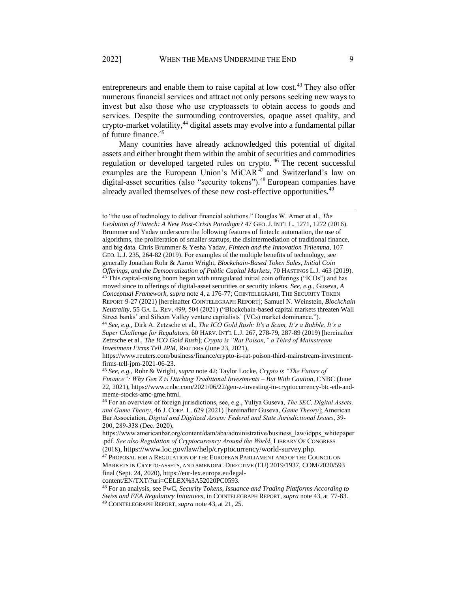<span id="page-8-1"></span>entrepreneurs and enable them to raise capital at low cost.<sup>43</sup> They also offer numerous financial services and attract not only persons seeking new ways to invest but also those who use cryptoassets to obtain access to goods and services. Despite the surrounding controversies, opaque asset quality, and crypto-market volatility,<sup>44</sup> digital assets may evolve into a fundamental pillar of future finance.<sup>45</sup>

<span id="page-8-2"></span><span id="page-8-0"></span>Many countries have already acknowledged this potential of digital assets and either brought them within the ambit of securities and commodities regulation or developed targeted rules on crypto. <sup>46</sup> The recent successful examples are the European Union's MiCAR<sup>47</sup> and Switzerland's law on digital-asset securities (also "security tokens").<sup>48</sup> European companies have already availed themselves of these new cost-effective opportunities.<sup>49</sup>

content/EN/TXT/?uri=CELEX%3A52020PC0593.

to "the use of technology to deliver financial solutions." Douglas W. Arner et al., *The Evolution of Fintech: A New Post-Crisis Paradigm?* 47 GEO. J. INT'L L. 1271, 1272 (2016). Brummer and Yadav underscore the following features of fintech: automation, the use of algorithms, the proliferation of smaller startups, the disintermediation of traditional finance, and big data. Chris Brummer & Yesha Yadav, *Fintech and the Innovation Trilemma*, 107 GEO. L.J. 235, 264-82 (2019). For examples of the multiple benefits of technology, see generally Jonathan Rohr & Aaron Wright, *Blockchain-Based Token Sales, Initial Coin Offerings, and the Democratization of Public Capital Markets,* 70 HASTINGS L.J. 463 (2019). <sup>43</sup> This capital-raising boom began with unregulated initial coin offerings ("ICOs") and has moved since to offerings of digital-asset securities or security tokens. *See, e.g.,* Guseva, *A Conceptual Framework, supra* not[e 4,](#page-2-0) a 176-77; COINTELEGRAPH, THE SECURITY TOKEN REPORT 9-27 (2021) [hereinafter COINTELEGRAPH REPORT]; Samuel N. Weinstein, *Blockchain Neutrality,* 55 GA. L. REV. 499, 504 (2021) ("Blockchain-based capital markets threaten Wall Street banks' and Silicon Valley venture capitalists' (VCs) market dominance."). <sup>44</sup> *See, e.g.,* Dirk A. Zetzsche et al., *The ICO Gold Rush: It's a Scam, It's a Bubble, It's a Super Challenge for Regulators*, 60 HARV. INT'L L.J. 267, 278-79, 287-89 (2019) [hereinafter Zetzsche et al., *The ICO Gold Rush*]; *Crypto is "Rat Poison," a Third of Mainstream* 

*Investment Firms Tell JPM,* REUTERS (June 23, 2021),

https://www.reuters.com/business/finance/crypto-is-rat-poison-third-mainstream-investmentfirms-tell-jpm-2021-06-23.

<sup>45</sup> *See, e.g.,* Rohr & Wright, *supra* not[e 42;](#page-7-0) Taylor Locke, *Crypto is "The Future of Finance": Why Gen Z is Ditching Traditional Investments – But With Caution,* CNBC (June 22, 2021), https://www.cnbc.com/2021/06/22/gen-z-investing-in-cryptocurrency-btc-eth-andmeme-stocks-amc-gme.html.

<sup>46</sup> For an overview of foreign jurisdictions, see, e.g., Yuliya Guseva, *The SEC, Digital Assets, and Game Theory*, 46 J. CORP. L. 629 (2021) [hereinafter Guseva, *Game Theory*]; American Bar Association, *Digital and Digitized Assets: Federal and State Jurisdictional Issues*, 39- 200, 289-338 (Dec. 2020),

https://www.americanbar.org/content/dam/aba/administrative/business\_law/idpps\_whitepaper .pdf. *See also Regulation of Cryptocurrency Around the World*, LIBRARY OF CONGRESS

<sup>(2018),</sup> https://www.loc.gov/law/help/cryptocurrency/world-survey.php.

 $^{47}$  PROPOSAL FOR A REGULATION OF THE EUROPEAN PARLIAMENT AND OF THE COUNCIL ON MARKETS IN CRYPTO-ASSETS, AND AMENDING DIRECTIVE (EU) 2019/1937, COM/2020/593 final (Sept. 24, 2020), https://eur-lex.europa.eu/legal-

<sup>48</sup> For an analysis, see PwC, *Security Tokens, Issuance and Trading Platforms According to Swiss and EEA Regulatory Initiatives*, in COINTELEGRAPH REPORT, *supra* not[e 43,](#page-8-1) at 77-83. <sup>49</sup> COINTELEGRAPH REPORT, *supra* not[e 43,](#page-8-1) at 21, 25.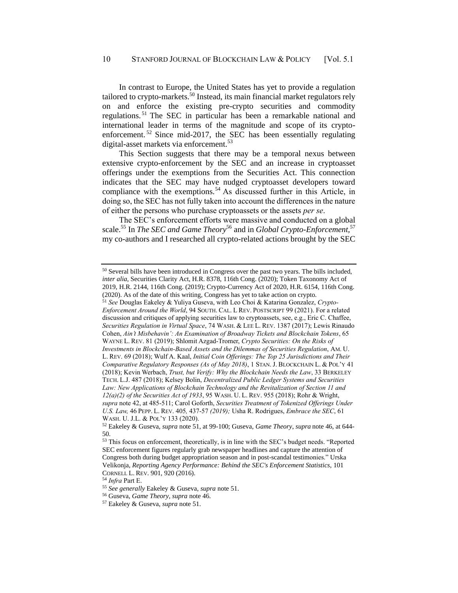<span id="page-9-0"></span>In contrast to Europe, the United States has yet to provide a regulation tailored to crypto-markets.<sup>50</sup> Instead, its main financial market regulators rely on and enforce the existing pre-crypto securities and commodity regulations. <sup>51</sup> The SEC in particular has been a remarkable national and international leader in terms of the magnitude and scope of its cryptoenforcement.<sup>52</sup> Since mid-2017, the SEC has been essentially regulating digital-asset markets via enforcement.<sup>53</sup>

This Section suggests that there may be a temporal nexus between extensive crypto-enforcement by the SEC and an increase in cryptoasset offerings under the exemptions from the Securities Act. This connection indicates that the SEC may have nudged cryptoasset developers toward compliance with the exemptions.<sup>54</sup> As discussed further in this Article, in doing so, the SEC has not fully taken into account the differences in the nature of either the persons who purchase cryptoassets or the assets *per se*.

The SEC's enforcement efforts were massive and conducted on a global scale.<sup>55</sup> In *The SEC and Game Theory*<sup>56</sup> and in *Global Crypto-Enforcement,*<sup>57</sup> my co-authors and I researched all crypto-related actions brought by the SEC

<sup>54</sup> *Infra* Part E.

<sup>&</sup>lt;sup>50</sup> Several bills have been introduced in Congress over the past two years. The bills included, *inter alia,* Securities Clarity Act, H.R. 8378, 116th Cong. (2020); Token Taxonomy Act of 2019, H.R. 2144, 116th Cong. (2019); Crypto-Currency Act of 2020, H.R. 6154, 116th Cong. (2020). As of the date of this writing, Congress has yet to take action on crypto.

<sup>51</sup> *See* Douglas Eakeley & Yuliya Guseva, with Leo Choi & Katarina Gonzalez, *Crypto-Enforcement Around the World*, 94 SOUTH. CAL. L REV. POSTSCRIPT 99 (2021). For a related discussion and critiques of applying securities law to cryptoassets, see, e.g., Eric C. Chaffee, *Securities Regulation in Virtual Space*, 74 WASH. & LEE L. REV. 1387 (2017); Lewis Rinaudo Cohen, *Ain't Misbehavin': An Examination of Broadway Tickets and Blockchain Tokens*, 65 WAYNE L. REV. 81 (2019); Shlomit Azgad-Tromer, *Crypto Securities: On the Risks of Investments in Blockchain-Based Assets and the Dilemmas of Securities Regulation*, AM. U. L. REV. 69 (2018); Wulf A. Kaal, *Initial Coin Offerings: The Top 25 Jurisdictions and Their Comparative Regulatory Responses (As of May 2018)*, 1 STAN. J. BLOCKCHAIN L. & POL'Y 41 (2018); Kevin Werbach, *Trust, but Verify: Why the Blockchain Needs the Law*, 33 BERKELEY TECH. L.J. 487 (2018); Kelsey Bolin, *Decentralized Public Ledger Systems and Securities Law: New Applications of Blockchain Technology and the Revitalization of Section 11 and 12(a)(2) of the Securities Act of 1933*, 95 WASH. U. L. REV. 955 (2018); Rohr & Wright, *supra* not[e 42,](#page-7-0) at 485-511; Carol Goforth, *Securities Treatment of Tokenized Offerings Under U.S. Law,* 46 PEPP. L. REV. 405*,* 437-57 *(2019);* Usha R. Rodrigues, *Embrace the SEC*, 61 WASH. U. J.L. & POL'Y 133 (2020).

<sup>52</sup> Eakeley & Guseva, *supra* not[e 51,](#page-9-0) at 99-100; Guseva, *Game Theory*, *supra* not[e 46,](#page-8-0) at 644- 50.

<sup>53</sup> This focus on enforcement, theoretically, is in line with the SEC's budget needs. "Reported SEC enforcement figures regularly grab newspaper headlines and capture the attention of Congress both during budget appropriation season and in post-scandal testimonies." Urska Velikonja, *Reporting Agency Performance: Behind the SEC's Enforcement Statistics*, 101 CORNELL L. REV. 901, 920 (2016).

<sup>55</sup> *See generally* Eakeley & Guseva, *supra* not[e 51.](#page-9-0)

<sup>56</sup> Guseva, *Game Theory, supra* note [46.](#page-8-0)

<sup>57</sup> Eakeley & Guseva, *supra* not[e 51.](#page-9-0)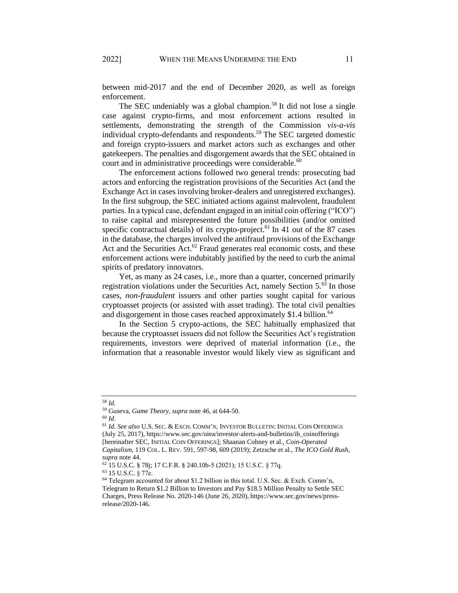between mid-2017 and the end of December 2020, as well as foreign enforcement.

The SEC undeniably was a global champion.<sup>58</sup> It did not lose a single case against crypto-firms, and most enforcement actions resulted in settlements, demonstrating the strength of the Commission *vis-a-vis* individual crypto-defendants and respondents.<sup>59</sup> The SEC targeted domestic and foreign crypto-issuers and market actors such as exchanges and other gatekeepers. The penalties and disgorgement awards that the SEC obtained in court and in administrative proceedings were considerable.<sup>60</sup>

The enforcement actions followed two general trends: prosecuting bad actors and enforcing the registration provisions of the Securities Act (and the Exchange Act in cases involving broker-dealers and unregistered exchanges). In the first subgroup, the SEC initiated actions against malevolent, fraudulent parties. In a typical case, defendant engaged in an initial coin offering ("ICO") to raise capital and misrepresented the future possibilities (and/or omitted specific contractual details) of its crypto-project.<sup>61</sup> In 41 out of the 87 cases in the database, the charges involved the antifraud provisions of the Exchange Act and the Securities Act.<sup>62</sup> Fraud generates real economic costs, and these enforcement actions were indubitably justified by the need to curb the animal spirits of predatory innovators.

<span id="page-10-0"></span>Yet, as many as 24 cases, i.e., more than a quarter, concerned primarily registration violations under the Securities Act, namely Section  $5<sup>63</sup>$  In those cases, *non-fraudulent* issuers and other parties sought capital for various cryptoasset projects (or assisted with asset trading). The total civil penalties and disgorgement in those cases reached approximately \$1.4 billion.<sup>64</sup>

In the Section 5 crypto-actions, the SEC habitually emphasized that because the cryptoasset issuers did not follow the Securities Act's registration requirements, investors were deprived of material information (i.e., the information that a reasonable investor would likely view as significant and

<sup>58</sup> *Id.*

<sup>59</sup> Guseva, *Game Theory, supra* note [46,](#page-8-0) at 644-50.

<sup>60</sup> *Id.*

<sup>61</sup> *Id. See also* U.S. SEC. & EXCH. COMM'N, INVESTOR BULLETIN: INITIAL COIN OFFERINGS (July 25, 2017), [https://www.sec.gov/oiea/investor-alerts-and-bulletins/ib\\_coinofferings](https://www.sec.gov/oiea/investor-alerts-and-bulletins/ib_coinofferings) [hereinafter SEC, INITIAL COIN OFFERINGS]; Shaanan Cohney et al., *Coin-Operated Capitalism*, 119 COL. L. REV. 591, 597-98, 609 (2019); Zetzsche et al., *The ICO Gold Rush, supra* not[e 44.](#page-8-2) 

<sup>62</sup> 15 U.S.C. § 78j; 17 C.F.R. § 240.10b-5 (2021); 15 U.S.C. § 77q.

<sup>63</sup> 15 U.S.C. § 77e.

<sup>64</sup> Telegram accounted for about \$1.2 billion in this total. U.S. Sec. & Exch. Comm'n, Telegram to Return \$1.2 Billion to Investors and Pay \$18.5 Million Penalty to Settle SEC Charges, Press Release No. 2020-146 (June 26, 2020), https://www.sec.gov/news/pressrelease/2020-146.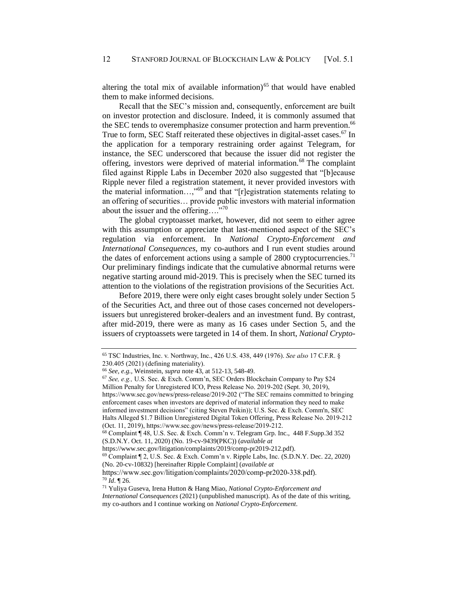altering the total mix of available information) $65$  that would have enabled them to make informed decisions.

Recall that the SEC's mission and, consequently, enforcement are built on investor protection and disclosure. Indeed, it is commonly assumed that the SEC tends to overemphasize consumer protection and harm prevention.<sup>66</sup> True to form, SEC Staff reiterated these objectives in digital-asset cases.<sup>67</sup> In the application for a temporary restraining order against Telegram, for instance, the SEC underscored that because the issuer did not register the offering, investors were deprived of material information.<sup>68</sup> The complaint filed against Ripple Labs in December 2020 also suggested that "[b]ecause Ripple never filed a registration statement, it never provided investors with the material information…,"<sup>69</sup> and that "[r]egistration statements relating to an offering of securities… provide public investors with material information about the issuer and the offering…."<sup>70</sup>

<span id="page-11-0"></span>The global cryptoasset market, however, did not seem to either agree with this assumption or appreciate that last-mentioned aspect of the SEC's regulation via enforcement. In *National Crypto-Enforcement and International Consequences*, my co-authors and I run event studies around the dates of enforcement actions using a sample of  $2800$  cryptocurrencies.<sup>71</sup> Our preliminary findings indicate that the cumulative abnormal returns were negative starting around mid-2019. This is precisely when the SEC turned its attention to the violations of the registration provisions of the Securities Act.

Before 2019, there were only eight cases brought solely under Section 5 of the Securities Act, and three out of those cases concerned not developersissuers but unregistered broker-dealers and an investment fund. By contrast, after mid-2019, there were as many as 16 cases under Section 5, and the issuers of cryptoassets were targeted in 14 of them. In short, *National Crypto-*

<sup>65</sup> TSC Industries, Inc. v. Northway, Inc., 426 U.S. 438, 449 (1976). *See also* 17 C.F.R. § 230.405 (2021) (defining materiality).

<sup>66</sup> *See, e.g.,* Weinstein, *supra* note [43,](#page-8-1) at 512-13, 548-49.

<sup>67</sup> *See, e.g.,* U.S. Sec. & Exch. Comm'n, SEC Orders Blockchain Company to Pay \$24 Million Penalty for Unregistered ICO, Press Release No. 2019-202 (Sept. 30, 2019), https://www.sec.gov/news/press-release/2019-202 ("The SEC remains committed to bringing enforcement cases when investors are deprived of material information they need to make informed investment decisions" (citing Steven Peikin)); U.S. Sec. & Exch. Comm'n, SEC Halts Alleged \$1.7 Billion Unregistered Digital Token Offering, Press Release No. 2019-212 (Oct. 11, 2019), https://www.sec.gov/news/press-release/2019-212.

<sup>68</sup> Complaint ¶ 48, U.S. Sec. & Exch. Comm'n v. Telegram Grp. Inc., 448 F.Supp.3d 352 (S.D.N.Y. Oct. 11, 2020) (No. 19-cv-9439(PKC)) (*available at*

https://www.sec.gov/litigation/complaints/2019/comp-pr2019-212.pdf).

 $69$  Complaint  $\P$  2, U.S. Sec. & Exch. Comm'n v. Ripple Labs, Inc. (S.D.N.Y. Dec. 22, 2020) (No. 20-cv-10832) [hereinafter Ripple Complaint] (*available at* 

https://www.sec.gov/litigation/complaints/2020/comp-pr2020-338.pdf). <sup>70</sup> *Id*. ¶ 26.

<sup>71</sup> Yuliya Guseva, Irena Hutton & Hang Miao, *National Crypto-Enforcement and International Consequences* (2021) (unpublished manuscript). As of the date of this writing, my co-authors and I continue working on *National Crypto-Enforcement*.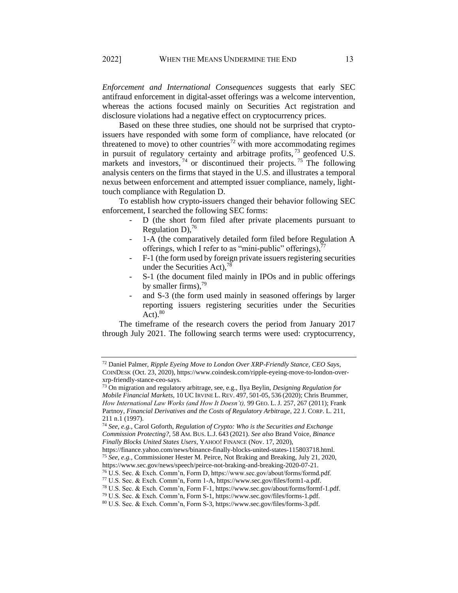*Enforcement and International Consequences* suggests that early SEC antifraud enforcement in digital-asset offerings was a welcome intervention, whereas the actions focused mainly on Securities Act registration and disclosure violations had a negative effect on cryptocurrency prices.

Based on these three studies, one should not be surprised that cryptoissuers have responded with some form of compliance, have relocated (or threatened to move) to other countries<sup>72</sup> with more accommodating regimes in pursuit of regulatory certainty and arbitrage profits,  $73$  geofenced U.S. markets and investors,  $^{74}$  or discontinued their projects. <sup>75</sup> The following analysis centers on the firms that stayed in the U.S. and illustrates a temporal nexus between enforcement and attempted issuer compliance, namely, lighttouch compliance with Regulation D.

To establish how crypto-issuers changed their behavior following SEC enforcement, I searched the following SEC forms:

- D (the short form filed after private placements pursuant to Regulation D),  $^{76}$
- 1-A (the comparatively detailed form filed before Regulation A offerings, which I refer to as "mini-public" offerings), $^{77}$
- F-1 (the form used by foreign private issuers registering securities under the Securities Act), $^{78}$
- S-1 (the document filed mainly in IPOs and in public offerings by smaller firms),  $\frac{79}{9}$
- and S-3 (the form used mainly in seasoned offerings by larger reporting issuers registering securities under the Securities Act). $80$

The timeframe of the research covers the period from January 2017 through July 2021. The following search terms were used: cryptocurrency,

<sup>72</sup> Daniel Palmer, *Ripple Eyeing Move to London Over XRP-Friendly Stance, CEO Says*, COINDESK (Oct. 23, 2020), https://www.coindesk.com/ripple-eyeing-move-to-london-overxrp-friendly-stance-ceo-says.

<sup>73</sup> On migration and regulatory arbitrage, see, e.g., Ilya Beylin, *Designing Regulation for Mobile Financial Markets,* 10 UC IRVINE L. REV. 497, 501-05, 536 (2020); Chris Brummer, *How International Law Works (and How It Doesn't),* 99 GEO. L. J. 257, 267 (2011); Frank Partnoy, *Financial Derivatives and the Costs of Regulatory Arbitrage*, 22 J. CORP. L. 211, 211 n.1 (1997).

<sup>74</sup> *See, e.g.,* Carol Goforth, *Regulation of Crypto: Who is the Securities and Exchange Commission Protecting?*, 58 AM. BUS. L.J. 643 (2021). *See also* Brand Voice, *Binance Finally Blocks United States Users*, YAHOO! FINANCE (Nov. 17, 2020),

https://finance.yahoo.com/news/binance-finally-blocks-united-states-115803718.html. <sup>75</sup> *See, e.g.,* Commissioner Hester M. Peirce, Not Braking and Breaking, July 21, 2020, https://www.sec.gov/news/speech/peirce-not-braking-and-breaking-2020-07-21.

<sup>76</sup> U.S. Sec. & Exch. Comm'n, Form D, https://www.sec.gov/about/forms/formd.pdf.

<sup>77</sup> U.S. Sec. & Exch. Comm'n, Form 1-A, https://www.sec.gov/files/form1-a.pdf.

<sup>78</sup> U.S. Sec. & Exch. Comm'n, Form F-1, https://www.sec.gov/about/forms/formf-1.pdf.

<sup>79</sup> U.S. Sec. & Exch. Comm'n, Form S-1, https://www.sec.gov/files/forms-1.pdf.

<sup>80</sup> U.S. Sec. & Exch. Comm'n, Form S-3, https://www.sec.gov/files/forms-3.pdf.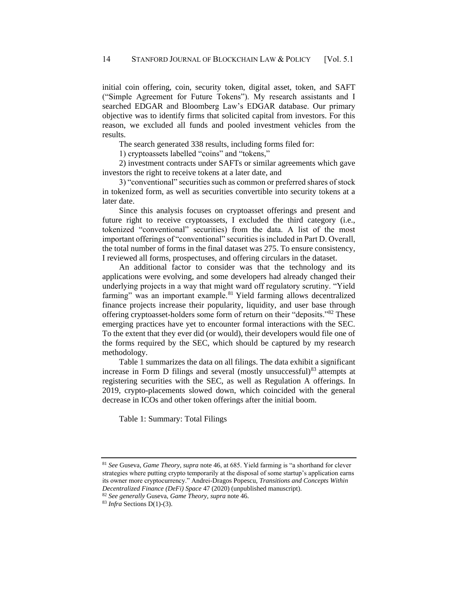initial coin offering, coin, security token, digital asset, token, and SAFT ("Simple Agreement for Future Tokens"). My research assistants and I searched EDGAR and Bloomberg Law's EDGAR database. Our primary objective was to identify firms that solicited capital from investors. For this reason, we excluded all funds and pooled investment vehicles from the results.

The search generated 338 results, including forms filed for:

1) cryptoassets labelled "coins" and "tokens,"

2) investment contracts under SAFTs or similar agreements which gave investors the right to receive tokens at a later date, and

3) "conventional" securities such as common or preferred shares of stock in tokenized form, as well as securities convertible into security tokens at a later date.

Since this analysis focuses on cryptoasset offerings and present and future right to receive cryptoassets, I excluded the third category (i.e., tokenized "conventional" securities) from the data. A list of the most important offerings of "conventional" securities is included in Part D. Overall, the total number of forms in the final dataset was 275. To ensure consistency, I reviewed all forms, prospectuses, and offering circulars in the dataset.

An additional factor to consider was that the technology and its applications were evolving, and some developers had already changed their underlying projects in a way that might ward off regulatory scrutiny. "Yield farming" was an important example.<sup>81</sup> Yield farming allows decentralized finance projects increase their popularity, liquidity, and user base through offering cryptoasset-holders some form of return on their "deposits."<sup>82</sup> These emerging practices have yet to encounter formal interactions with the SEC. To the extent that they ever did (or would), their developers would file one of the forms required by the SEC, which should be captured by my research methodology.

Table 1 summarizes the data on all filings. The data exhibit a significant increase in Form D filings and several (mostly unsuccessful) $83$  attempts at registering securities with the SEC, as well as Regulation A offerings. In 2019, crypto-placements slowed down, which coincided with the general decrease in ICOs and other token offerings after the initial boom.

Table 1: Summary: Total Filings

<sup>81</sup> *See* Guseva, *Game Theory, supra* not[e 46,](#page-8-0) at 685. Yield farming is "a shorthand for clever strategies where putting crypto temporarily at the disposal of some startup's application earns its owner more cryptocurrency." Andrei-Dragos Popescu, *Transitions and Concepts Within Decentralized Finance (DeFi) Space* 47 (2020) (unpublished manuscript).

<sup>82</sup> *See generally* Guseva, *Game Theory, supra* note [46.](#page-8-0)

<sup>83</sup> *Infra* Sections D(1)-(3).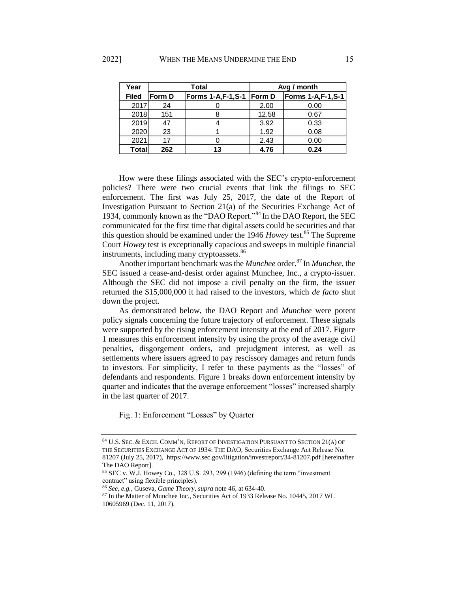| Year         |        | <b>Total</b>        |               | Avg / month              |
|--------------|--------|---------------------|---------------|--------------------------|
| <b>Filed</b> | Form D | Forms 1-A, F-1, S-1 | <b>Form D</b> | <b>Forms 1-A,F-1,S-1</b> |
| 2017         | 24     |                     | 2.00          | 0.00                     |
| 2018         | 151    |                     | 12.58         | 0.67                     |
| 2019         | 47     |                     | 3.92          | 0.33                     |
| 2020         | 23     |                     | 1.92          | 0.08                     |
| 2021         | 17     |                     | 2.43          | 0.00                     |
| <b>Total</b> | 262    | 13                  | 4.76          | 0.24                     |

How were these filings associated with the SEC's crypto-enforcement policies? There were two crucial events that link the filings to SEC enforcement. The first was July 25, 2017, the date of the Report of Investigation Pursuant to Section 21(a) of the Securities Exchange Act of 1934, commonly known as the "DAO Report."<sup>84</sup> In the DAO Report, the SEC communicated for the first time that digital assets could be securities and that this question should be examined under the 1946 *Howey* test.<sup>85</sup> The Supreme Court *Howey* test is exceptionally capacious and sweeps in multiple financial instruments, including many cryptoassets.<sup>86</sup>

Another important benchmark was the *Munchee* order.<sup>87</sup> In *Munchee,* the SEC issued a cease-and-desist order against Munchee, Inc., a crypto-issuer. Although the SEC did not impose a civil penalty on the firm, the issuer returned the \$15,000,000 it had raised to the investors, which *de facto* shut down the project.

As demonstrated below, the DAO Report and *Munchee* were potent policy signals concerning the future trajectory of enforcement. These signals were supported by the rising enforcement intensity at the end of 2017. Figure 1 measures this enforcement intensity by using the proxy of the average civil penalties, disgorgement orders, and prejudgment interest, as well as settlements where issuers agreed to pay rescissory damages and return funds to investors. For simplicity, I refer to these payments as the "losses" of defendants and respondents. Figure 1 breaks down enforcement intensity by quarter and indicates that the average enforcement "losses" increased sharply in the last quarter of 2017.

Fig. 1: Enforcement "Losses" by Quarter

<sup>84</sup> U.S. SEC. & EXCH. COMM'N, REPORT OF INVESTIGATION PURSUANT TO SECTION 21(A) OF THE SECURITIES EXCHANGE ACT OF 1934: THE DAO, Securities Exchange Act Release No. 81207 (July 25, 2017), https://www.sec.gov/litigation/investreport/34-81207.pdf [hereinafter The DAO Report].

 $85$  SEC v. W.J. Howey Co., 328 U.S. 293, 299 (1946) (defining the term "investment" contract" using flexible principles).

<sup>86</sup> *See, e.g.,* Guseva, *Game Theory, supra* not[e 46,](#page-8-0) at 634-40.

<sup>87</sup> In the Matter of Munchee Inc., Securities Act of 1933 Release No. 10445, 2017 WL

<sup>10605969 (</sup>Dec. 11, 2017).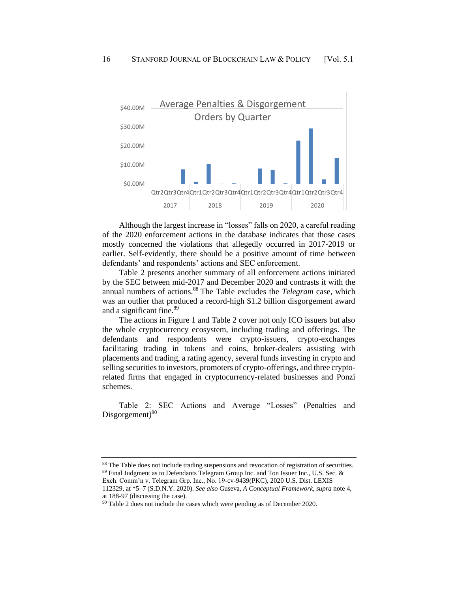

Although the largest increase in "losses" falls on 2020, a careful reading of the 2020 enforcement actions in the database indicates that those cases mostly concerned the violations that allegedly occurred in 2017-2019 or earlier. Self-evidently, there should be a positive amount of time between defendants' and respondents' actions and SEC enforcement.

Table 2 presents another summary of all enforcement actions initiated by the SEC between mid-2017 and December 2020 and contrasts it with the annual numbers of actions.<sup>88</sup> The Table excludes the *Telegram* case, which was an outlier that produced a record-high \$1.2 billion disgorgement award and a significant fine.<sup>89</sup>

The actions in Figure 1 and Table 2 cover not only ICO issuers but also the whole cryptocurrency ecosystem, including trading and offerings. The defendants and respondents were crypto-issuers, crypto-exchanges facilitating trading in tokens and coins, broker-dealers assisting with placements and trading, a rating agency, several funds investing in crypto and selling securities to investors, promoters of crypto-offerings, and three cryptorelated firms that engaged in cryptocurrency-related businesses and Ponzi schemes.

Table 2: SEC Actions and Average "Losses" (Penalties and Disgorgement) $90$ 

<sup>88</sup> The Table does not include trading suspensions and revocation of registration of securities. <sup>89</sup> Final Judgment as to Defendants Telegram Group Inc. and Ton Issuer Inc., U.S. Sec. & Exch. Comm'n v. Telegram Grp. Inc., No. 19-cv-9439(PKC), 2020 U.S. Dist. LEXIS

112329, at \*5–7 (S.D.N.Y. 2020). *See also* Guseva, *A Conceptual Framework, supra* note 4, at 188-97 (discussing the case).

 $90$  Table 2 does not include the cases which were pending as of December 2020.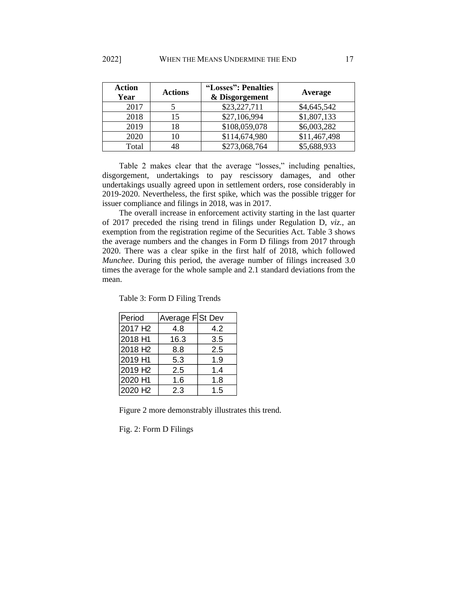| <b>Action</b><br>Year | <b>Actions</b> | "Losses": Penalties<br>& Disgorgement | Average      |
|-----------------------|----------------|---------------------------------------|--------------|
| 2017                  |                | \$23,227,711                          | \$4,645,542  |
| 2018                  | 15             | \$27,106,994                          | \$1,807,133  |
| 2019                  | 18             | \$108,059,078                         | \$6,003,282  |
| 2020                  | 10             | \$114,674,980                         | \$11,467,498 |
| Total                 | 48             | \$273,068,764                         | \$5,688,933  |

Table 2 makes clear that the average "losses," including penalties, disgorgement, undertakings to pay rescissory damages, and other undertakings usually agreed upon in settlement orders, rose considerably in 2019-2020. Nevertheless, the first spike, which was the possible trigger for issuer compliance and filings in 2018, was in 2017.

The overall increase in enforcement activity starting in the last quarter of 2017 preceded the rising trend in filings under Regulation D, *viz.*, an exemption from the registration regime of the Securities Act. Table 3 shows the average numbers and the changes in Form D filings from 2017 through 2020. There was a clear spike in the first half of 2018, which followed *Munchee*. During this period, the average number of filings increased 3.0 times the average for the whole sample and 2.1 standard deviations from the mean.

| Period              | Average FSt Dev |     |
|---------------------|-----------------|-----|
| 2017 H <sub>2</sub> | 4.8             | 4.2 |
| 2018 H1             | 16.3            | 3.5 |
| 2018 H <sub>2</sub> | 8.8             | 2.5 |
| 2019 H1             | 5.3             | 1.9 |
| 2019 H <sub>2</sub> | 2.5             | 1.4 |
| 2020 H1             | 1.6             | 1.8 |
| 2020 H <sub>2</sub> | 2.3             | 1.5 |

Table 3: Form D Filing Trends

Figure 2 more demonstrably illustrates this trend.

Fig. 2: Form D Filings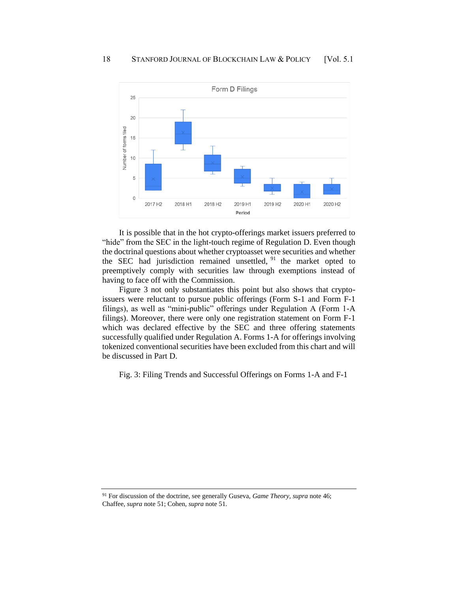

It is possible that in the hot crypto-offerings market issuers preferred to "hide" from the SEC in the light-touch regime of Regulation D. Even though the doctrinal questions about whether cryptoasset were securities and whether the SEC had jurisdiction remained unsettled, <sup>91</sup> the market opted to preemptively comply with securities law through exemptions instead of having to face off with the Commission.

Figure 3 not only substantiates this point but also shows that cryptoissuers were reluctant to pursue public offerings (Form S-1 and Form F-1 filings), as well as "mini-public" offerings under Regulation A (Form 1-A filings). Moreover, there were only one registration statement on Form F-1 which was declared effective by the SEC and three offering statements successfully qualified under Regulation A. Forms 1-A for offerings involving tokenized conventional securities have been excluded from this chart and will be discussed in Part D.

Fig. 3: Filing Trends and Successful Offerings on Forms 1-A and F-1

<sup>91</sup> For discussion of the doctrine, see generally Guseva, *Game Theory, supra* not[e 46;](#page-8-0) Chaffee, *supra* not[e 51;](#page-9-0) Cohen, *supra* not[e 51.](#page-9-0)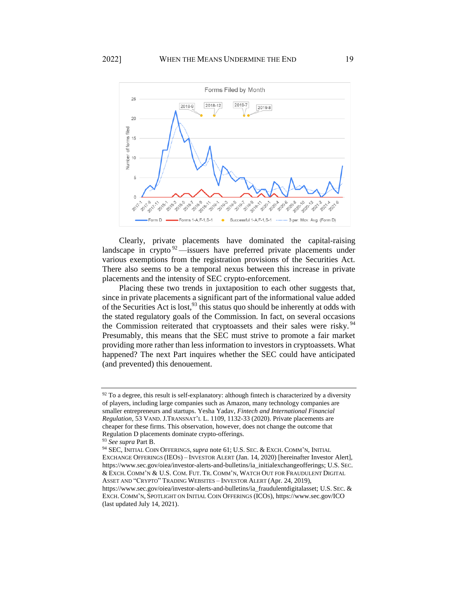

<span id="page-18-0"></span>Clearly, private placements have dominated the capital-raising landscape in crypto  $92$  —issuers have preferred private placements under various exemptions from the registration provisions of the Securities Act. There also seems to be a temporal nexus between this increase in private placements and the intensity of SEC crypto-enforcement.

Placing these two trends in juxtaposition to each other suggests that, since in private placements a significant part of the informational value added of the Securities Act is lost,  $93$  this status quo should be inherently at odds with the stated regulatory goals of the Commission. In fact, on several occasions the Commission reiterated that cryptoassets and their sales were risky.<sup>94</sup> Presumably, this means that the SEC must strive to promote a fair market providing more rather than less information to investors in cryptoassets. What happened? The next Part inquires whether the SEC could have anticipated (and prevented) this denouement.

 $92$  To a degree, this result is self-explanatory: although fintech is characterized by a diversity of players, including large companies such as Amazon, many technology companies are smaller entrepreneurs and startups. Yesha Yadav, *Fintech and International Financial Regulation,* 53 VAND. J.TRANSNAT'L L. 1109, 1132-33 (2020). Private placements are cheaper for these firms. This observation, however, does not change the outcome that Regulation D placements dominate crypto-offerings.

<sup>93</sup> *See supra* Part B.

<sup>94</sup> SEC, INITIAL COIN OFFERINGS, *supra* not[e 61;](#page-10-0) U.S. SEC. & EXCH. COMM'N, INITIAL EXCHANGE OFFERINGS (IEOS) – INVESTOR ALERT (Jan. 14, 2020) [hereinafter Investor Alert], https://www.sec.gov/oiea/investor-alerts-and-bulletins/ia\_initialexchangeofferings; U.S. SEC. & EXCH. COMM'N & U.S. COM. FUT. TR. COMM'N, WATCH OUT FOR FRAUDULENT DIGITAL ASSET AND "CRYPTO" TRADING WEBSITES – INVESTOR ALERT (Apr. 24, 2019), https://www.sec.gov/oiea/investor-alerts-and-bulletins/ia\_fraudulentdigitalasset; U.S. SEC. & EXCH. COMM'N, SPOTLIGHT ON INITIAL COIN OFFERINGS (ICOS), https://www.sec.gov/ICO (last updated July 14, 2021).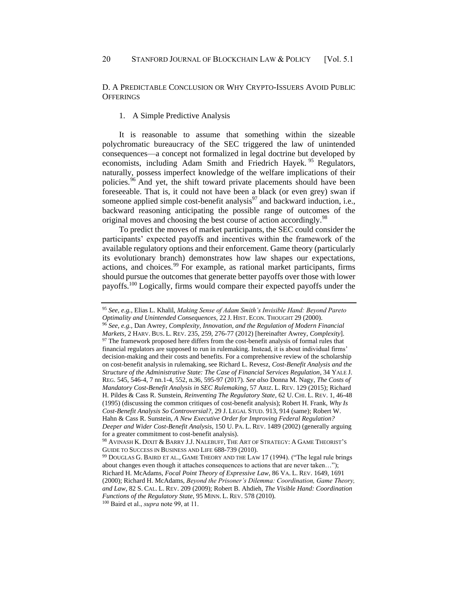D. A PREDICTABLE CONCLUSION OR WHY CRYPTO-ISSUERS AVOID PUBLIC **OFFERINGS** 

# 1. A Simple Predictive Analysis

<span id="page-19-0"></span>It is reasonable to assume that something within the sizeable polychromatic bureaucracy of the SEC triggered the law of unintended consequences—a concept not formalized in legal doctrine but developed by economists, including Adam Smith and Friedrich Hayek.<sup>95</sup> Regulators, naturally, possess imperfect knowledge of the welfare implications of their policies.<sup>96</sup> And yet, the shift toward private placements should have been foreseeable. That is, it could not have been a black (or even grey) swan if someone applied simple cost-benefit analysis $97$  and backward induction, i.e., backward reasoning anticipating the possible range of outcomes of the original moves and choosing the best course of action accordingly.<sup>98</sup>

<span id="page-19-1"></span>To predict the moves of market participants, the SEC could consider the participants' expected payoffs and incentives within the framework of the available regulatory options and their enforcement. Game theory (particularly its evolutionary branch) demonstrates how law shapes our expectations, actions, and choices.<sup>99</sup> For example, as rational market participants, firms should pursue the outcomes that generate better payoffs over those with lower payoffs.<sup>100</sup> Logically, firms would compare their expected payoffs under the

<sup>95</sup> *See, e.g.,* Elias L. Khalil, *Making Sense of Adam Smith's Invisible Hand: Beyond Pareto Optimality and Unintended Consequences,* 22 J. HIST. ECON. THOUGHT 29 (2000). <sup>96</sup> *See, e.g.,* Dan Awrey, *Complexity, Innovation, and the Regulation of Modern Financial Markets,* 2 HARV. BUS. L. REV. 235, 259, 276-77 (2012) [hereinafter Awrey, *Complexity*]. <sup>97</sup> The framework proposed here differs from the cost-benefit analysis of formal rules that financial regulators are supposed to run in rulemaking. Instead, it is about individual firms' decision-making and their costs and benefits. For a comprehensive review of the scholarship on cost-benefit analysis in rulemaking, see Richard L. Revesz, *Cost-Benefit Analysis and the Structure of the Administrative State: The Case of Financial Services Regulation*, 34 YALE J. REG. 545, 546-4, 7 nn.1-4, 552, n.36, 595-97 (2017). *See also* Donna M. Nagy, *The Costs of Mandatory Cost-Benefit Analysis in SEC Rulemaking*, 57 ARIZ. L. REV. 129 (2015); Richard H. Pildes & Cass R. Sunstein, *Reinventing The Regulatory State*, 62 U. CHI. L. REV. 1, 46-48 (1995) (discussing the common critiques of cost-benefit analysis); Robert H. Frank, *Why Is Cost-Benefit Analysis So Controversial?,* 29 J. LEGAL STUD. 913, 914 (same); Robert W. Hahn & Cass R. Sunstein, *A New Executive Order for Improving Federal Regulation? Deeper and Wider Cost-Benefit Analysis*, 150 U. PA. L. REV. 1489 (2002) (generally arguing for a greater commitment to cost-benefit analysis).

<sup>98</sup> AVINASH K. DIXIT & BARRY J.J. NALEBUFF, THE ART OF STRATEGY: A GAME THEORIST'S GUIDE TO SUCCESS IN BUSINESS AND LIFE 688-739 (2010).

<sup>&</sup>lt;sup>99</sup> DOUGLAS G. BAIRD ET AL., GAME THEORY AND THE LAW 17 (1994). ("The legal rule brings about changes even though it attaches consequences to actions that are never taken…"); Richard H. McAdams, *Focal Point Theory of Expressive Law*, 86 VA. L. REV. 1649, 1691 (2000); Richard H. McAdams, *Beyond the Prisoner's Dilemma: Coordination, Game Theory, and Law*, 82 S. CAL. L. REV. 209 (2009); Robert B. Ahdieh, *The Visible Hand: Coordination Functions of the Regulatory State*, 95 MINN. L. REV. 578 (2010).

<sup>100</sup> Baird et al., *supra* note 99, at 11.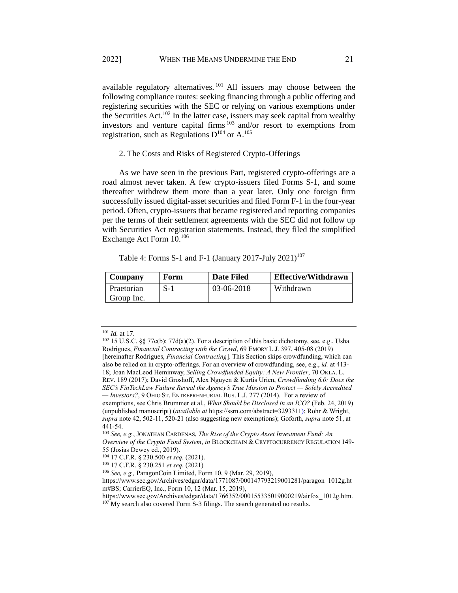available regulatory alternatives. <sup>101</sup> All issuers may choose between the following compliance routes: seeking financing through a public offering and registering securities with the SEC or relying on various exemptions under the Securities Act.<sup>102</sup> In the latter case, issuers may seek capital from wealthy investors and venture capital firms <sup>103</sup> and/or resort to exemptions from registration, such as Regulations  $D^{104}$  or  $A^{105}$ .

#### <span id="page-20-0"></span>2. The Costs and Risks of Registered Crypto-Offerings

As we have seen in the previous Part, registered crypto-offerings are a road almost never taken. A few crypto-issuers filed Forms S-1, and some thereafter withdrew them more than a year later. Only one foreign firm successfully issued digital-asset securities and filed Form F-1 in the four-year period. Often, crypto-issuers that became registered and reporting companies per the terms of their settlement agreements with the SEC did not follow up with Securities Act registration statements. Instead, they filed the simplified Exchange Act Form 10.<sup>106</sup>

Table 4: Forms S-1 and F-1 (January 2017-July 2021)<sup>107</sup>

| Company    | Form  | <b>Date Filed</b> | <b>Effective/Withdrawn</b> |
|------------|-------|-------------------|----------------------------|
| Praetorian | $S-1$ | 03-06-2018        | Withdrawn                  |
| Group Inc. |       |                   |                            |

<sup>101</sup> *Id.* at 17.

<sup>102</sup> 15 U.S.C. §§ 77c(b); 77d(a)(2). For a description of this basic dichotomy, see, e.g., Usha Rodrigues, *Financial Contracting with the Crowd*, 69 EMORY L.J. 397, 405-08 (2019) [hereinafter Rodrigues, *Financial Contracting*]. This Section skips crowdfunding, which can also be relied on in crypto-offerings. For an overview of crowdfunding, see, e.g., *id.* at 413- 18; Joan MacLeod Heminway, *Selling Crowdfunded Equity: A New Frontier*, 70 OKLA. L. REV. 189 (2017); David Groshoff, Alex Nguyen & Kurtis Urien, *Crowdfunding 6.0: Does the SEC's FinTechLaw Failure Reveal the Agency's True Mission to Protect — Solely Accredited — Investors?*, 9 OHIO ST. ENTREPRENEURIAL BUS. L.J. 277 (2014). For a review of exemptions, see Chris Brummer et al., *What Should be Disclosed in an ICO?* (Feb. 24, 2019) (unpublished manuscript) (*available at* https://ssrn.com/abstract=3293311); Rohr & Wright, *supra* not[e 42,](#page-7-0) 502-11, 520-21 (also suggesting new exemptions); Goforth, *supra* not[e 51,](#page-9-0) at 441-54.

<sup>103</sup> *See, e.g.*, JONATHAN CARDENAS, *The Rise of the Crypto Asset Investment Fund: An Overview of the Crypto Fund System*, *in* BLOCKCHAIN & CRYPTOCURRENCY REGULATION 149-

<sup>55 (</sup>Josias Dewey ed., 2019).

<sup>104</sup> 17 C.F.R. § 230.500 *et seq.* (2021).

<sup>105</sup> 17 C.F.R. § 230.251 *et seq.* (2021)*.*

<sup>106</sup> *See, e.g.,* ParagonCoin Limited, Form 10, 9 (Mar. 29, 2019),

https://www.sec.gov/Archives/edgar/data/1771087/000147793219001281/paragon\_1012g.ht m#BS; CarrierEQ, Inc., Form 10, 12 (Mar. 15, 2019),

https://www.sec.gov/Archives/edgar/data/1766352/000155335019000219/airfox\_1012g.htm. <sup>107</sup> My search also covered Form S-3 filings. The search generated no results.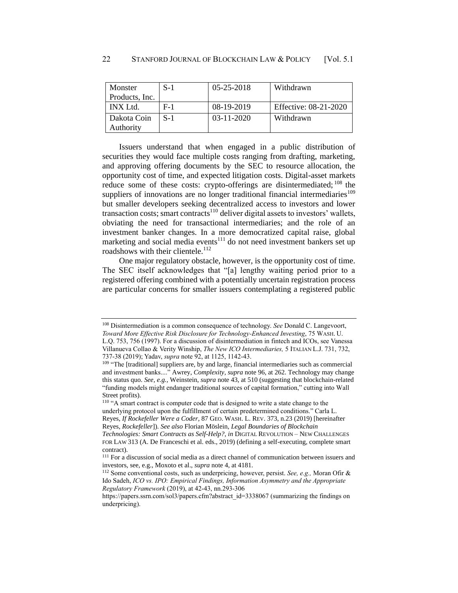| Monster        | $S-1$ | $05 - 25 - 2018$ | Withdrawn             |
|----------------|-------|------------------|-----------------------|
| Products, Inc. |       |                  |                       |
| INX Ltd.       | $F-1$ | 08-19-2019       | Effective: 08-21-2020 |
| Dakota Coin    | $S-1$ | $03 - 11 - 2020$ | Withdrawn             |
| Authority      |       |                  |                       |

<span id="page-21-1"></span>Issuers understand that when engaged in a public distribution of securities they would face multiple costs ranging from drafting, marketing, and approving offering documents by the SEC to resource allocation, the opportunity cost of time, and expected litigation costs. Digital-asset markets reduce some of these costs: crypto-offerings are disintermediated; <sup>108</sup> the suppliers of innovations are no longer traditional financial intermediaries<sup>109</sup> but smaller developers seeking decentralized access to investors and lower transaction costs; smart contracts<sup>110</sup> deliver digital assets to investors' wallets, obviating the need for transactional intermediaries; and the role of an investment banker changes. In a more democratized capital raise, global marketing and social media events<sup>111</sup> do not need investment bankers set up roadshows with their clientele.<sup>112</sup>

<span id="page-21-2"></span><span id="page-21-0"></span>One major regulatory obstacle, however, is the opportunity cost of time. The SEC itself acknowledges that "[a] lengthy waiting period prior to a registered offering combined with a potentially uncertain registration process are particular concerns for smaller issuers contemplating a registered public

<sup>108</sup> Disintermediation is a common consequence of technology. *See* Donald C. Langevoort, *Toward More Effective Risk Disclosure for Technology-Enhanced Investing*, 75 WASH. U. L.Q. 753, 756 (1997). For a discussion of disintermediation in fintech and ICOs, see Vanessa Villanueva Collao & Verity Winship, *The New ICO Intermediaries,* 5 ITALIAN L.J. 731, 732, 737-38 (2019); Yadav, *supra* note [92,](#page-18-0) at 1125, 1142-43.

<sup>&</sup>lt;sup>109</sup> "The [traditional] suppliers are, by and large, financial intermediaries such as commercial and investment banks...." Awrey, *Complexity, supra* note [96,](#page-19-0) at 262. Technology may change this status quo. *See, e.g.,* Weinstein, *supra* note [43,](#page-8-1) at 510 (suggesting that blockchain-related "funding models might endanger traditional sources of capital formation," cutting into Wall Street profits).

<sup>&</sup>lt;sup>110</sup> "A smart contract is computer code that is designed to write a state change to the underlying protocol upon the fulfillment of certain predetermined conditions." Carla L. Reyes, *If Rockefeller Were a Coder*, 87 GEO. WASH. L. REV. 373, n.23 (2019) [hereinafter Reyes, *Rockefeller*]). *See also* Florian Möslein, *Legal Boundaries of Blockchain Technologies: Smart Contracts as Self-Help?*, *in* DIGITAL REVOLUTION – NEW CHALLENGES

FOR LAW 313 (A. De Franceschi et al. eds., 2019) (defining a self-executing, complete smart contract).

<sup>&</sup>lt;sup>111</sup> For a discussion of social media as a direct channel of communication between issuers and investors, see, e.g., Moxoto et al., *supra* not[e 4,](#page-2-0) at 4181.

<sup>112</sup> Some conventional costs, such as underpricing, however, persist. *See, e.g.,* Moran Ofir & Ido Sadeh, *ICO vs. IPO: Empirical Findings, Information Asymmetry and the Appropriate Regulatory Framework* (2019), at 42-43, nn.293-306

https://papers.ssrn.com/sol3/papers.cfm?abstract\_id=3338067 (summarizing the findings on underpricing).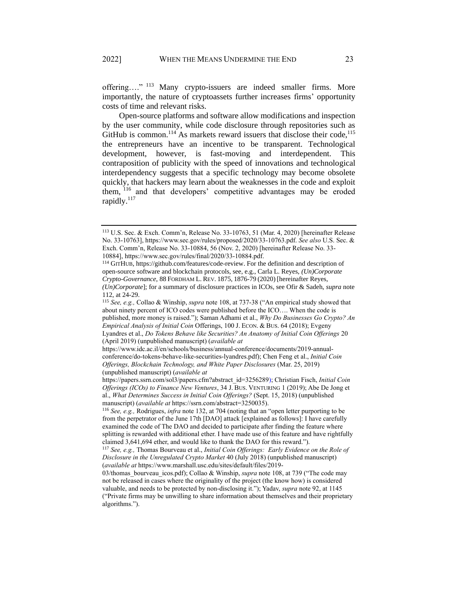<span id="page-22-1"></span>offering…." <sup>113</sup> Many crypto-issuers are indeed smaller firms. More importantly, the nature of cryptoassets further increases firms' opportunity costs of time and relevant risks.

<span id="page-22-3"></span><span id="page-22-0"></span>Open-source platforms and software allow modifications and inspection by the user community, while code disclosure through repositories such as GitHub is common.<sup>114</sup> As markets reward issuers that disclose their code,<sup>115</sup> the entrepreneurs have an incentive to be transparent. Technological development, however, is fast-moving and interdependent. This contraposition of publicity with the speed of innovations and technological interdependency suggests that a specific technology may become obsolete quickly, that hackers may learn about the weaknesses in the code and exploit them, <sup>116</sup> and that developers' competitive advantages may be eroded rapidly.<sup>117</sup>

<sup>114</sup> GITHUB, https://github.com/features/code-review. For the definition and description of open-source software and blockchain protocols, see, e.g., Carla L. Reyes, *(Un)Corporate Crypto-Governance*, 88 FORDHAM L. REV. 1875, 1876-79 (2020) [hereinafter Reyes, *(Un)Corporate*]; for a summary of disclosure practices in ICOs, see Ofir & Sadeh, *supra* note [112,](#page-21-0) at 24-29.

<span id="page-22-2"></span><sup>113</sup> U.S. Sec. & Exch. Comm'n, Release No. 33-10763, 51 (Mar. 4, 2020) [hereinafter Release No. 33-10763], https://www.sec.gov/rules/proposed/2020/33-10763.pdf. *See also* U.S. Sec. & Exch. Comm'n, Release No. 33-10884, 56 (Nov. 2, 2020) [hereinafter Release No. 33- 10884], https://www.sec.gov/rules/final/2020/33-10884.pdf.

<sup>115</sup> *See, e.g.,* Collao & Winship, *supra* note [108,](#page-21-1) at 737-38 ("An empirical study showed that about ninety percent of ICO codes were published before the ICO…. When the code is published, more money is raised."); Saman Adhami et al., *Why Do Businesses Go Crypto? An Empirical Analysis of Initial Coin* Offerings, 100 J. ECON. & BUS. 64 (2018); Evgeny Lyandres et al., *Do Tokens Behave like Securities? An Anatomy of Initial Coin Offerings* 20 (April 2019) (unpublished manuscript) (*available at*

https://www.idc.ac.il/en/schools/business/annual-conference/documents/2019-annualconference/do-tokens-behave-like-securities-lyandres.pdf); Chen Feng et al., *Initial Coin Offerings, Blockchain Technology, and White Paper Disclosures* (Mar. 25, 2019) (unpublished manuscript) (*available at*

https://papers.ssrn.com/sol3/papers.cfm?abstract\_id=3256289); Christian Fisch, *Initial Coin Offerings (ICOs) to Finance New Ventures*, 34 J. BUS. VENTURING 1 (2019); Abe De Jong et al., *What Determines Success in Initial Coin Offerings?* (Sept. 15, 2018) (unpublished manuscript) (*available at* https://ssrn.com/abstract=3250035).

<sup>116</sup> *See, e.g.,* Rodrigues, *infra* not[e 132,](#page-25-0) at 704 (noting that an "open letter purporting to be from the perpetrator of the June 17th [DAO] attack [explained as follows]: I have carefully examined the code of The DAO and decided to participate after finding the feature where splitting is rewarded with additional ether. I have made use of this feature and have rightfully claimed 3,641,694 ether, and would like to thank the DAO for this reward.").

<sup>117</sup> *See, e.g.,* Thomas Bourveau et al., *Initial Coin Offerings: Early Evidence on the Role of Disclosure in the Unregulated Crypto Market* 40 (July 2018) (unpublished manuscript) (*available at* https://www.marshall.usc.edu/sites/default/files/2019-

<sup>03/</sup>thomas bourveau icos.pdf); Collao & Winship, *supra* note [108,](#page-21-1) at 739 ("The code may not be released in cases where the originality of the project (the know how) is considered valuable, and needs to be protected by non-disclosing it."); Yadav, *supra* not[e 92,](#page-18-0) at 1145 ("Private firms may be unwilling to share information about themselves and their proprietary algorithms.").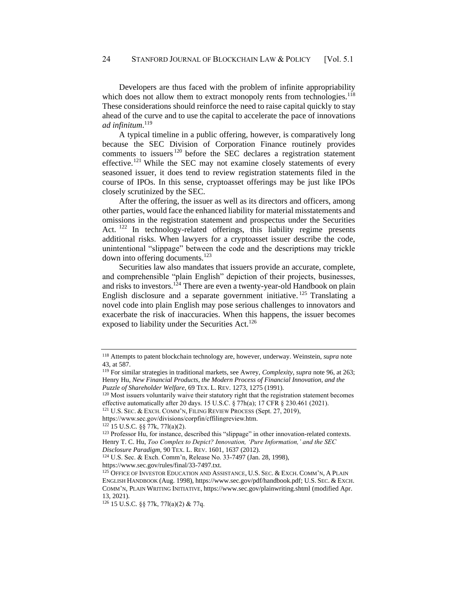Developers are thus faced with the problem of infinite appropriability which does not allow them to extract monopoly rents from technologies. $118$ These considerations should reinforce the need to raise capital quickly to stay ahead of the curve and to use the capital to accelerate the pace of innovations *ad infinitum*. 119

A typical timeline in a public offering, however, is comparatively long because the SEC Division of Corporation Finance routinely provides comments to issuers <sup>120</sup> before the SEC declares a registration statement effective.<sup>121</sup> While the SEC may not examine closely statements of every seasoned issuer, it does tend to review registration statements filed in the course of IPOs. In this sense, cryptoasset offerings may be just like IPOs closely scrutinized by the SEC.

After the offering, the issuer as well as its directors and officers, among other parties, would face the enhanced liability for material misstatements and omissions in the registration statement and prospectus under the Securities Act. <sup>122</sup> In technology-related offerings, this liability regime presents additional risks. When lawyers for a cryptoasset issuer describe the code, unintentional "slippage" between the code and the descriptions may trickle down into offering documents.<sup>123</sup>

<span id="page-23-0"></span>Securities law also mandates that issuers provide an accurate, complete, and comprehensible "plain English" depiction of their projects, businesses, and risks to investors.<sup>124</sup> There are even a twenty-year-old Handbook on plain English disclosure and a separate government initiative.<sup>125</sup> Translating a novel code into plain English may pose serious challenges to innovators and exacerbate the risk of inaccuracies. When this happens, the issuer becomes exposed to liability under the Securities Act.<sup>126</sup>

<sup>121</sup> U.S. SEC. & EXCH. COMM'N, FILING REVIEW PROCESS (Sept. 27, 2019),

<sup>122</sup> 15 U.S.C. §§ 77k, 77l(a)(2).

<sup>118</sup> Attempts to patent blockchain technology are, however, underway. Weinstein, *supra* note [43,](#page-8-1) at 587.

<sup>119</sup> For similar strategies in traditional markets, see Awrey, *Complexity, supra* not[e 96,](#page-19-0) at 263; Henry Hu, *New Financial Products, the Modern Process of Financial Innovation, and the Puzzle of Shareholder Welfare*, 69 TEX. L. REV. 1273, 1275 (1991).

<sup>&</sup>lt;sup>120</sup> Most issuers voluntarily waive their statutory right that the registration statement becomes effective automatically after 20 days. 15 U.S.C. § 77h(a); 17 CFR § 230.461 (2021).

https://www.sec.gov/divisions/corpfin/cffilingreview.htm.

<sup>123</sup> Professor Hu, for instance, described this "slippage" in other innovation-related contexts. Henry T. C. Hu, *Too Complex to Depict? Innovation, 'Pure Information,' and the SEC Disclosure Paradigm,* 90 TEX. L. REV. 1601, 1637 (2012).

<sup>124</sup> U.S. Sec. & Exch. Comm'n, Release No. 33-7497 (Jan. 28, 1998),

https://www.sec.gov/rules/final/33-7497.txt.

<sup>&</sup>lt;sup>125</sup> OFFICE OF INVESTOR EDUCATION AND ASSISTANCE, U.S. SEC. & EXCH. COMM'N, A PLAIN ENGLISH HANDBOOK (Aug. 1998), https://www.sec.gov/pdf/handbook.pdf; U.S. SEC. & EXCH. COMM'N, PLAIN WRITING INITIATIVE, https://www.sec.gov/plainwriting.shtml (modified Apr. 13, 2021).

<sup>126</sup> 15 U.S.C. §§ 77k, 77l(a)(2) & 77q.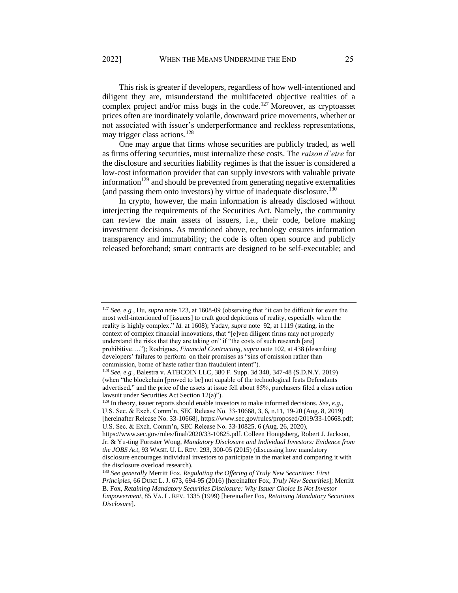This risk is greater if developers, regardless of how well-intentioned and diligent they are, misunderstand the multifaceted objective realities of a complex project and/or miss bugs in the code.<sup>127</sup> Moreover, as cryptoasset prices often are inordinately volatile, downward price movements, whether or not associated with issuer's underperformance and reckless representations, may trigger class actions.<sup>128</sup>

One may argue that firms whose securities are publicly traded, as well as firms offering securities, must internalize these costs. The *raison d'etre* for the disclosure and securities liability regimes is that the issuer is considered a low-cost information provider that can supply investors with valuable private information<sup>129</sup> and should be prevented from generating negative externalities (and passing them onto investors) by virtue of inadequate disclosure.<sup>130</sup>

<span id="page-24-1"></span><span id="page-24-0"></span>In crypto, however, the main information is already disclosed without interjecting the requirements of the Securities Act. Namely, the community can review the main assets of issuers, i.e., their code, before making investment decisions. As mentioned above, technology ensures information transparency and immutability; the code is often open source and publicly released beforehand; smart contracts are designed to be self-executable; and

<sup>127</sup> *See, e.g.,* Hu, *supra* not[e 123,](#page-23-0) at 1608-09 (observing that "it can be difficult for even the most well-intentioned of [issuers] to craft good depictions of reality, especially when the reality is highly complex." *Id.* at 1608); Yadav, *supra* note [92,](#page-18-0) at 1119 (stating, in the context of complex financial innovations, that "[e]ven diligent firms may not properly understand the risks that they are taking on" if "the costs of such research [are] prohibitive…."); Rodrigues, *Financial Contracting, supra* not[e 102,](#page-20-0) at 438 (describing developers' failures to perform on their promises as "sins of omission rather than commission, borne of haste rather than fraudulent intent").

<sup>128</sup> *See, e.g.*, Balestra v. ATBCOIN LLC, 380 F. Supp. 3d 340, 347-48 (S.D.N.Y. 2019) (when "the blockchain [proved to be] not capable of the technological feats Defendants advertised," and the price of the assets at issue fell about 85%, purchasers filed a class action lawsuit under Securities Act Section 12(a)").

<sup>129</sup> In theory, issuer reports should enable investors to make informed decisions. *See, e.g.,*  U.S. Sec. & Exch. Comm'n, SEC Release No. 33-10668, 3, 6, n.11, 19-20 (Aug. 8, 2019) [hereinafter Release No. 33-10668], https://www.sec.gov/rules/proposed/2019/33-10668.pdf; U.S. Sec. & Exch. Comm'n, SEC Release No. 33-10825, 6 (Aug. 26, 2020),

https://www.sec.gov/rules/final/2020/33-10825.pdf. Colleen Honigsberg, Robert J. Jackson, Jr. & Yu-ting Forester Wong, *Mandatory Disclosure and Individual Investors: Evidence from the JOBS Act*, 93 WASH. U. L. REV. 293, 300-05 (2015) (discussing how mandatory disclosure encourages individual investors to participate in the market and comparing it with the disclosure overload research).

<sup>130</sup> *See generally* Merritt Fox, *Regulating the Offering of Truly New Securities: First Principles*, 66 DUKE L. J. 673, 694-95 (2016) [hereinafter Fox, *Truly New Securities*]; Merritt B. Fox, *Retaining Mandatory Securities Disclosure: Why Issuer Choice Is Not Investor Empowerment*, 85 VA. L. REV. 1335 (1999) [hereinafter Fox, *Retaining Mandatory Securities Disclosure*].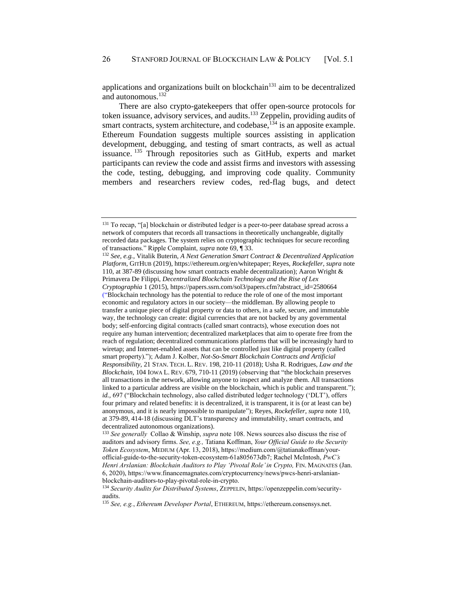<span id="page-25-0"></span>applications and organizations built on blockchain $131$  aim to be decentralized and autonomous.<sup>132</sup>

There are also crypto-gatekeepers that offer open-source protocols for token issuance, advisory services, and audits.<sup>133</sup> Zeppelin, providing audits of smart contracts, system architecture, and codebase,  $\frac{134}{134}$  is an apposite example. Ethereum Foundation suggests multiple sources assisting in application development, debugging, and testing of smart contracts, as well as actual issuance. <sup>135</sup> Through repositories such as GitHub, experts and market participants can review the code and assist firms and investors with assessing the code, testing, debugging, and improving code quality. Community members and researchers review codes, red-flag bugs, and detect

<sup>&</sup>lt;sup>131</sup> To recap, "[a] blockchain or distributed ledger is a peer-to-peer database spread across a network of computers that records all transactions in theoretically unchangeable, digitally recorded data packages. The system relies on cryptographic techniques for secure recording of transactions." Ripple Complaint, *supra* not[e 69,](#page-11-0) ¶ 33.

<sup>132</sup> *See, e.g.*, Vitalik Buterin, *A Next Generation Smart Contract & Decentralized Application Platform*, GITHUB (2019), https://ethereum.org/en/whitepaper; Reyes, *Rockefeller, supra* note [110,](#page-21-2) at 387-89 (discussing how smart contracts enable decentralization); Aaron Wright & Primavera De Filippi, *Decentralized Blockchain Technology and the Rise of Lex Cryptographia* 1 (2015), https://papers.ssrn.com/sol3/papers.cfm?abstract\_id=2580664 ("Blockchain technology has the potential to reduce the role of one of the most important economic and regulatory actors in our society—the middleman. By allowing people to transfer a unique piece of digital property or data to others, in a safe, secure, and immutable way, the technology can create: digital currencies that are not backed by any governmental body; self-enforcing digital contracts (called smart contracts), whose execution does not require any human intervention; decentralized marketplaces that aim to operate free from the reach of regulation; decentralized communications platforms that will be increasingly hard to wiretap; and Internet-enabled assets that can be controlled just like digital property (called smart property)."); Adam J. Kolber, *Not-So-Smart Blockchain Contracts and Artificial Responsibility*, 21 STAN. TECH. L. REV. 198, 210-11 (2018); Usha R. Rodrigues, *Law and the Blockchain*, 104 IOWA L. REV. 679, 710-11 (2019) (observing that "the blockchain preserves all transactions in the network, allowing anyone to inspect and analyze them. All transactions linked to a particular address are visible on the blockchain, which is public and transparent."); *id.,* 697 ("Blockchain technology, also called distributed ledger technology ('DLT'), offers four primary and related benefits: it is decentralized, it is transparent, it is (or at least can be) anonymous, and it is nearly impossible to manipulate"); Reyes, *Rockefeller, supra* note [110,](#page-21-2)  at 379-89, 414-18 (discussing DLT's transparency and immutability, smart contracts, and decentralized autonomous organizations).

<sup>133</sup> *See generally* Collao & Winship, *supra* note [108.](#page-21-1) News sources also discuss the rise of auditors and advisory firms. *See, e.g.,* Tatiana Koffman, *Your Official Guide to the Security Token Ecosystem*, MEDIUM (Apr. 13, 2018), https://medium.com/@tatianakoffman/yourofficial-guide-to-the-security-token-ecosystem-61a805673db7; Rachel McIntosh, *PwC's Henri Arslanian: Blockchain Auditors to Play 'Pivotal Role' in Crypto, FIN. MAGNATES (Jan.* 6, 2020), https://www.financemagnates.com/cryptocurrency/news/pwcs-henri-arslanianblockchain-auditors-to-play-pivotal-role-in-crypto.

<sup>134</sup> *Security Audits for Distributed Systems*, ZEPPELIN, https://openzeppelin.com/securityaudits.

<sup>135</sup> *See, e.g.*, *Ethereum Developer Portal*, ETHEREUM, https://ethereum.consensys.net.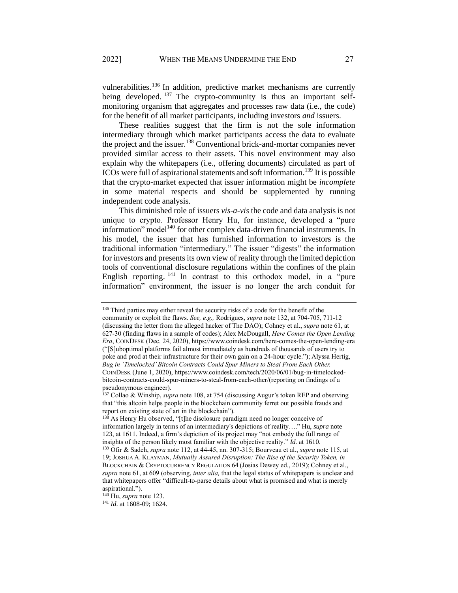vulnerabilities.<sup>136</sup> In addition, predictive market mechanisms are currently being developed. <sup>137</sup> The crypto-community is thus an important selfmonitoring organism that aggregates and processes raw data (i.e., the code) for the benefit of all market participants, including investors *and* issuers.

These realities suggest that the firm is not the sole information intermediary through which market participants access the data to evaluate the project and the issuer.<sup>138</sup> Conventional brick-and-mortar companies never provided similar access to their assets. This novel environment may also explain why the whitepapers (i.e., offering documents) circulated as part of ICOs were full of aspirational statements and soft information.<sup>139</sup> It is possible that the crypto-market expected that issuer information might be *incomplete*  in some material respects and should be supplemented by running independent code analysis.

<span id="page-26-0"></span>This diminished role of issuers *vis-a-vis* the code and data analysis is not unique to crypto. Professor Henry Hu, for instance, developed a "pure information" model<sup>140</sup> for other complex data-driven financial instruments. In his model, the issuer that has furnished information to investors is the traditional information "intermediary." The issuer "digests" the information for investors and presents its own view of reality through the limited depiction tools of conventional disclosure regulations within the confines of the plain English reporting. <sup>141</sup> In contrast to this orthodox model, in a "pure information" environment, the issuer is no longer the arch conduit for

<sup>&</sup>lt;sup>136</sup> Third parties may either reveal the security risks of a code for the benefit of the community or exploit the flaws. *See, e.g.,* Rodrigues, *supra* note [132,](#page-25-0) at 704-705, 711-12 (discussing the letter from the alleged hacker of The DAO); Cohney et al., *supra* note [61,](#page-10-0) at 627-30 (finding flaws in a sample of codes); Alex McDougall, *Here Comes the Open Lending Era*, COINDESK (Dec. 24, 2020), https://www.coindesk.com/here-comes-the-open-lending-era ("[S]uboptimal platforms fail almost immediately as hundreds of thousands of users try to poke and prod at their infrastructure for their own gain on a 24-hour cycle."); Alyssa Hertig, *Bug in 'Timelocked' Bitcoin Contracts Could Spur Miners to Steal From Each Other,* COINDESK (June 1, 2020), https://www.coindesk.com/tech/2020/06/01/bug-in-timelockedbitcoin-contracts-could-spur-miners-to-steal-from-each-other/(reporting on findings of a pseudonymous engineer).

<sup>137</sup> Collao & Winship, *supra* not[e 108,](#page-21-1) at 754 (discussing Augur's token REP and observing that "this altcoin helps people in the blockchain community ferret out possible frauds and report on existing state of art in the blockchain").

 $138$  As Henry Hu observed, "[t]he disclosure paradigm need no longer conceive of information largely in terms of an intermediary's depictions of reality…." Hu, *supra* note [123,](#page-23-0) at 1611. Indeed, a firm's depiction of its project may "not embody the full range of insights of the person likely most familiar with the objective reality." *Id.* at 1610.

<sup>139</sup> Ofir & Sadeh, *supra* not[e 112,](#page-21-0) at 44-45, nn. 307-315; Bourveau et al., *supra* not[e 115,](#page-22-0) at 19; JOSHUA A. KLAYMAN, *Mutually Assured Disruption: The Rise of the Security Token, in* BLOCKCHAIN & CRYPTOCURRENCY REGULATION 64 (Josias Dewey ed., 2019); Cohney et al., *supra* not[e 61,](#page-10-0) at 609 (observing, *inter alia,* that the legal status of whitepapers is unclear and that whitepapers offer "difficult-to-parse details about what is promised and what is merely aspirational.").

<sup>140</sup> Hu, *supra* note [123.](#page-23-0)

<sup>141</sup> *Id*. at 1608-09; 1624.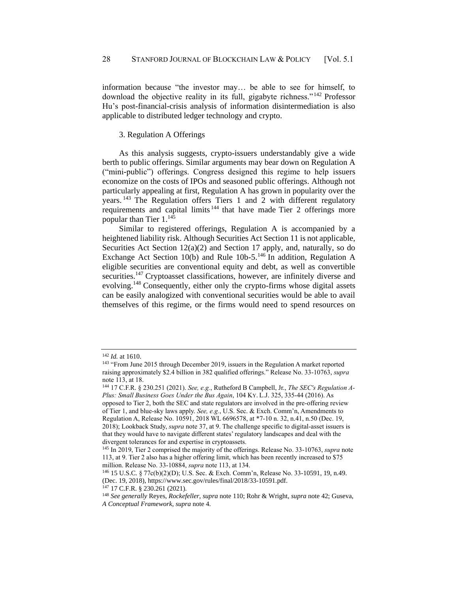information because "the investor may… be able to see for himself, to download the objective reality in its full, gigabyte richness." <sup>142</sup> Professor Hu's post-financial-crisis analysis of information disintermediation is also applicable to distributed ledger technology and crypto.

# 3. Regulation A Offerings

As this analysis suggests, crypto-issuers understandably give a wide berth to public offerings. Similar arguments may bear down on Regulation A ("mini-public") offerings. Congress designed this regime to help issuers economize on the costs of IPOs and seasoned public offerings. Although not particularly appealing at first, Regulation A has grown in popularity over the years.<sup>143</sup> The Regulation offers Tiers 1 and 2 with different regulatory requirements and capital limits <sup>144</sup> that have made Tier 2 offerings more popular than Tier  $1.^{14\overline{5}}$ 

Similar to registered offerings, Regulation A is accompanied by a heightened liability risk. Although Securities Act Section 11 is not applicable, Securities Act Section 12(a)(2) and Section 17 apply, and, naturally, so do Exchange Act Section 10(b) and Rule 10b-5.<sup>146</sup> In addition, Regulation A eligible securities are conventional equity and debt, as well as convertible securities.<sup>147</sup> Cryptoasset classifications, however, are infinitely diverse and evolving.<sup>148</sup> Consequently, either only the crypto-firms whose digital assets can be easily analogized with conventional securities would be able to avail themselves of this regime, or the firms would need to spend resources on

<sup>142</sup> *Id.* at 1610.

<sup>&</sup>lt;sup>143</sup> "From June 2015 through December 2019, issuers in the Regulation A market reported raising approximately \$2.4 billion in 382 qualified offerings." Release No. 33-10763, *supra* not[e 113,](#page-22-1) at 18.

<sup>144</sup> 17 C.F.R. § 230.251 (2021). *See, e.g.*, Rutheford B Campbell, Jr., *The SEC's Regulation A-Plus: Small Business Goes Under the Bus Again*, 104 KY. L.J. 325, 335-44 (2016). As opposed to Tier 2, both the SEC and state regulators are involved in the pre-offering review of Tier 1, and blue-sky laws apply. *See, e.g.*, U.S. Sec. & Exch. Comm'n, Amendments to Regulation A, Release No. 10591, 2018 WL 6696578, at \*7-10 n. 32, n.41, n.50 (Dec. 19, 2018); Lookback Study, *supra* note [37,](#page-7-1) at 9. The challenge specific to digital-asset issuers is that they would have to navigate different states' regulatory landscapes and deal with the divergent tolerances for and expertise in cryptoassets.

<sup>145</sup> In 2019, Tier 2 comprised the majority of the offerings. Release No. 33-10763, *supra* note [113,](#page-22-1) at 9. Tier 2 also has a higher offering limit, which has been recently increased to \$75 million. Release No. 33-10884, *supra* note 113, at 134.

<sup>146</sup> 15 U.S.C. § 77c(b)(2)(D); U.S. Sec. & Exch. Comm'n, Release No. 33-10591, 19, n.49. (Dec. 19, 2018), https://www.sec.gov/rules/final/2018/33-10591.pdf.

<sup>147</sup> 17 C.F.R. § 230.261 (2021).

<sup>148</sup> *See generally* Reyes, *Rockefeller*, *supra* not[e 110;](#page-21-2) Rohr & Wright, *supra* not[e 42;](#page-7-0) Guseva, *A Conceptual Framework*, *supra* not[e 4.](#page-2-0)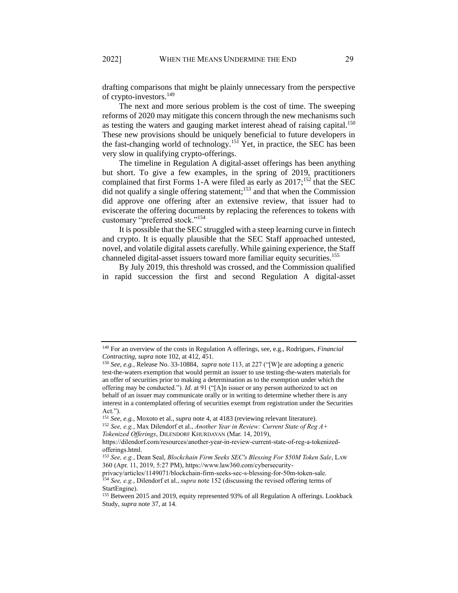drafting comparisons that might be plainly unnecessary from the perspective of crypto-investors.<sup>149</sup>

The next and more serious problem is the cost of time. The sweeping reforms of 2020 may mitigate this concern through the new mechanisms such as testing the waters and gauging market interest ahead of raising capital.<sup>150</sup> These new provisions should be uniquely beneficial to future developers in the fast-changing world of technology.<sup>151</sup> Yet, in practice, the SEC has been very slow in qualifying crypto-offerings.

<span id="page-28-0"></span>The timeline in Regulation A digital-asset offerings has been anything but short. To give a few examples, in the spring of 2019, practitioners complained that first Forms 1-A were filed as early as  $2017$ ;<sup>152</sup> that the SEC  $\dot{x}$  did not qualify a single offering statement;<sup>153</sup> and that when the Commission did approve one offering after an extensive review, that issuer had to eviscerate the offering documents by replacing the references to tokens with customary "preferred stock."<sup>154</sup>

It is possible that the SEC struggled with a steep learning curve in fintech and crypto. It is equally plausible that the SEC Staff approached untested, novel, and volatile digital assets carefully. While gaining experience, the Staff channeled digital-asset issuers toward more familiar equity securities.<sup>155</sup>

By July 2019, this threshold was crossed, and the Commission qualified in rapid succession the first and second Regulation A digital-asset

<sup>149</sup> For an overview of the costs in Regulation A offerings, see, e.g., Rodrigues, *Financial Contracting, supra* not[e 102,](#page-20-0) at 412, 451.

<sup>150</sup> *See, e.g.,* Release No. 33-10884, *supra* note 113, at 227 ("[W]e are adopting a generic test-the-waters exemption that would permit an issuer to use testing-the-waters materials for an offer of securities prior to making a determination as to the exemption under which the offering may be conducted."). *Id*. at 91 ("[A]n issuer or any person authorized to act on behalf of an issuer may communicate orally or in writing to determine whether there is any interest in a contemplated offering of securities exempt from registration under the Securities Act.").

<sup>151</sup> *See, e.g.,* Moxoto et al., *supra* note [4,](#page-2-0) at 4183 (reviewing relevant literature).

<sup>152</sup> *See, e.g.*, Max Dilendorf et al., *Another Year in Review: Current State of Reg A+ Tokenized Offerings*, DILENDORF KHURDAYAN (Mar. 14, 2019),

[https://dilendorf.com/resources/another-year-in-review-current-state-of-reg-a-tokenized](https://dilendorf.com/resources/another-year-in-review-current-state-of-reg-a-tokenized-offerings.html)[offerings.html.](https://dilendorf.com/resources/another-year-in-review-current-state-of-reg-a-tokenized-offerings.html)

<sup>153</sup> *See, e.g.*, Dean Seal, *Blockchain Firm Seeks SEC's Blessing For \$50M Token Sale*, LAW 360 (Apr. 11, 2019, 5:27 PM), https://www.law360.com/cybersecurity-

privacy/articles/1149071/blockchain-firm-seeks-sec-s-blessing-for-50m-token-sale. <sup>154</sup> *See, e.g.*, Dilendorf et al., *supra* note [152](#page-28-0) (discussing the revised offering terms of StartEngine).

<sup>155</sup> Between 2015 and 2019, equity represented 93% of all Regulation A offerings. Lookback Study, *supra* note [37,](#page-7-1) at 14.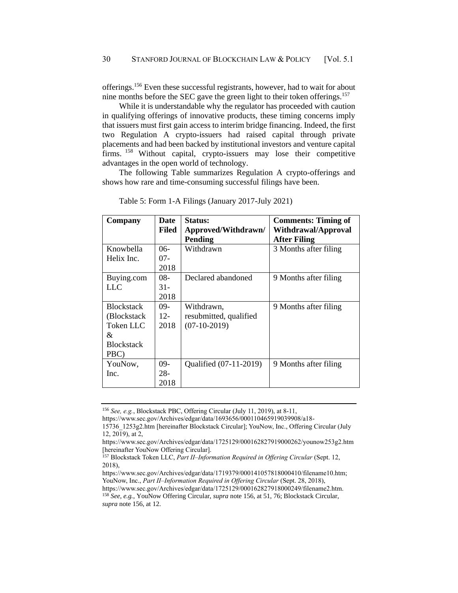<span id="page-29-0"></span>offerings.<sup>156</sup> Even these successful registrants, however, had to wait for about nine months before the SEC gave the green light to their token offerings.<sup>157</sup>

While it is understandable why the regulator has proceeded with caution in qualifying offerings of innovative products, these timing concerns imply that issuers must first gain access to interim bridge financing. Indeed, the first two Regulation A crypto-issuers had raised capital through private placements and had been backed by institutional investors and venture capital firms. <sup>158</sup> Without capital, crypto-issuers may lose their competitive advantages in the open world of technology.

The following Table summarizes Regulation A crypto-offerings and shows how rare and time-consuming successful filings have been.

| Company                                                                                 | <b>Date</b><br>Filed           | Status:<br>Approved/Withdrawn/<br><b>Pending</b>       | <b>Comments: Timing of</b><br>Withdrawal/Approval<br><b>After Filing</b> |
|-----------------------------------------------------------------------------------------|--------------------------------|--------------------------------------------------------|--------------------------------------------------------------------------|
| Knowhella<br>Helix Inc.                                                                 | $06-$<br>07-                   | Withdrawn                                              | 3 Months after filing                                                    |
| Buying.com<br>LLC                                                                       | 2018<br>$08-$<br>$31-$<br>2018 | Declared abandoned                                     | 9 Months after filing                                                    |
| <b>Blockstack</b><br>(Blockstack)<br><b>Token LLC</b><br>&<br><b>Blockstack</b><br>PBC) | $09-$<br>$12 -$<br>2018        | Withdrawn,<br>resubmitted, qualified<br>$(07-10-2019)$ | 9 Months after filing                                                    |
| YouNow,<br>Inc.                                                                         | 09-<br>28-<br>2018             | Qualified (07-11-2019)                                 | 9 Months after filing                                                    |

Table 5: Form 1-A Filings (January 2017-July 2021)

https://www.sec.gov/Archives/edgar/data/1693656/000110465919039908/a18- 15736\_1253g2.htm [hereinafter Blockstack Circular]; YouNow, Inc., Offering Circular (July

<sup>156</sup> *See, e.g.*, Blockstack PBC, Offering Circular (July 11, 2019), at 8-11,

<sup>12, 2019),</sup> at 2,

https://www.sec.gov/Archives/edgar/data/1725129/000162827919000262/younow253g2.htm [hereinafter YouNow Offering Circular].

<sup>&</sup>lt;sup>157</sup> Blockstack Token LLC, Part II-Information Required in Offering Circular (Sept. 12, 2018),

https://www.sec.gov/Archives/edgar/data/1719379/000141057818000410/filename10.htm; YouNow, Inc., *Part II–Information Required in Offering Circular* (Sept. 28, 2018),

https://www.sec.gov/Archives/edgar/data/1725129/000162827918000249/filename2.htm. <sup>158</sup> *See, e.g.*, YouNow Offering Circular, *supra* not[e 156,](#page-29-0) at 51, 76; Blockstack Circular, *supra* not[e 156,](#page-29-0) at 12.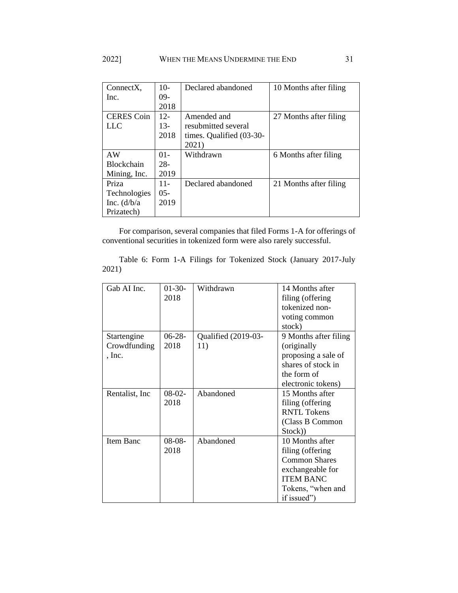| ConnectX,            | $10-$   | Declared abandoned       | 10 Months after filing |
|----------------------|---------|--------------------------|------------------------|
| Inc.                 | $09-$   |                          |                        |
|                      | 2018    |                          |                        |
| <b>CERES</b> Coin    | $12-$   | Amended and              | 27 Months after filing |
| LLC                  | $13-$   | resubmitted several      |                        |
|                      | 2018    | times. Qualified (03-30- |                        |
|                      |         | 2021)                    |                        |
| AW                   | $01 -$  | Withdrawn                | 6 Months after filing  |
| <b>Blockchain</b>    | $28 -$  |                          |                        |
| Mining, Inc.         | 2019    |                          |                        |
| Priza                | $11 -$  | Declared abandoned       | 21 Months after filing |
| Technologies         | $0.5 -$ |                          |                        |
| Inc. $\frac{d}{b/a}$ | 2019    |                          |                        |
| Prizatech)           |         |                          |                        |

For comparison, several companies that filed Forms 1-A for offerings of conventional securities in tokenized form were also rarely successful.

Table 6: Form 1-A Filings for Tokenized Stock (January 2017-July 2021)

| Gab AI Inc.     | $01-30-$ | Withdrawn           | 14 Months after       |
|-----------------|----------|---------------------|-----------------------|
|                 |          |                     |                       |
|                 | 2018     |                     | filing (offering      |
|                 |          |                     | tokenized non-        |
|                 |          |                     | voting common         |
|                 |          |                     | stock)                |
| Startengine     | $06-28-$ | Qualified (2019-03- | 9 Months after filing |
| Crowdfunding    | 2018     | 11)                 | (originally)          |
| , Inc.          |          |                     | proposing a sale of   |
|                 |          |                     | shares of stock in    |
|                 |          |                     | the form of           |
|                 |          |                     | electronic tokens)    |
| Rentalist, Inc. | $08-02-$ | Abandoned           | 15 Months after       |
|                 | 2018     |                     | filing (offering)     |
|                 |          |                     | RNTL Tokens           |
|                 |          |                     | (Class B Common       |
|                 |          |                     | Stock))               |
| Item Banc       | $08-08-$ | Abandoned           | 10 Months after       |
|                 | 2018     |                     | filing (offering)     |
|                 |          |                     | <b>Common Shares</b>  |
|                 |          |                     | exchangeable for      |
|                 |          |                     | <b>ITEM BANC</b>      |
|                 |          |                     | Tokens, "when and     |
|                 |          |                     | if issued")           |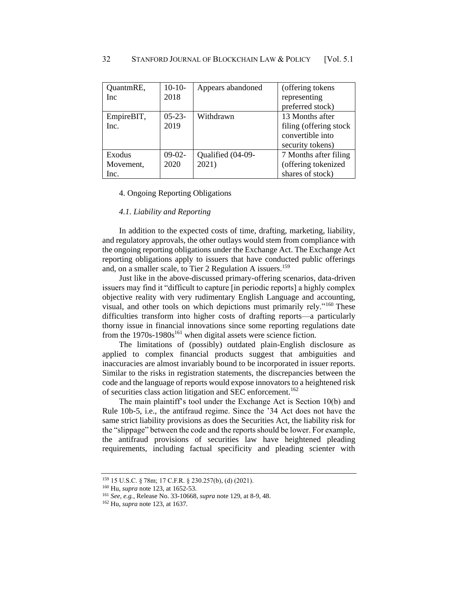| QuantmRE,  | $10-10-$    | Appears abandoned | (offering tokens)       |
|------------|-------------|-------------------|-------------------------|
| <b>Inc</b> | 2018        |                   | representing            |
|            |             |                   | preferred stock)        |
| EmpireBIT, | $05 - 23 -$ | Withdrawn         | 13 Months after         |
| Inc.       | 2019        |                   | filing (offering stock) |
|            |             |                   | convertible into        |
|            |             |                   | security tokens)        |
| Exodus     | $09-02-$    | Qualified (04-09- | 7 Months after filing   |
| Movement,  | 2020        | 2021)             | (offering tokenized     |
| Inc.       |             |                   | shares of stock)        |

#### 4. Ongoing Reporting Obligations

### *4.1. Liability and Reporting*

In addition to the expected costs of time, drafting, marketing, liability, and regulatory approvals, the other outlays would stem from compliance with the ongoing reporting obligations under the Exchange Act. The Exchange Act reporting obligations apply to issuers that have conducted public offerings and, on a smaller scale, to Tier 2 Regulation A issuers.<sup>159</sup>

Just like in the above-discussed primary-offering scenarios, data-driven issuers may find it "difficult to capture [in periodic reports] a highly complex objective reality with very rudimentary English Language and accounting, visual, and other tools on which depictions must primarily rely."<sup>160</sup> These difficulties transform into higher costs of drafting reports—a particularly thorny issue in financial innovations since some reporting regulations date from the  $1970s-1980s^{161}$  when digital assets were science fiction.

The limitations of (possibly) outdated plain-English disclosure as applied to complex financial products suggest that ambiguities and inaccuracies are almost invariably bound to be incorporated in issuer reports. Similar to the risks in registration statements, the discrepancies between the code and the language of reports would expose innovators to a heightened risk of securities class action litigation and SEC enforcement.<sup>162</sup>

The main plaintiff's tool under the Exchange Act is Section 10(b) and Rule 10b-5, i.e., the antifraud regime. Since the '34 Act does not have the same strict liability provisions as does the Securities Act, the liability risk for the "slippage" between the code and the reports should be lower. For example, the antifraud provisions of securities law have heightened pleading requirements, including factual specificity and pleading scienter with

<sup>159</sup> 15 U.S.C. § 78m; 17 C.F.R. § 230.257(b), (d) (2021).

<sup>160</sup> Hu, *supra* note 123, at 1652-53.

<sup>161</sup> *See, e.g.,* Release No. 33-10668, *supra* note [129,](#page-24-0) at 8-9, 48.

<sup>162</sup> Hu, *supra* note [123,](#page-23-0) at 1637.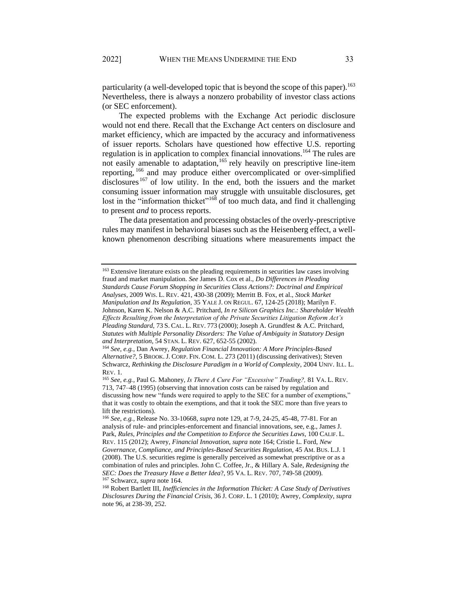particularity (a well-developed topic that is beyond the scope of this paper).<sup>163</sup> Nevertheless, there is always a nonzero probability of investor class actions (or SEC enforcement).

<span id="page-32-0"></span>The expected problems with the Exchange Act periodic disclosure would not end there. Recall that the Exchange Act centers on disclosure and market efficiency, which are impacted by the accuracy and informativeness of issuer reports. Scholars have questioned how effective U.S. reporting regulation is in application to complex financial innovations.<sup>164</sup> The rules are not easily amenable to adaptation,<sup>165</sup> rely heavily on prescriptive line-item reporting, <sup>166</sup> and may produce either overcomplicated or over-simplified disclosures<sup>167</sup> of low utility. In the end, both the issuers and the market consuming issuer information may struggle with unsuitable disclosures, get lost in the "information thicket"<sup>168</sup> of too much data, and find it challenging to present *and* to process reports.

The data presentation and processing obstacles of the overly-prescriptive rules may manifest in behavioral biases such as the Heisenberg effect, a wellknown phenomenon describing situations where measurements impact the

<sup>&</sup>lt;sup>163</sup> Extensive literature exists on the pleading requirements in securities law cases involving fraud and market manipulation. *See* James D. Cox et al., *Do Differences in Pleading Standards Cause Forum Shopping in Securities Class Actions?: Doctrinal and Empirical Analyses,* 2009 WIS. L. REV. 421, 430-38 (2009); Merritt B. Fox, et al., *Stock Market Manipulation and Its Regulation*, 35 YALE J. ON REGUL. 67, 124-25 (2018); Marilyn F. Johnson, Karen K. Nelson & A.C. Pritchard, *In re Silicon Graphics Inc.: Shareholder Wealth Effects Resulting from the Interpretation of the Private Securities Litigation Reform Act's Pleading Standard*, 73 S. CAL. L. REV. 773 (2000);Joseph A. Grundfest & A.C. Pritchard, *Statutes with Multiple Personality Disorders: The Value of Ambiguity in Statutory Design* 

*and Interpretation*, 54 STAN. L. REV. 627, 652-55 (2002). <sup>164</sup> *See, e.g.,* Dan Awrey, *Regulation Financial Innovation: A More Principles-Based Alternative?,* 5 BROOK. J. CORP. FIN. COM. L. 273 (2011) (discussing derivatives); Steven Schwarcz, *Rethinking the Disclosure Paradigm in a World of Complexity*, 2004 UNIV. ILL. L. REV. 1.

<sup>165</sup> *See, e.g.,* Paul G. Mahoney, *Is There A Cure For "Excessive" Trading?,* 81 VA. L. REV. 713, 747–48 (1995) (observing that innovation costs can be raised by regulation and discussing how new "funds were required to apply to the SEC for a number of exemptions," that it was costly to obtain the exemptions, and that it took the SEC more than five years to lift the restrictions).

<sup>166</sup> *See, e.g.,* Release No. 33-10668, *supra* note [129,](#page-24-0) at 7-9, 24-25, 45-48, 77-81. For an analysis of rule- and principles-enforcement and financial innovations, see, e.g., James J. Park, *Rules, Principles and the Competition to Enforce the Securities Laws*, 100 CALIF. L. REV. 115 (2012); Awrey, *Financial Innovation, supra* not[e 164;](#page-32-0) Cristie L. Ford, *New Governance, Compliance, and Principles-Based Securities Regulation*, 45 AM. BUS. L.J. 1 (2008). The U.S. securities regime is generally perceived as somewhat prescriptive or as a combination of rules and principles. John C. Coffee, Jr., & Hillary A. Sale, *Redesigning the SEC: Does the Treasury Have a Better Idea*?, 95 VA. L. REV. 707, 749-58 (2009). <sup>167</sup> Schwarcz, *supra* note [164.](#page-32-0)

<sup>168</sup> Robert Bartlett III, *Inefficiencies in the Information Thicket: A Case Study of Derivatives Disclosures During the Financial Crisis*, 36 J. CORP. L. 1 (2010); Awrey, *Complexity, supra*  not[e 96,](#page-19-0) at 238-39, 252.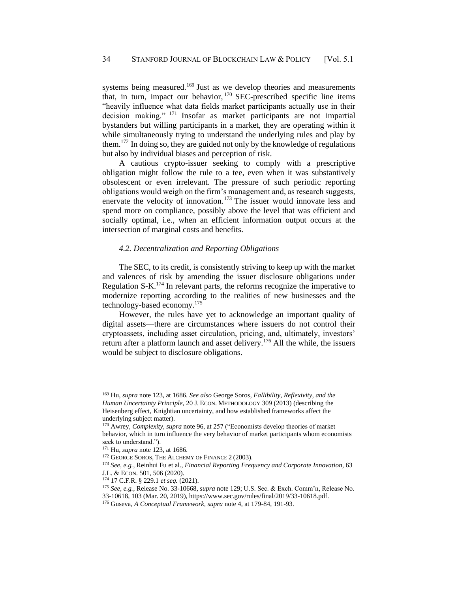systems being measured.<sup>169</sup> Just as we develop theories and measurements that, in turn, impact our behavior,  $170$  SEC-prescribed specific line items "heavily influence what data fields market participants actually use in their decision making." <sup>171</sup> Insofar as market participants are not impartial bystanders but willing participants in a market, they are operating within it while simultaneously trying to understand the underlying rules and play by them.<sup>172</sup> In doing so, they are guided not only by the knowledge of regulations but also by individual biases and perception of risk.

A cautious crypto-issuer seeking to comply with a prescriptive obligation might follow the rule to a tee, even when it was substantively obsolescent or even irrelevant. The pressure of such periodic reporting obligations would weigh on the firm's management and, as research suggests, enervate the velocity of innovation.<sup>173</sup> The issuer would innovate less and spend more on compliance, possibly above the level that was efficient and socially optimal, i.e., when an efficient information output occurs at the intersection of marginal costs and benefits.

#### *4.2. Decentralization and Reporting Obligations*

The SEC, to its credit, is consistently striving to keep up with the market and valences of risk by amending the issuer disclosure obligations under Regulation S-K.<sup>174</sup> In relevant parts, the reforms recognize the imperative to modernize reporting according to the realities of new businesses and the technology-based economy.<sup>175</sup>

However, the rules have yet to acknowledge an important quality of digital assets—there are circumstances where issuers do not control their cryptoassets, including asset circulation, pricing, and, ultimately, investors' return after a platform launch and asset delivery.<sup>176</sup> All the while, the issuers would be subject to disclosure obligations.

<sup>169</sup> Hu, *supra* note 123, at 1686. *See also* George Soros, *Fallibility, Reflexivity, and the Human Uncertainty Principle,* 20 J. ECON. METHODOLOGY 309 (2013) (describing the Heisenberg effect, Knightian uncertainty, and how established frameworks affect the underlying subject matter).

<sup>170</sup> Awrey, *Complexity, supra* note [96,](#page-19-0) at 257 ("Economists develop theories of market behavior, which in turn influence the very behavior of market participants whom economists seek to understand.").

<sup>171</sup> Hu, *supra* note 123, at 1686.

<sup>&</sup>lt;sup>172</sup> GEORGE SOROS, THE ALCHEMY OF FINANCE 2 (2003).

<sup>173</sup> *See, e.g.,* Reinhui Fu et al., *Financial Reporting Frequency and Corporate Innovation,* 63 J.L. & ECON. 501, 506 (2020).

<sup>174</sup> 17 C.F.R. § 229.1 *et seq.* (2021).

<sup>175</sup> *See, e.g.,* Release No. 33-10668, *supra* note [129;](#page-24-0) U.S. Sec. & Exch. Comm'n, Release No.

<sup>33-10618, 103 (</sup>Mar. 20, 2019), https://www.sec.gov/rules/final/2019/33-10618.pdf.

<sup>176</sup> Guseva, *A Conceptual Framework, supra* note [4,](#page-2-0) at 179-84, 191-93.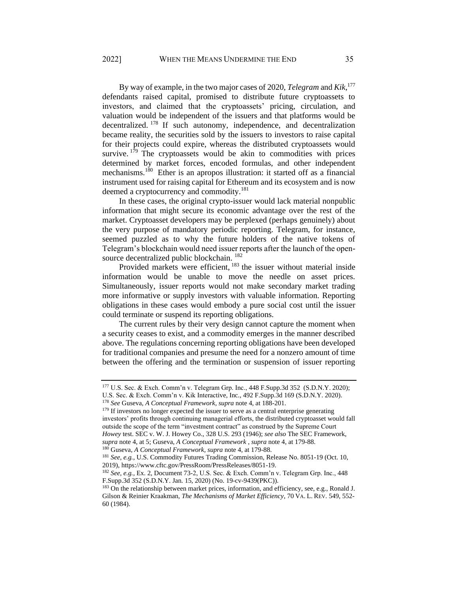By way of example, in the two major cases of 2020, *Telegram* and *Kik*, 177 defendants raised capital, promised to distribute future cryptoassets to investors, and claimed that the cryptoassets' pricing, circulation, and valuation would be independent of the issuers and that platforms would be decentralized. <sup>178</sup> If such autonomy, independence, and decentralization became reality, the securities sold by the issuers to investors to raise capital for their projects could expire, whereas the distributed cryptoassets would survive.  $179$  The cryptoassets would be akin to commodities with prices determined by market forces, encoded formulas, and other independent mechanisms.<sup>180</sup> Ether is an apropos illustration: it started off as a financial instrument used for raising capital for Ethereum and its ecosystem and is now deemed a cryptocurrency and commodity.<sup>181</sup>

<span id="page-34-0"></span>In these cases, the original crypto-issuer would lack material nonpublic information that might secure its economic advantage over the rest of the market. Cryptoasset developers may be perplexed (perhaps genuinely) about the very purpose of mandatory periodic reporting. Telegram, for instance, seemed puzzled as to why the future holders of the native tokens of Telegram's blockchain would need issuer reports after the launch of the opensource decentralized public blockchain. <sup>182</sup>

Provided markets were efficient, <sup>183</sup> the issuer without material inside information would be unable to move the needle on asset prices. Simultaneously, issuer reports would not make secondary market trading more informative or supply investors with valuable information. Reporting obligations in these cases would embody a pure social cost until the issuer could terminate or suspend its reporting obligations.

The current rules by their very design cannot capture the moment when a security ceases to exist, and a commodity emerges in the manner described above. The regulations concerning reporting obligations have been developed for traditional companies and presume the need for a nonzero amount of time between the offering and the termination or suspension of issuer reporting

<sup>179</sup> If investors no longer expected the issuer to serve as a central enterprise generating investors' profits through continuing managerial efforts, the distributed cryptoasset would fall outside the scope of the term "investment contract" as construed by the Supreme Court *Howey* test. SEC v. W. J. Howey Co., [328 U.S. 293](https://supreme.justia.com/cases/federal/us/328/293/index.html) (1946); *see also* The SEC Framework, *supra* not[e 4,](#page-2-0) at 5; Guseva, *A Conceptual Framework , supra* note 4, at 179-88.

<sup>177</sup> U.S. Sec. & Exch. Comm'n v. Telegram Grp. Inc., 448 F.Supp.3d 352 (S.D.N.Y. 2020); U.S. Sec. & Exch. Comm'n v. Kik Interactive, Inc., 492 F.Supp.3d 169 (S.D.N.Y. 2020).

<sup>178</sup> *See* Guseva, *A Conceptual Framework, supra* note 4, at 188-201.

<sup>180</sup> Guseva, *A Conceptual Framework, supra* note [4,](#page-2-0) at 179-88.

<sup>181</sup> *See, e.g.*, U.S. Commodity Futures Trading Commission, Release No. 8051-19 (Oct. 10, 2019), https://www.cftc.gov/PressRoom/PressReleases/8051-19.

<sup>182</sup> *See, e.g.,* Ex. 2, Document 73-2, U.S. Sec. & Exch. Comm'n v. Telegram Grp. Inc., 448 F.Supp.3d 352 (S.D.N.Y. Jan. 15, 2020) (No. 19-cv-9439(PKC)).

<sup>&</sup>lt;sup>183</sup> On the relationship between market prices, information, and efficiency, see, e.g., Ronald J. Gilson & Reinier Kraakman, *The Mechanisms of Market Efficiency*, 70 VA. L. REV. 549, 552- 60 (1984).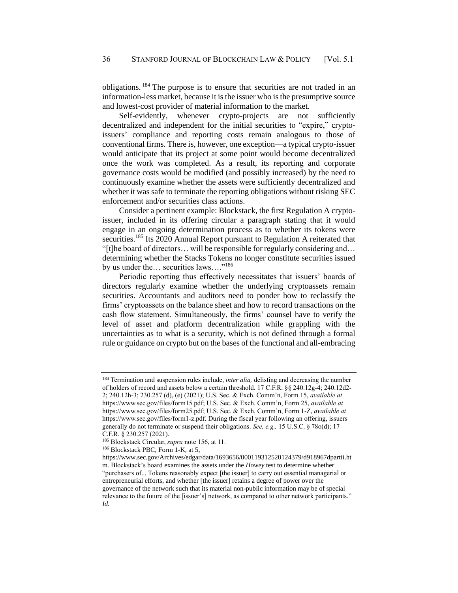obligations. <sup>184</sup> The purpose is to ensure that securities are not traded in an information-less market, because it is the issuer who is the presumptive source and lowest-cost provider of material information to the market.

Self-evidently, whenever crypto-projects are not sufficiently decentralized and independent for the initial securities to "expire," cryptoissuers' compliance and reporting costs remain analogous to those of conventional firms. There is, however, one exception—a typical crypto-issuer would anticipate that its project at some point would become decentralized once the work was completed. As a result, its reporting and corporate governance costs would be modified (and possibly increased) by the need to continuously examine whether the assets were sufficiently decentralized and whether it was safe to terminate the reporting obligations without risking SEC enforcement and/or securities class actions.

Consider a pertinent example: Blockstack, the first Regulation A cryptoissuer, included in its offering circular a paragraph stating that it would engage in an ongoing determination process as to whether its tokens were securities.<sup>185</sup> Its 2020 Annual Report pursuant to Regulation A reiterated that "[t]he board of directors… will be responsible for regularly considering and… determining whether the Stacks Tokens no longer constitute securities issued by us under the... securities laws...."<sup>186</sup>

Periodic reporting thus effectively necessitates that issuers' boards of directors regularly examine whether the underlying cryptoassets remain securities. Accountants and auditors need to ponder how to reclassify the firms' cryptoassets on the balance sheet and how to record transactions on the cash flow statement. Simultaneously, the firms' counsel have to verify the level of asset and platform decentralization while grappling with the uncertainties as to what is a security, which is not defined through a formal rule or guidance on crypto but on the bases of the functional and all-embracing

<sup>184</sup> Termination and suspension rules include, *inter alia,* delisting and decreasing the number of holders of record and assets below a certain threshold. 17 C.F.R. §§ 240.12g-4; 240.12d2- 2; 240.12h-3; 230.257 (d), (e) (2021); U.S. Sec. & Exch. Comm'n, Form 15, *available at*  https://www.sec.gov/files/form15.pdf; U.S. Sec. & Exch. Comm'n, Form 25, *available at*  https://www.sec.gov/files/form25.pdf; U.S. Sec. & Exch. Comm'n, Form 1-Z, *available at* 

https://www.sec.gov/files/form1-z.pdf. During the fiscal year following an offering, issuers generally do not terminate or suspend their obligations. *See, e.g.,* 15 U.S.C. § 78o(d); 17 C.F.R. § 230.257 (2021).

<sup>185</sup> Blockstack Circular, *supra* not[e 156,](#page-29-0) at 11.

<sup>186</sup> Blockstack PBC, Form 1-K, at 5,

https://www.sec.gov/Archives/edgar/data/1693656/000119312520124379/d918967dpartii.ht m. Blockstack's board examines the assets under the *Howey* test to determine whether "purchasers of... Tokens reasonably expect [the issuer] to carry out essential managerial or entrepreneurial efforts, and whether [the issuer] retains a degree of power over the governance of the network such that its material non-public information may be of special relevance to the future of the [issuer's] network, as compared to other network participants." *Id.*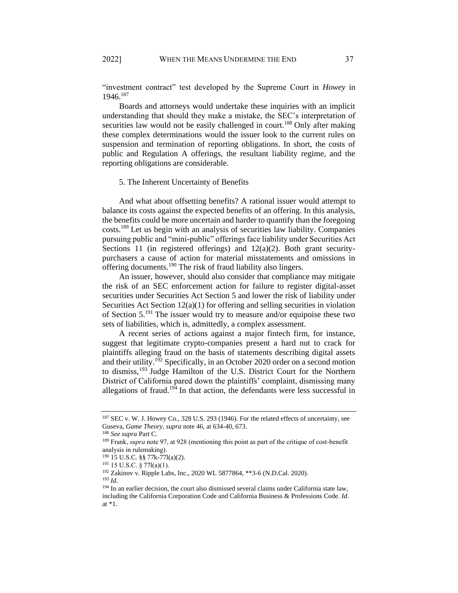"investment contract" test developed by the Supreme Court in *Howey* in 1946.<sup>187</sup>

Boards and attorneys would undertake these inquiries with an implicit understanding that should they make a mistake, the SEC's interpretation of securities law would not be easily challenged in court.<sup>188</sup> Only after making these complex determinations would the issuer look to the current rules on suspension and termination of reporting obligations. In short, the costs of public and Regulation A offerings, the resultant liability regime, and the reporting obligations are considerable.

#### 5. The Inherent Uncertainty of Benefits

And what about offsetting benefits? A rational issuer would attempt to balance its costs against the expected benefits of an offering. In this analysis, the benefits could be more uncertain and harder to quantify than the foregoing costs.<sup>189</sup> Let us begin with an analysis of securities law liability. Companies pursuing public and "mini-public" offerings face liability under Securities Act Sections 11 (in registered offerings) and  $12(a)(2)$ . Both grant securitypurchasers a cause of action for material misstatements and omissions in offering documents.<sup>190</sup> The risk of fraud liability also lingers.

An issuer, however, should also consider that compliance may mitigate the risk of an SEC enforcement action for failure to register digital-asset securities under Securities Act Section 5 and lower the risk of liability under Securities Act Section 12(a)(1) for offering and selling securities in violation of Section 5.<sup>191</sup> The issuer would try to measure and/or equipoise these two sets of liabilities, which is, admittedly, a complex assessment.

A recent series of actions against a major fintech firm, for instance, suggest that legitimate crypto-companies present a hard nut to crack for plaintiffs alleging fraud on the basis of statements describing digital assets and their utility.<sup>192</sup> Specifically, in an October 2020 order on a second motion to dismiss,<sup>193</sup> Judge Hamilton of the U.S. District Court for the Northern District of California pared down the plaintiffs' complaint, dismissing many allegations of fraud.<sup>194</sup> In that action, the defendants were less successful in

<sup>&</sup>lt;sup>187</sup> SEC v. W. J. Howey Co., [328 U.S. 293](https://supreme.justia.com/cases/federal/us/328/293/index.html) (1946). For the related effects of uncertainty, see Guseva, *Game Theory, supra* not[e 46,](#page-8-0) at 634-40, 673.

<sup>188</sup> *See supra* Part C.

<sup>189</sup> Frank, *supra* note [97,](#page-19-1) at 928 (mentioning this point as part of the critique of cost-benefit analysis in rulemaking).

<sup>190</sup> 15 U.S.C. §§ 77k-77l(a)(2).

<sup>191</sup> 15 U.S.C. § 77l(a)(1).

<sup>192</sup> Zakinov v. Ripple Labs, Inc., 2020 WL 5877864, \*\*3-6 (N.D.Cal. 2020).

<sup>193</sup> *Id*.

 $194$  In an earlier decision, the court also dismissed several claims under California state law. including the California Corporation Code and California Business & Professions Code. *Id*. at \*1.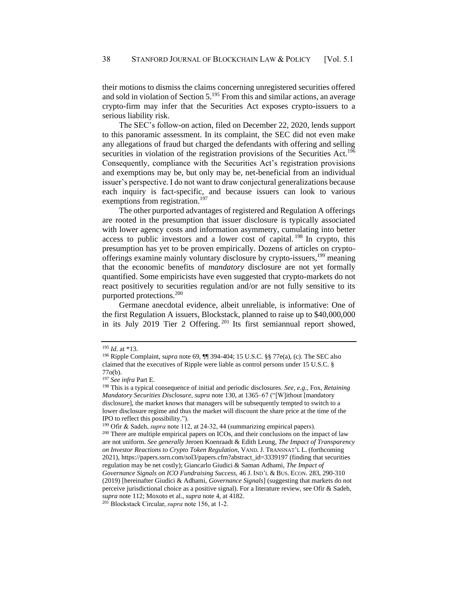their motions to dismiss the claims concerning unregistered securities offered and sold in violation of Section  $5^{195}$  From this and similar actions, an average crypto-firm may infer that the Securities Act exposes crypto-issuers to a serious liability risk.

The SEC's follow-on action, filed on December 22, 2020, lends support to this panoramic assessment. In its complaint, the SEC did not even make any allegations of fraud but charged the defendants with offering and selling securities in violation of the registration provisions of the Securities Act.<sup>196</sup> Consequently, compliance with the Securities Act's registration provisions and exemptions may be, but only may be, net-beneficial from an individual issuer's perspective. I do not want to draw conjectural generalizations because each inquiry is fact-specific, and because issuers can look to various exemptions from registration.<sup>197</sup>

The other purported advantages of registered and Regulation A offerings are rooted in the presumption that issuer disclosure is typically associated with lower agency costs and information asymmetry, cumulating into better access to public investors and a lower cost of capital. <sup>198</sup> In crypto, this presumption has yet to be proven empirically. Dozens of articles on cryptoofferings examine mainly voluntary disclosure by crypto-issuers,<sup>199</sup> meaning that the economic benefits of *mandatory* disclosure are not yet formally quantified. Some empiricists have even suggested that crypto-markets do not react positively to securities regulation and/or are not fully sensitive to its purported protections.<sup>200</sup>

<span id="page-37-0"></span>Germane anecdotal evidence, albeit unreliable, is informative: One of the first Regulation A issuers, Blockstack, planned to raise up to \$40,000,000 in its July 2019 Tier 2 Offering. <sup>201</sup> Its first semiannual report showed,

<sup>195</sup> *Id*. at \*13.

<sup>196</sup> Ripple Complaint, s*upra* not[e 69,](#page-11-0) ¶¶ 394-404; 15 U.S.C. §§ 77e(a), (c). The SEC also claimed that the executives of Ripple were liable as control persons under 15 U.S.C. § 77o(b).

<sup>197</sup> *See infra* Part E.

<sup>198</sup> This is a typical consequence of initial and periodic disclosures. *See, e.g.,* Fox, *Retaining Mandatory Securities Disclosure, supra* note [130,](#page-24-1) at 1365–67 ("[W]ithout [mandatory disclosure], the market knows that managers will be subsequently tempted to switch to a lower disclosure regime and thus the market will discount the share price at the time of the IPO to reflect this possibility.").

<sup>199</sup> Ofir & Sadeh, *supra* not[e 112,](#page-21-0) at 24-32, 44 (summarizing empirical papers).

<sup>&</sup>lt;sup>200</sup> There are multiple empirical papers on ICOs, and their conclusions on the impact of law are not uniform. *See generally* Jeroen Koenraadt & Edith Leung, *The Impact of Transparency on Investor Reactions to Crypto Token Regulation*, VAND. J. TRANSNAT'L L. (forthcoming 2021), https://papers.ssrn.com/sol3/papers.cfm?abstract\_id=3339197 (finding that securities regulation may be net costly); Giancarlo Giudici & Saman Adhami, *The Impact of Governance Signals on ICO Fundraising Success,* 46 J. IND'L & BUS. ECON. 283, 290-310 (2019) [hereinafter Giudici & Adhami, *Governance Signals*] (suggesting that markets do not perceive jurisdictional choice as a positive signal). For a literature review, see Ofir & Sadeh, *supra* not[e 112;](#page-21-0) Moxoto et al., *supra* note [4,](#page-2-0) at 4182. <sup>201</sup> Blockstack Circular, *supra* not[e 156,](#page-29-0) at 1-2.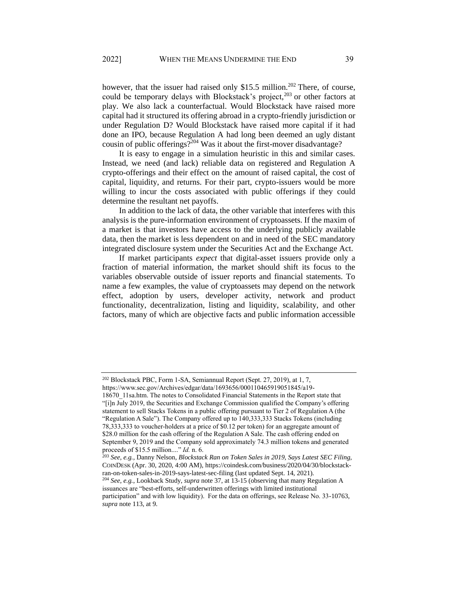however, that the issuer had raised only \$15.5 million.<sup>202</sup> There, of course, could be temporary delays with Blockstack's project, $203$  or other factors at play. We also lack a counterfactual. Would Blockstack have raised more capital had it structured its offering abroad in a crypto-friendly jurisdiction or under Regulation D? Would Blockstack have raised more capital if it had done an IPO, because Regulation A had long been deemed an ugly distant cousin of public offerings?<sup>204</sup> Was it about the first-mover disadvantage?

It is easy to engage in a simulation heuristic in this and similar cases. Instead, we need (and lack) reliable data on registered and Regulation A crypto-offerings and their effect on the amount of raised capital, the cost of capital, liquidity, and returns. For their part, crypto-issuers would be more willing to incur the costs associated with public offerings if they could determine the resultant net payoffs.

In addition to the lack of data, the other variable that interferes with this analysis is the pure-information environment of cryptoassets. If the maxim of a market is that investors have access to the underlying publicly available data, then the market is less dependent on and in need of the SEC mandatory integrated disclosure system under the Securities Act and the Exchange Act.

If market participants *expect* that digital-asset issuers provide only a fraction of material information, the market should shift its focus to the variables observable outside of issuer reports and financial statements. To name a few examples, the value of cryptoassets may depend on the network effect, adoption by users, developer activity, network and product functionality, decentralization, listing and liquidity, scalability, and other factors, many of which are objective facts and public information accessible

<sup>202</sup> Blockstack PBC, Form 1-SA, Semiannual Report (Sept. 27, 2019), at 1, 7, https://www.sec.gov/Archives/edgar/data/1693656/000110465919051845/a19-

<sup>18670</sup>\_11sa.htm. The notes to Consolidated Financial Statements in the Report state that "[i]n July 2019, the Securities and Exchange Commission qualified the Company's offering statement to sell Stacks Tokens in a public offering pursuant to Tier 2 of Regulation A (the "Regulation A Sale"). The Company offered up to 140,333,333 Stacks Tokens (including 78,333,333 to voucher-holders at a price of \$0.12 per token) for an aggregate amount of \$28.0 million for the cash offering of the Regulation A Sale. The cash offering ended on September 9, 2019 and the Company sold approximately 74.3 million tokens and generated proceeds of \$15.5 million...." *Id.* n. 6.

<sup>203</sup> *See, e.g.,* Danny Nelson, *Blockstack Ran on Token Sales in 2019, Says Latest SEC Filing,* COINDESK (Apr. 30, 2020, 4:00 AM), https://coindesk.com/business/2020/04/30/blockstackran-on-token-sales-in-2019-says-latest-sec-filing (last updated Sept. 14, 2021).

<sup>204</sup> *See, e.g.*, Lookback Study, *supra* note [37,](#page-7-1) at 13-15 (observing that many Regulation A issuances are "best-efforts, self-underwritten offerings with limited institutional participation" and with low liquidity). For the data on offerings, see Release No. 33-10763, *supra* not[e 113,](#page-22-1) at 9.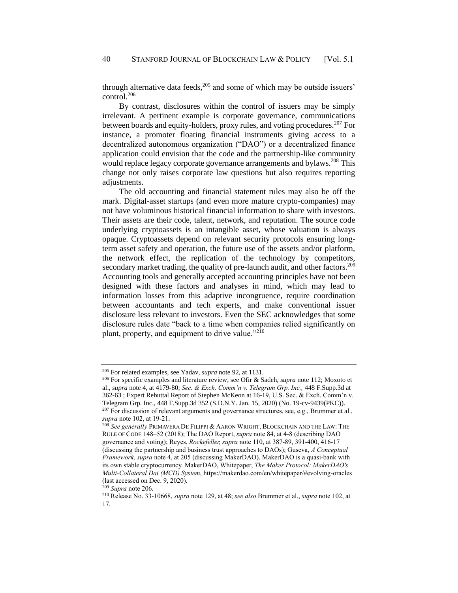through alternative data feeds, $205$  and some of which may be outside issuers' control.<sup>206</sup>

By contrast, disclosures within the control of issuers may be simply irrelevant. A pertinent example is corporate governance, communications between boards and equity-holders, proxy rules, and voting procedures.<sup>207</sup> For instance, a promoter floating financial instruments giving access to a decentralized autonomous organization ("DAO") or a decentralized finance application could envision that the code and the partnership-like community would replace legacy corporate governance arrangements and bylaws.<sup>208</sup> This change not only raises corporate law questions but also requires reporting adjustments.

The old accounting and financial statement rules may also be off the mark. Digital-asset startups (and even more mature crypto-companies) may not have voluminous historical financial information to share with investors. Their assets are their code, talent, network, and reputation. The source code underlying cryptoassets is an intangible asset, whose valuation is always opaque. Cryptoassets depend on relevant security protocols ensuring longterm asset safety and operation, the future use of the assets and/or platform, the network effect, the replication of the technology by competitors, secondary market trading, the quality of pre-launch audit, and other factors.<sup>209</sup> Accounting tools and generally accepted accounting principles have not been designed with these factors and analyses in mind, which may lead to information losses from this adaptive incongruence, require coordination between accountants and tech experts, and make conventional issuer disclosure less relevant to investors. Even the SEC acknowledges that some disclosure rules date "back to a time when companies relied significantly on plant, property, and equipment to drive value."<sup>210</sup>

<sup>205</sup> For related examples, see Yadav, *supra* not[e 92,](#page-18-0) at 1131.

<sup>206</sup> For specific examples and literature review, see Ofir & Sadeh, *supra* not[e 112;](#page-21-0) Moxoto et al., *supra* not[e 4,](#page-2-0) at 4179-80; *Sec. & Exch. Comm'n v. Telegram Grp. Inc.,* 448 F.Supp.3d at 362-63 ; Expert Rebuttal Report of Stephen McKeon at 16-19, U.S. Sec. & Exch. Comm'n v. Telegram Grp. Inc., 448 F.Supp.3d 352 (S.D.N.Y. Jan. 15, 2020) (No. 19-cv-9439(PKC)). <sup>207</sup> For discussion of relevant arguments and governance structures, see, e.g., Brummer et al., *supra* not[e 102,](#page-20-0) at 19-21.

<sup>208</sup> *See generally* PRIMAVERA DE FILIPPI & AARON WRIGHT, BLOCKCHAIN AND THE LAW: THE RULE OF CODE 148–52 (2018); The DAO Report, *supra* note 84, at 4-8 (describing DAO governance and voting); Reyes, *Rockefeller, supra* note [110,](#page-21-2) at 387-89, 391-400, 416-17 (discussing the partnership and business trust approaches to DAOs); Guseva, *A Conceptual Framework, supra* note [4,](#page-2-0) at 205 (discussing MakerDAO). MakerDAO is a quasi-bank with its own stable cryptocurrency. MakerDAO, Whitepaper, *The Maker Protocol: MakerDAO's Multi-Collateral Dai (MCD) System*,<https://makerdao.com/en/whitepaper/#evolving-oracles> (last accessed on Dec. 9, 2020).

<sup>209</sup> *Supra* note 206.

<sup>210</sup> Release No. 33-10668, *supra* not[e 129,](#page-24-0) at 48; *see also* Brummer et al., *supra* note [102,](#page-20-0) at 17.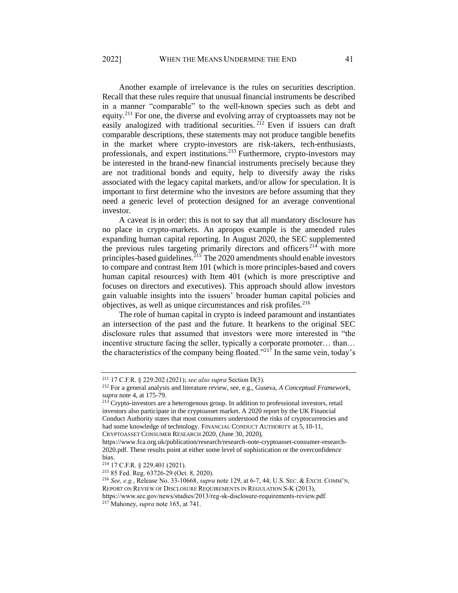<span id="page-40-0"></span>Another example of irrelevance is the rules on securities description. Recall that these rules require that unusual financial instruments be described in a manner "comparable" to the well-known species such as debt and equity.<sup>211</sup> For one, the diverse and evolving array of cryptoassets may not be easily analogized with traditional securities.<sup>212</sup> Even if issuers can draft comparable descriptions, these statements may not produce tangible benefits in the market where crypto-investors are risk-takers, tech-enthusiasts, professionals, and expert institutions.<sup>213</sup> Furthermore, crypto-investors may be interested in the brand-new financial instruments precisely because they are not traditional bonds and equity, help to diversify away the risks associated with the legacy capital markets, and/or allow for speculation. It is important to first determine who the investors are before assuming that they need a generic level of protection designed for an average conventional investor.

A caveat is in order: this is not to say that all mandatory disclosure has no place in crypto-markets. An apropos example is the amended rules expanding human capital reporting. In August 2020, the SEC supplemented the previous rules targeting primarily directors and officers<sup>214</sup> with more principles-based guidelines.  $^{215}$  The 2020 amendments should enable investors to compare and contrast Item 101 (which is more principles-based and covers human capital resources) with Item 401 (which is more prescriptive and focuses on directors and executives). This approach should allow investors gain valuable insights into the issuers' broader human capital policies and objectives, as well as unique circumstances and risk profiles.<sup>216</sup>

The role of human capital in crypto is indeed paramount and instantiates an intersection of the past and the future. It hearkens to the original SEC disclosure rules that assumed that investors were more interested in "the incentive structure facing the seller, typically a corporate promoter… than… the characteristics of the company being floated."<sup>217</sup> In the same vein, today's

<sup>211</sup> 17 C.F.R. § 229.202 (2021); *see also supra* Section D(3).

<sup>212</sup> For a general analysis and literature review, see, e.g., Guseva, *A Conceptual Framework*, *supra* not[e 4,](#page-2-0) at 175-79.

 $213$  Crypto-investors are a heterogenous group. In addition to professional investors, retail investors also participate in the cryptoasset market. A 2020 report by the UK Financial Conduct Authority states that most consumers understood the risks of cryptocurrencies and had some knowledge of technology. FINANCIAL CONDUCT AUTHORITY at 5, 10-11, CRYPTOASSET CONSUMER RESEARCH 2020, (June 30, 2020),

https://www.fca.org.uk/publication/research/research-note-cryptoasset-consumer-research-2020.pdf. These results point at either some level of sophistication or the overconfidence bias.

<sup>214</sup> 17 C.F.R. § 229.401 (2021).

<sup>215</sup> 85 Fed. Reg. 63726-29 (Oct. 8, 2020).

<sup>216</sup> *See, e.g.*, Release No. 33-10668, *supra* note [129,](#page-24-0) at 6-7, 44; U.S. SEC. & EXCH. COMM'N, REPORT ON REVIEW OF DISCLOSURE REQUIREMENTS IN REGULATION S-K (2013),

https://www.sec.gov/news/studies/2013/reg-sk-disclosure-requirements-review.pdf. <sup>217</sup> Mahoney, *supra* note 165, at 741.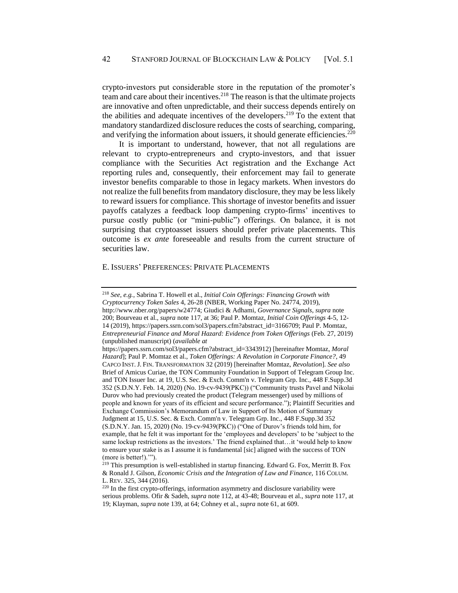<span id="page-41-1"></span><span id="page-41-0"></span>crypto-investors put considerable store in the reputation of the promoter's team and care about their incentives.<sup>218</sup> The reason is that the ultimate projects are innovative and often unpredictable, and their success depends entirely on the abilities and adequate incentives of the developers.<sup>219</sup> To the extent that mandatory standardized disclosure reduces the costs of searching, comparing, and verifying the information about issuers, it should generate efficiencies.<sup>220</sup>

It is important to understand, however, that not all regulations are relevant to crypto-entrepreneurs and crypto-investors, and that issuer compliance with the Securities Act registration and the Exchange Act reporting rules and, consequently, their enforcement may fail to generate investor benefits comparable to those in legacy markets. When investors do not realize the full benefits from mandatory disclosure, they may be less likely to reward issuers for compliance. This shortage of investor benefits and issuer payoffs catalyzes a feedback loop dampening crypto-firms' incentives to pursue costly public (or "mini-public") offerings. On balance, it is not surprising that cryptoasset issuers should prefer private placements. This outcome is *ex ante* foreseeable and results from the current structure of securities law.

### E. ISSUERS' PREFERENCES: PRIVATE PLACEMENTS

<sup>218</sup> *See, e.g.*, Sabrina T. Howell et al., *Initial Coin Offerings: Financing Growth with Cryptocurrency Token Sales* 4, 26-28 (NBER, Working Paper No. 24774, 2019), http://www.nber.org/papers/w24774; Giudici & Adhami, *Governance Signals*, *supra* note [200;](#page-37-0) Bourveau et al., *supra* note 117, at 36; Paul P. Momtaz, *Initial Coin Offerings* 4-5, 12- 14 (2019), https://papers.ssrn.com/sol3/papers.cfm?abstract\_id=3166709; Paul P. Momtaz, *Entrepreneurial Finance and Moral Hazard: Evidence from Token Offerings* (Feb. 27, 2019) (unpublished manuscript) (*available at*

https://papers.ssrn.com/sol3/papers.cfm?abstract\_id=3343912) [hereinafter Momtaz, *Moral Hazard*]; Paul P. Momtaz et al., *Token Offerings: A Revolution in Corporate Finance?*, 49 CAPCO INST. J. FIN. TRANSFORMATION 32 (2019) [hereinafter Momtaz, *Revolution*]. *See also*  Brief of Amicus Curiae, the TON Community Foundation in Support of Telegram Group Inc. and TON Issuer Inc. at 19, U.S. Sec. & Exch. Comm'n v. Telegram Grp. Inc., 448 F.Supp.3d 352 (S.D.N.Y. Feb. 14, 2020) (No. 19-cv-9439(PKC)) ("Community trusts Pavel and Nikolai Durov who had previously created the product (Telegram messenger) used by millions of people and known for years of its efficient and secure performance."); Plaintiff Securities and Exchange Commission's Memorandum of Law in Support of Its Motion of Summary Judgment at 15, U.S. Sec. & Exch. Comm'n v. Telegram Grp. Inc., 448 F.Supp.3d 352 (S.D.N.Y. Jan. 15, 2020) (No. 19-cv-9439(PKC)) ("One of Durov's friends told him, for example, that he felt it was important for the 'employees and developers' to be 'subject to the same lockup restrictions as the investors.' The friend explained that…it 'would help to know to ensure your stake is as I assume it is fundamental [sic] aligned with the success of TON (more is better!)."").

 $^{219}$  This presumption is well-established in startup financing. Edward G. Fox, Merritt B. Fox & Ronald J. Gilson, *Economic Crisis and the Integration of Law and Finance,* 116 COLUM. L. REV. 325, 344 (2016).

 $220$  In the first crypto-offerings, information asymmetry and disclosure variability were serious problems. Ofir & Sadeh, *supra* note [112,](#page-21-0) at 43-48; Bourveau et al., *supra* note [117,](#page-22-2) at 19; Klayman, *supra* not[e 139,](#page-26-0) at 64; Cohney et al., *supra* note [61,](#page-10-0) at 609.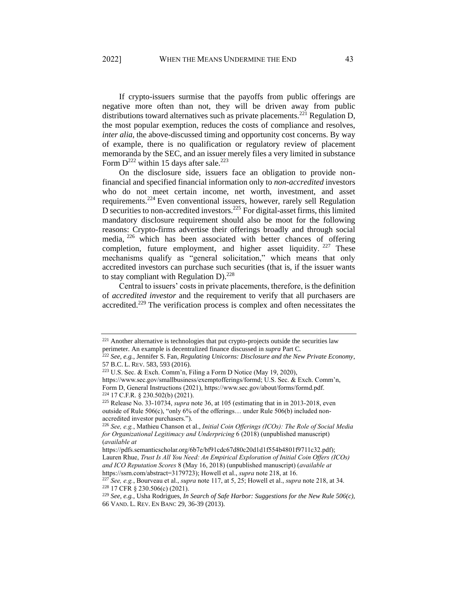If crypto-issuers surmise that the payoffs from public offerings are negative more often than not, they will be driven away from public distributions toward alternatives such as private placements.<sup>221</sup> Regulation D, the most popular exemption, reduces the costs of compliance and resolves, *inter alia,* the above-discussed timing and opportunity cost concerns. By way of example, there is no qualification or regulatory review of placement memoranda by the SEC, and an issuer merely files a very limited in substance Form  $D^{222}$  within 15 days after sale.<sup>223</sup>

On the disclosure side, issuers face an obligation to provide nonfinancial and specified financial information only to *non-accredited* investors who do not meet certain income, net worth, investment, and asset requirements.<sup>224</sup> Even conventional issuers, however, rarely sell Regulation  $D$  securities to non-accredited investors.<sup>225</sup> For digital-asset firms, this limited mandatory disclosure requirement should also be moot for the following reasons: Crypto-firms advertise their offerings broadly and through social media, <sup>226</sup> which has been associated with better chances of offering completion, future employment, and higher asset liquidity.  $227$  These mechanisms qualify as "general solicitation," which means that only accredited investors can purchase such securities (that is, if the issuer wants to stay compliant with Regulation D). $^{228}$ 

Central to issuers' costs in private placements, therefore, is the definition of *accredited investor* and the requirement to verify that all purchasers are accredited.<sup>229</sup> The verification process is complex and often necessitates the

<sup>&</sup>lt;sup>221</sup> Another alternative is technologies that put crypto-projects outside the securities law perimeter. An example is decentralized finance discussed in *supra* Part C*.*

<sup>222</sup> *See, e.g.*, Jennifer S. Fan, *Regulating Unicorns: Disclosure and the New Private Economy*, 57 B.C. L. REV. 583, 593 (2016).

 $223$  U.S. Sec. & Exch. Comm'n, Filing a Form D Notice (May 19, 2020),

[https://www.sec.gov/smallbusiness/exemptofferings/formd;](https://www.sec.gov/smallbusiness/exemptofferings/formd) U.S. Sec. & Exch. Comm'n, Form D, General Instructions (2021)[, https://www.sec.gov/about/forms/formd.pdf.](https://www.sec.gov/about/forms/formd.pdf) <sup>224</sup> 17 C.F.R. § 230.502(b) (2021).

<sup>225</sup> Release No. 33-10734, *supra* not[e 36,](#page-7-2) at 105 (estimating that in in 2013-2018, even outside of Rule 506(c), "only 6% of the offerings… under Rule 506(b) included nonaccredited investor purchasers.").

<sup>226</sup> *See, e.g.*, Mathieu Chanson et al., *Initial Coin Offerings (ICOs): The Role of Social Media for Organizational Legitimacy and Underpricing* 6 (2018) (unpublished manuscript) (*available at* 

https://pdfs.semanticscholar.org/6b7e/bf91cdc67d80c20d1d1f554b4801f9711c32.pdf); Lauren Rhue, *Trust Is All You Need: An Empirical Exploration of Initial Coin Offers (ICOs) and ICO Reputation Scores* 8 (May 16, 2018) (unpublished manuscript) (*available at* [https://ssrn.com/abstract=3179723\)](https://ssrn.com/abstract=3179723); Howell et al., *supra* note [218,](#page-41-0) at 16.

<sup>227</sup> *See, e.g.*, Bourveau et al., *supra* note 117, at 5, 25; Howell et al., *supra* note [218,](#page-41-0) at 34. <sup>228</sup> 17 CFR § 230.506(c) (2021).

<sup>229</sup> *See, e.g.*, Usha Rodrigues, *In Search of Safe Harbor: Suggestions for the New Rule 506(c),* 66 VAND. L. REV. EN BANC 29, 36-39 (2013).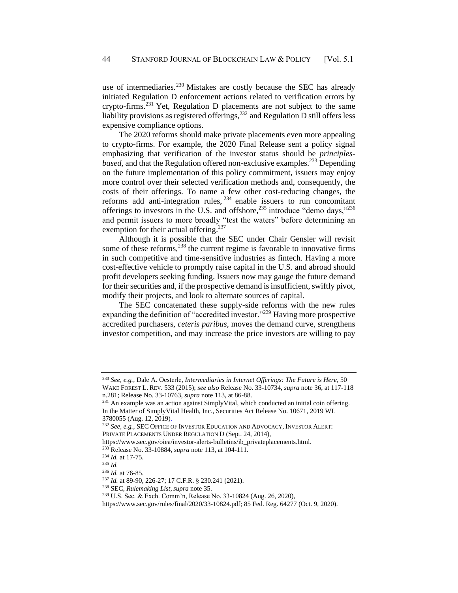use of intermediaries.<sup>230</sup> Mistakes are costly because the SEC has already initiated Regulation D enforcement actions related to verification errors by crypto-firms.<sup>231</sup> Yet, Regulation D placements are not subject to the same liability provisions as registered offerings,  $^{232}$  and Regulation D still offers less expensive compliance options.

The 2020 reforms should make private placements even more appealing to crypto-firms. For example, the 2020 Final Release sent a policy signal emphasizing that verification of the investor status should be *principlesbased*, and that the Regulation offered non-exclusive examples.<sup>233</sup> Depending on the future implementation of this policy commitment, issuers may enjoy more control over their selected verification methods and, consequently, the costs of their offerings. To name a few other cost-reducing changes, the reforms add anti-integration rules,  $234$  enable issuers to run concomitant offerings to investors in the U.S. and offshore,  $^{235}$  introduce "demo days," $^{236}$ and permit issuers to more broadly "test the waters" before determining an exemption for their actual offering.<sup>237</sup>

Although it is possible that the SEC under Chair Gensler will revisit some of these reforms,  $238$  the current regime is favorable to innovative firms in such competitive and time-sensitive industries as fintech. Having a more cost-effective vehicle to promptly raise capital in the U.S. and abroad should profit developers seeking funding. Issuers now may gauge the future demand for their securities and, if the prospective demand is insufficient, swiftly pivot, modify their projects, and look to alternate sources of capital.

The SEC concatenated these supply-side reforms with the new rules expanding the definition of "accredited investor."<sup>239</sup> Having more prospective accredited purchasers, *ceteris paribus,* moves the demand curve, strengthens investor competition, and may increase the price investors are willing to pay

<sup>230</sup> *See, e.g.,* Dale A. Oesterle, *Intermediaries in Internet Offerings: The Future is Here*, 50 WAKE FOREST L. REV. 533 (2015); *see also* Release No. 33-10734, *supra* not[e 36,](#page-7-2) at 117-118 n.281; Release No. 33-10763, *supra* note [113,](#page-22-1) at 86-88.

<sup>231</sup> An example was an action against SimplyVital, which conducted an initial coin offering. In the Matter of SimplyVital Health, Inc., Securities Act Release No. 10671, 2019 WL 3780055 (Aug. 12, 2019).

<sup>232</sup> *See, e.g.*, SEC OFFICE OF INVESTOR EDUCATION AND ADVOCACY, INVESTOR ALERT: PRIVATE PLACEMENTS UNDER REGULATION D (Sept. 24, 2014),

https://www.sec.gov/oiea/investor-alerts-bulletins/ib\_privateplacements.html.

<sup>233</sup> Release No. 33-10884, *supra* note 113, at 104-111.

<sup>234</sup> *Id.* at 17-75.

<sup>235</sup> *Id.*

<sup>236</sup> *Id.* at 76-85.

<sup>237</sup> *Id.* at 89-90, 226-27; 17 C.F.R. § 230.241 (2021).

<sup>238</sup> SEC, *Rulemaking List*, *supra* not[e 35.](#page-6-0)

<sup>239</sup> U.S. Sec. & Exch. Comm'n, Release No. 33-10824 (Aug. 26, 2020),

https://www.sec.gov/rules/final/2020/33-10824.pdf; 85 Fed. Reg. 64277 (Oct. 9, 2020).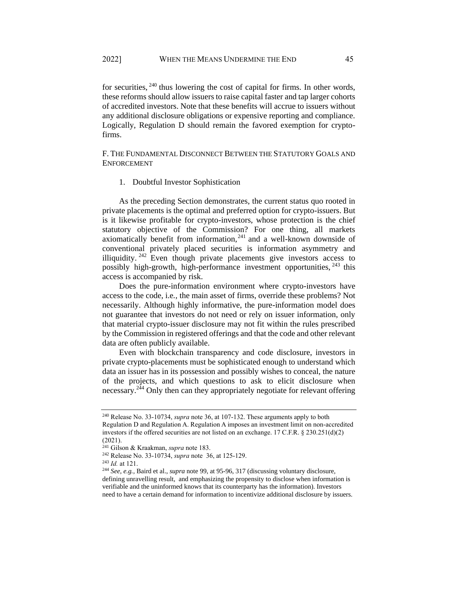for securities, <sup>240</sup> thus lowering the cost of capital for firms. In other words, these reforms should allow issuers to raise capital faster and tap larger cohorts of accredited investors. Note that these benefits will accrue to issuers without any additional disclosure obligations or expensive reporting and compliance. Logically, Regulation D should remain the favored exemption for cryptofirms.

F. THE FUNDAMENTAL DISCONNECT BETWEEN THE STATUTORY GOALS AND **ENFORCEMENT** 

#### 1. Doubtful Investor Sophistication

As the preceding Section demonstrates, the current status quo rooted in private placements is the optimal and preferred option for crypto-issuers. But is it likewise profitable for crypto-investors, whose protection is the chief statutory objective of the Commission? For one thing, all markets axiomatically benefit from information, $241$  and a well-known downside of conventional privately placed securities is information asymmetry and illiquidity. <sup>242</sup> Even though private placements give investors access to possibly high-growth, high-performance investment opportunities, <sup>243</sup> this access is accompanied by risk.

Does the pure-information environment where crypto-investors have access to the code, i.e*.,* the main asset of firms, override these problems? Not necessarily. Although highly informative, the pure-information model does not guarantee that investors do not need or rely on issuer information, only that material crypto-issuer disclosure may not fit within the rules prescribed by the Commission in registered offerings and that the code and other relevant data are often publicly available.

Even with blockchain transparency and code disclosure, investors in private crypto-placements must be sophisticated enough to understand which data an issuer has in its possession and possibly wishes to conceal, the nature of the projects, and which questions to ask to elicit disclosure when necessary.<sup>244</sup> Only then can they appropriately negotiate for relevant offering

<sup>240</sup> Release No. 33-10734, *supra* not[e 36,](#page-7-2) at 107-132. These arguments apply to both Regulation D and Regulation A. Regulation A imposes an investment limit on non-accredited investors if the offered securities are not listed on an exchange. 17 C.F.R.  $\S 230.251(d)(2)$ (2021).

<sup>241</sup> Gilson & Kraakman, *supra* note 183.

<sup>242</sup> Release No. 33-10734, *supra* note [36,](#page-7-2) at 125-129.

<sup>243</sup> *Id.* at 121.

<sup>244</sup> *See, e.g.,* Baird et al., *supra* note 99, at 95-96, 317 (discussing voluntary disclosure, defining unravelling result, and emphasizing the propensity to disclose when information is verifiable and the uninformed knows that its counterparty has the information). Investors need to have a certain demand for information to incentivize additional disclosure by issuers.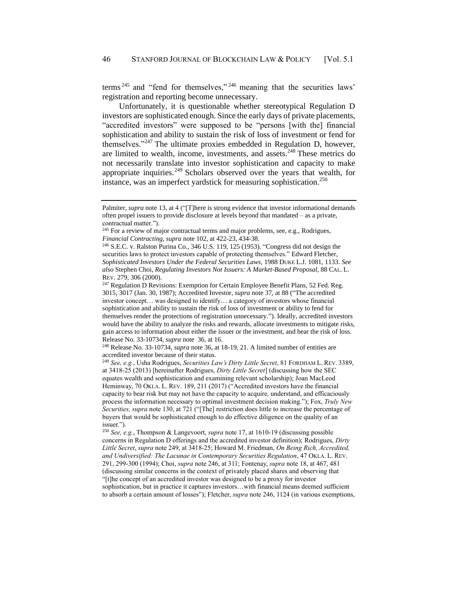<span id="page-45-1"></span>terms<sup>245</sup> and "fend for themselves,"  $246$  meaning that the securities laws' registration and reporting become unnecessary.

Unfortunately, it is questionable whether stereotypical Regulation D investors are sophisticated enough. Since the early days of private placements, "accredited investors" were supposed to be "persons [with the] financial sophistication and ability to sustain the risk of loss of investment or fend for themselves."<sup>247</sup> The ultimate proxies embedded in Regulation D, however, are limited to wealth, income, investments, and assets.<sup>248</sup> These metrics do not necessarily translate into investor sophistication and capacity to make appropriate inquiries.<sup>249</sup> Scholars observed over the years that wealth, for instance, was an imperfect vardstick for measuring sophistication.<sup>250</sup>

<span id="page-45-0"></span>Palmiter, *supra* not[e 13,](#page-4-2) at 4 ("[T]here is strong evidence that investor informational demands often propel issuers to provide disclosure at levels beyond that mandated – as a private, contractual matter.").

<sup>&</sup>lt;sup>245</sup> For a review of major contractual terms and major problems, see, e.g., Rodrigues, *Financial Contracting, supra* note 102, at 422-23, 434-38.

<sup>246</sup> S.E.C. v. Ralston Purina Co*.*, 346 U.S. 119, 125 (1953). "Congress did not design the securities laws to protect investors capable of protecting themselves." Edward Fletcher, *Sophisticated Investors Under the Federal Securities Laws,* 1988 DUKE L.J. 1081, 1133. *See also* Stephen Choi, *Regulating Investors Not Issuers: A Market-Based Proposal*, 88 CAL. L. REV. 279, 306 (2000).

<sup>&</sup>lt;sup>247</sup> Regulation D Revisions: Exemption for Certain Employee Benefit Plans, 52 Fed. Reg. 3015, 3017 (Jan. 30, 1987); Accredited Investor, *supra* not[e 37,](#page-7-1) at 88 ("The accredited investor concept… was designed to identify… a category of investors whose financial sophistication and ability to sustain the risk of loss of investment or ability to fend for themselves render the protections of registration unnecessary."). Ideally, accredited investors would have the ability to analyze the risks and rewards, allocate investments to mitigate risks, gain access to information about either the issuer or the investment, and bear the risk of loss. Release No. 33-10734, *supra* note [36,](#page-7-2) at 16.

<sup>248</sup> Release No. 33-10734, *supra* not[e 36,](#page-7-2) at 18-19, 21. A limited number of entities are accredited investor because of their status.

<sup>249</sup> *See, e.g.*, Usha Rodrigues, *Securities Law's Dirty Little Secret*, 81 FORDHAM L. REV. 3389, at 3418-25 (2013) [hereinafter Rodrigues, *Dirty Little Secret*] (discussing how the SEC equates wealth and sophistication and examining relevant scholarship); Joan MacLeod Heminway, 70 OKLA. L. REV. 189, 211 (2017) ("Accredited investors have the financial capacity to bear risk but may not have the capacity to acquire, understand, and efficaciously process the information necessary to optimal investment decision making."); Fox, *Truly New Securities, supra* not[e 130,](#page-24-1) at 721 ("[The] restriction does little to increase the percentage of buyers that would be sophisticated enough to do effective diligence on the quality of an issuer.").

<sup>250</sup> *See, e.g.*, Thompson & Langevoort, *supra* note [17,](#page-4-0) at 1610-19 (discussing possible concerns in Regulation D offerings and the accredited investor definition); Rodrigues, *Dirty Little Secret*, *supra* note [249,](#page-45-0) at 3418-25; Howard M. Friedman, *On Being Rich, Accredited, and Undiversified: The Lacunae in Contemporary Securities Regulation*, 47 OKLA. L. REV. 291, 299-300 (1994); Choi, *supra* not[e 246,](#page-45-1) at 311; Fontenay, *supra* note [18,](#page-5-1) at 467, 481 (discussing similar concerns in the context of privately placed shares and observing that "[t]he concept of an accredited investor was designed to be a proxy for investor sophistication, but in practice it captures investors…with financial means deemed sufficient to absorb a certain amount of losses"); Fletcher, *supra* not[e 246,](#page-45-1) 1124 (in various exemptions,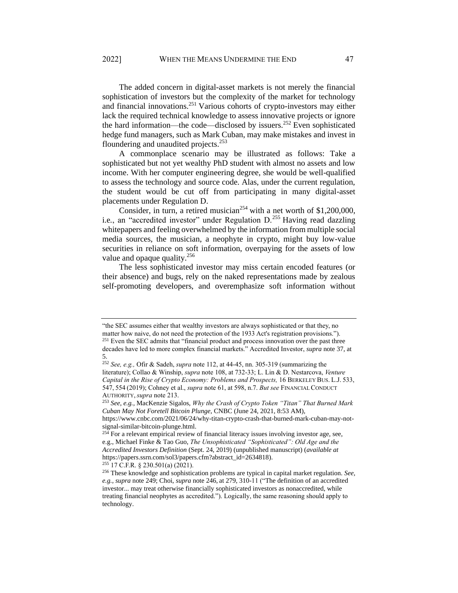The added concern in digital-asset markets is not merely the financial sophistication of investors but the complexity of the market for technology and financial innovations.<sup>251</sup> Various cohorts of crypto-investors may either lack the required technical knowledge to assess innovative projects or ignore the hard information—the code—disclosed by issuers.<sup>252</sup> Even sophisticated hedge fund managers, such as Mark Cuban, may make mistakes and invest in floundering and unaudited projects.<sup>253</sup>

A commonplace scenario may be illustrated as follows: Take a sophisticated but not yet wealthy PhD student with almost no assets and low income. With her computer engineering degree, she would be well-qualified to assess the technology and source code. Alas, under the current regulation, the student would be cut off from participating in many digital-asset placements under Regulation D.

Consider, in turn, a retired musician<sup>254</sup> with a net worth of \$1,200,000, i.e., an "accredited investor" under Regulation D.<sup>255</sup> Having read dazzling whitepapers and feeling overwhelmed by the information from multiple social media sources, the musician, a neophyte in crypto, might buy low-value securities in reliance on soft information, overpaying for the assets of low value and opaque quality. $256$ 

The less sophisticated investor may miss certain encoded features (or their absence) and bugs, rely on the naked representations made by zealous self-promoting developers, and overemphasize soft information without

<sup>&</sup>quot;the SEC assumes either that wealthy investors are always sophisticated or that they, no matter how naive, do not need the protection of the 1933 Act's registration provisions."). <sup>251</sup> Even the SEC admits that "financial product and process innovation over the past three decades have led to more complex financial markets." Accredited Investor, *supra* not[e 37,](#page-7-1) at 5.

<sup>252</sup> *See, e.g.,* Ofir & Sadeh, *supra* note [112,](#page-21-0) at 44-45, nn. 305-319 (summarizing the literature); Collao & Winship, *supra* not[e 108,](#page-21-1) at 732-33; L. Lin & D. Nestarcova, *Venture Capital in the Rise of Crypto Economy: Problems and Prospects,* 16 BERKELEY BUS. L.J. 533, 547, 554 (2019); Cohney et al., *supra* note [61,](#page-10-0) at 598, n.7. *But see* FINANCIAL CONDUCT AUTHORITY, *supra* not[e 213.](#page-40-0)

<sup>253</sup> *See, e.g.,* MacKenzie Sigalos, *Why the Crash of Crypto Token "Titan" That Burned Mark Cuban May Not Foretell Bitcoin Plunge,* CNBC (June 24, 2021, 8:53 AM),

https://www.cnbc.com/2021/06/24/why-titan-crypto-crash-that-burned-mark-cuban-may-notsignal-similar-bitcoin-plunge.html.

 $254$  For a relevant empirical review of financial literacy issues involving investor age, see, e.g., Michael Finke & Tao Guo, *The Unsophisticated "Sophisticated": Old Age and the Accredited Investors Definition* (Sept. 24, 2019) (unpublished manuscript) (*available at*  https://papers.ssrn.com/sol3/papers.cfm?abstract\_id=2634818).  $255$  17 C.F.R. § 230.501(a) (2021).

<sup>256</sup> These knowledge and sophistication problems are typical in capital market regulation. *See, e.g., supra* note 249; Choi, *supra* not[e 246,](#page-45-1) at 279, 310-11 ("The definition of an accredited investor... may treat otherwise financially sophisticated investors as nonaccredited, while treating financial neophytes as accredited."). Logically, the same reasoning should apply to technology.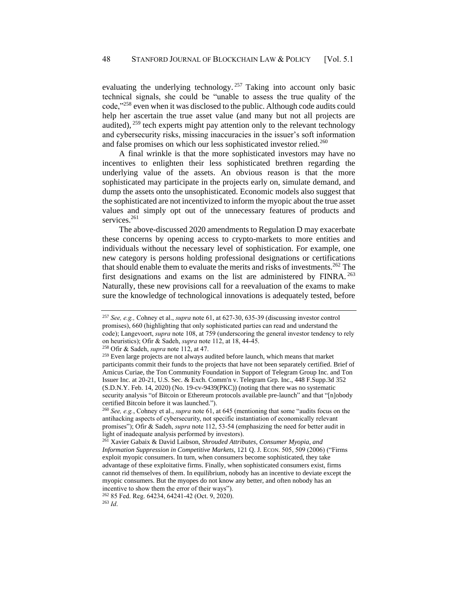evaluating the underlying technology.<sup>257</sup> Taking into account only basic technical signals, she could be "unable to assess the true quality of the code,"<sup>258</sup> even when it was disclosed to the public. Although code audits could help her ascertain the true asset value (and many but not all projects are audited),  $^{259}$  tech experts might pay attention only to the relevant technology and cybersecurity risks, missing inaccuracies in the issuer's soft information and false promises on which our less sophisticated investor relied.<sup>260</sup>

A final wrinkle is that the more sophisticated investors may have no incentives to enlighten their less sophisticated brethren regarding the underlying value of the assets. An obvious reason is that the more sophisticated may participate in the projects early on, simulate demand, and dump the assets onto the unsophisticated. Economic models also suggest that the sophisticated are not incentivized to inform the myopic about the true asset values and simply opt out of the unnecessary features of products and services.<sup>261</sup>

The above-discussed 2020 amendments to Regulation D may exacerbate these concerns by opening access to crypto-markets to more entities and individuals without the necessary level of sophistication. For example, one new category is persons holding professional designations or certifications that should enable them to evaluate the merits and risks of investments.<sup>262</sup> The first designations and exams on the list are administered by FINRA. <sup>263</sup> Naturally, these new provisions call for a reevaluation of the exams to make sure the knowledge of technological innovations is adequately tested, before

<sup>258</sup> Ofir & Sadeh, *supra* not[e 112,](#page-21-0) at 47.

<sup>257</sup> *See, e.g.,* Cohney et al., *supra* not[e 61,](#page-10-0) at 627-30, 635-39 (discussing investor control promises), 660 (highlighting that only sophisticated parties can read and understand the code); Langevoort, *supra* note [108,](#page-21-1) at 759 (underscoring the general investor tendency to rely on heuristics); Ofir & Sadeh, *supra* note [112,](#page-21-0) at 18, 44-45.

<sup>&</sup>lt;sup>259</sup> Even large projects are not always audited before launch, which means that market participants commit their funds to the projects that have not been separately certified. Brief of Amicus Curiae, the Ton Community Foundation in Support of Telegram Group Inc. and Ton Issuer Inc. at 20-21, U.S. Sec. & Exch. Comm'n v. Telegram Grp. Inc., 448 F.Supp.3d 352 (S.D.N.Y. Feb. 14, 2020) (No. 19-cv-9439(PKC)) (noting that there was no systematic security analysis "of Bitcoin or Ethereum protocols available pre-launch" and that "[n]obody certified Bitcoin before it was launched.").

<sup>260</sup> *See, e.g.*, Cohney et al., *supra* not[e 61,](#page-10-0) at 645 (mentioning that some "audits focus on the antihacking aspects of cybersecurity, not specific instantiation of economically relevant promises"); Ofir & Sadeh, *supra* not[e 112,](#page-21-0) 53-54 (emphasizing the need for better audit in light of inadequate analysis performed by investors).

<sup>261</sup> Xavier Gabaix & David Laibson, *Shrouded Attributes, Consumer Myopia, and Information Suppression in Competitive Markets*, 121 Q. J. ECON. 505, 509 (2006) ("Firms exploit myopic consumers. In turn, when consumers become sophisticated, they take advantage of these exploitative firms. Finally, when sophisticated consumers exist, firms cannot rid themselves of them. In equilibrium, nobody has an incentive to deviate except the myopic consumers. But the myopes do not know any better, and often nobody has an incentive to show them the error of their ways").

<sup>262</sup> 85 Fed. Reg. 64234, 64241-42 (Oct. 9, 2020).

<sup>263</sup> *Id*.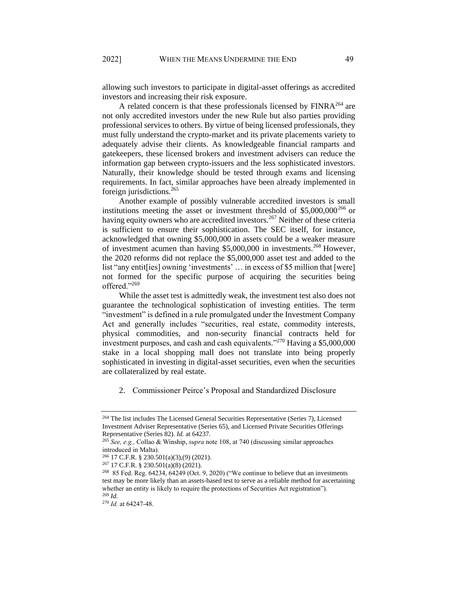allowing such investors to participate in digital-asset offerings as accredited investors and increasing their risk exposure.

A related concern is that these professionals licensed by  $FINRA^{264}$  are not only accredited investors under the new Rule but also parties providing professional services to others. By virtue of being licensed professionals, they must fully understand the crypto-market and its private placements variety to adequately advise their clients. As knowledgeable financial ramparts and gatekeepers, these licensed brokers and investment advisers can reduce the information gap between crypto-issuers and the less sophisticated investors. Naturally, their knowledge should be tested through exams and licensing requirements. In fact, similar approaches have been already implemented in foreign jurisdictions.<sup>265</sup>

Another example of possibly vulnerable accredited investors is small institutions meeting the asset or investment threshold of  $$5,000,000^{266}$  or having equity owners who are accredited investors.<sup>267</sup> Neither of these criteria is sufficient to ensure their sophistication. The SEC itself, for instance, acknowledged that owning \$5,000,000 in assets could be a weaker measure of investment acumen than having  $$5,000,000$  in investments.<sup>268</sup> However, the 2020 reforms did not replace the \$5,000,000 asset test and added to the list "any entit[ies] owning 'investments' ... in excess of \$5 million that [were] not formed for the specific purpose of acquiring the securities being offered."<sup>269</sup>

While the asset test is admittedly weak, the investment test also does not guarantee the technological sophistication of investing entities. The term "investment" is defined in a rule promulgated under the Investment Company Act and generally includes "securities, real estate, commodity interests, physical commodities, and non-security financial contracts held for investment purposes, and cash and cash equivalents."<sup>270</sup> Having a \$5,000,000 stake in a local shopping mall does not translate into being properly sophisticated in investing in digital-asset securities, even when the securities are collateralized by real estate.

2. Commissioner Peirce's Proposal and Standardized Disclosure

<sup>264</sup> The list includes The Licensed General Securities Representative (Series 7), Licensed Investment Adviser Representative (Series 65), and Licensed Private Securities Offerings Representative (Series 82). *Id.* at 64237*.*

<sup>265</sup> *See, e.g.,* Collao & Winship, *supra* note [108,](#page-21-1) at 740 (discussing similar approaches introduced in Malta).

<sup>266</sup> 17 C.F.R. § 230.501(a)(3),(9) (2021).

<sup>267</sup> 17 C.F.R. § 230.501(a)(8) (2021).

<sup>&</sup>lt;sup>268</sup> 85 Fed. Reg. 64234, 64249 (Oct. 9, 2020) ("We continue to believe that an investments test may be more likely than an assets-based test to serve as a reliable method for ascertaining whether an entity is likely to require the protections of Securities Act registration"). <sup>269</sup> *Id.*

<sup>270</sup> *Id.* at 64247-48.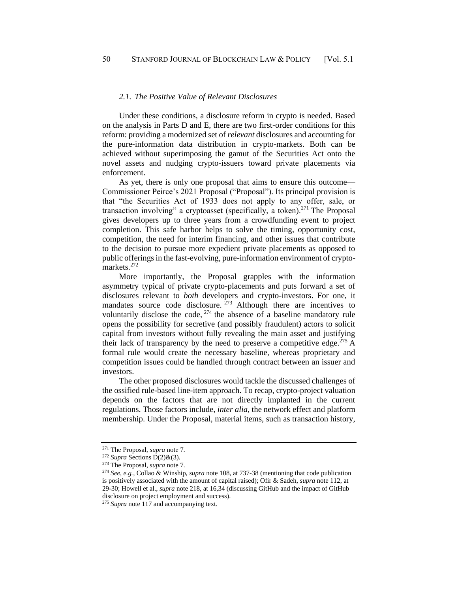#### *2.1. The Positive Value of Relevant Disclosures*

Under these conditions, a disclosure reform in crypto is needed. Based on the analysis in Parts D and E, there are two first-order conditions for this reform: providing a modernized set of *relevant* disclosures and accounting for the pure-information data distribution in crypto-markets. Both can be achieved without superimposing the gamut of the Securities Act onto the novel assets and nudging crypto-issuers toward private placements via enforcement.

As yet, there is only one proposal that aims to ensure this outcome— Commissioner Peirce's 2021 Proposal ("Proposal"). Its principal provision is that "the Securities Act of 1933 does not apply to any offer, sale, or transaction involving" a cryptoasset (specifically, a token).<sup>271</sup> The Proposal gives developers up to three years from a crowdfunding event to project completion. This safe harbor helps to solve the timing, opportunity cost, competition, the need for interim financing, and other issues that contribute to the decision to pursue more expedient private placements as opposed to public offerings in the fast-evolving, pure-information environment of cryptomarkets.<sup>272</sup>

More importantly, the Proposal grapples with the information asymmetry typical of private crypto-placements and puts forward a set of disclosures relevant to *both* developers and crypto-investors. For one, it mandates source code disclosure.<sup>273</sup> Although there are incentives to voluntarily disclose the code,  $274$  the absence of a baseline mandatory rule opens the possibility for secretive (and possibly fraudulent) actors to solicit capital from investors without fully revealing the main asset and justifying their lack of transparency by the need to preserve a competitive edge.<sup>275</sup> A formal rule would create the necessary baseline, whereas proprietary and competition issues could be handled through contract between an issuer and investors.

The other proposed disclosures would tackle the discussed challenges of the ossified rule-based line-item approach. To recap, crypto-project valuation depends on the factors that are not directly implanted in the current regulations. Those factors include, *inter alia,* the network effect and platform membership. Under the Proposal, material items, such as transaction history,

<sup>271</sup> The Proposal, *supra* note [7.](#page-3-0)

<sup>272</sup> *Supra* Sections D(2)&(3).

<sup>273</sup> The Proposal, *supra* note [7.](#page-3-0)

<sup>274</sup> *See, e.g.,* Collao & Winship, *supra* not[e 108,](#page-21-1) at 737-38 (mentioning that code publication is positively associated with the amount of capital raised); Ofir & Sadeh, *supra* not[e 112,](#page-21-0) at 29-30; Howell et al., *supra* note 218, at 16,34 (discussing GitHub and the impact of GitHub disclosure on project employment and success).

<sup>&</sup>lt;sup>275</sup> *Supra* note 117 and accompanying text.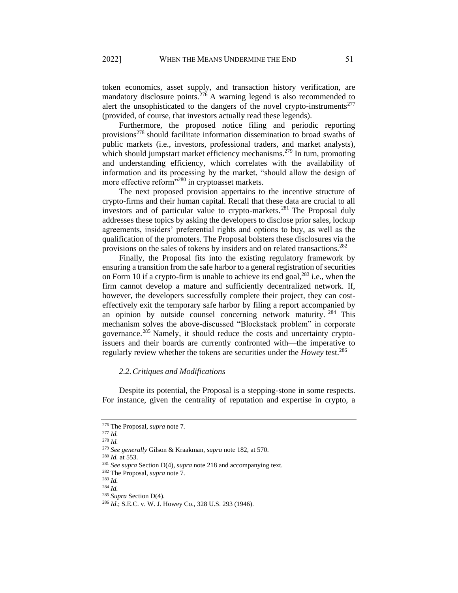token economics, asset supply, and transaction history verification, are mandatory disclosure points.<sup>276</sup> A warning legend is also recommended to alert the unsophisticated to the dangers of the novel crypto-instruments<sup>277</sup> (provided, of course, that investors actually read these legends).

Furthermore, the proposed notice filing and periodic reporting provisions<sup>278</sup> should facilitate information dissemination to broad swaths of public markets (i.e., investors, professional traders, and market analysts), which should jumpstart market efficiency mechanisms.<sup>279</sup> In turn, promoting and understanding efficiency, which correlates with the availability of information and its processing by the market, "should allow the design of more effective reform"<sup>280</sup> in cryptoasset markets.

The next proposed provision appertains to the incentive structure of crypto-firms and their human capital. Recall that these data are crucial to all investors and of particular value to crypto-markets.<sup>281</sup> The Proposal duly addresses these topics by asking the developers to disclose prior sales, lockup agreements, insiders' preferential rights and options to buy, as well as the qualification of the promoters. The Proposal bolsters these disclosures via the provisions on the sales of tokens by insiders and on related transactions.<sup>282</sup>

Finally, the Proposal fits into the existing regulatory framework by ensuring a transition from the safe harbor to a general registration of securities on Form 10 if a crypto-firm is unable to achieve its end goal, $^{283}$  i.e., when the firm cannot develop a mature and sufficiently decentralized network. If, however, the developers successfully complete their project, they can costeffectively exit the temporary safe harbor by filing a report accompanied by an opinion by outside counsel concerning network maturity. <sup>284</sup> This mechanism solves the above-discussed "Blockstack problem" in corporate governance.<sup>285</sup> Namely, it should reduce the costs and uncertainty cryptoissuers and their boards are currently confronted with—the imperative to regularly review whether the tokens are securities under the *Howey* test.<sup>286</sup>

## *2.2.Critiques and Modifications*

Despite its potential, the Proposal is a stepping-stone in some respects. For instance, given the centrality of reputation and expertise in crypto, a

<sup>276</sup> The Proposal, *supra* note [7.](#page-3-0)

<sup>277</sup> *Id.*

<sup>278</sup> *Id.*

<sup>279</sup> *See generally* Gilson & Kraakman, *supra* note [182,](#page-34-0) at 570.

<sup>280</sup> *Id.* at 553.

<sup>281</sup> *See supra* Section D(4), *supra* note 218 and accompanying text.

<sup>282</sup> The Proposal, *supra* note [7.](#page-3-0)

<sup>283</sup> *Id.*

<sup>284</sup> *Id.*

<sup>285</sup> *Supra* Section D(4).

<sup>286</sup> *Id*.; S.E.C. v. W. J. Howey Co.[, 328 U.S. 293](https://supreme.justia.com/cases/federal/us/328/293/index.html) (1946).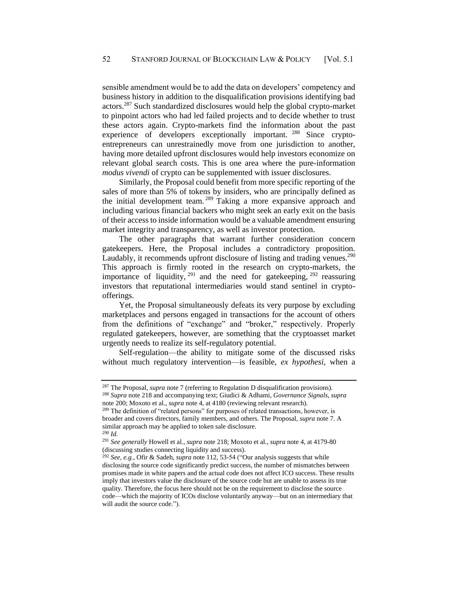sensible amendment would be to add the data on developers' competency and business history in addition to the disqualification provisions identifying bad actors.<sup>287</sup> Such standardized disclosures would help the global crypto-market to pinpoint actors who had led failed projects and to decide whether to trust these actors again. Crypto-markets find the information about the past experience of developers exceptionally important. <sup>288</sup> Since cryptoentrepreneurs can unrestrainedly move from one jurisdiction to another, having more detailed upfront disclosures would help investors economize on relevant global search costs. This is one area where the pure-information *modus vivendi* of crypto can be supplemented with issuer disclosures.

Similarly, the Proposal could benefit from more specific reporting of the sales of more than 5% of tokens by insiders, who are principally defined as the initial development team.<sup>289</sup> Taking a more expansive approach and including various financial backers who might seek an early exit on the basis of their access to inside information would be a valuable amendment ensuring market integrity and transparency, as well as investor protection.

The other paragraphs that warrant further consideration concern gatekeepers. Here, the Proposal includes a contradictory proposition. Laudably, it recommends upfront disclosure of listing and trading venues.<sup>290</sup> This approach is firmly rooted in the research on crypto-markets, the importance of liquidity,  $291$  and the need for gatekeeping,  $292$  reassuring investors that reputational intermediaries would stand sentinel in cryptoofferings.

Yet, the Proposal simultaneously defeats its very purpose by excluding marketplaces and persons engaged in transactions for the account of others from the definitions of "exchange" and "broker," respectively. Properly regulated gatekeepers, however, are something that the cryptoasset market urgently needs to realize its self-regulatory potential.

Self-regulation—the ability to mitigate some of the discussed risks without much regulatory intervention—is feasible, *ex hypothesi,* when a

not[e 200;](#page-37-0) Moxoto et al., *supra* note [4,](#page-2-0) at 4180 (reviewing relevant research).

<sup>287</sup> The Proposal, *supra* note [7](#page-3-0) (referring to Regulation D disqualification provisions). <sup>288</sup> *Supra* not[e 218](#page-41-1) and accompanying text; Giudici & Adhami, *Governance Signals*, *supra*

<sup>&</sup>lt;sup>289</sup> The definition of "related persons" for purposes of related transactions, however, is broader and covers directors, family members, and others. The Proposal, *supra* not[e 7.](#page-3-0) A similar approach may be applied to token sale disclosure. <sup>290</sup> *Id.*

<sup>291</sup> *See generally* Howell et al., *supra* not[e 218;](#page-41-0) Moxoto et al., *supra* note [4,](#page-2-0) at 4179-80 (discussing studies connecting liquidity and success).

<sup>292</sup> *See, e.g.,* Ofir & Sadeh, *supra* note [112,](#page-21-0) 53-54 ("Our analysis suggests that while disclosing the source code significantly predict success, the number of mismatches between promises made in white papers and the actual code does not affect ICO success. These results imply that investors value the disclosure of the source code but are unable to assess its true quality. Therefore, the focus here should not be on the requirement to disclose the source code—which the majority of ICOs disclose voluntarily anyway—but on an intermediary that will audit the source code.").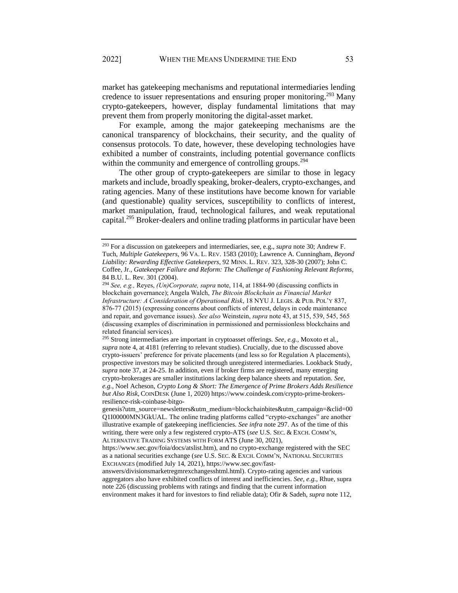<span id="page-52-0"></span>market has gatekeeping mechanisms and reputational intermediaries lending credence to issuer representations and ensuring proper monitoring.<sup>293</sup> Many crypto-gatekeepers, however, display fundamental limitations that may prevent them from properly monitoring the digital-asset market.

For example, among the major gatekeeping mechanisms are the canonical transparency of blockchains, their security, and the quality of consensus protocols. To date, however, these developing technologies have exhibited a number of constraints, including potential governance conflicts within the community and emergence of controlling groups.<sup>294</sup>

The other group of crypto-gatekeepers are similar to those in legacy markets and include, broadly speaking, broker-dealers, crypto-exchanges, and rating agencies. Many of these institutions have become known for variable (and questionable) quality services, susceptibility to conflicts of interest, market manipulation, fraud, technological failures, and weak reputational capital.<sup>295</sup> Broker-dealers and online trading platforms in particular have been

<sup>293</sup> For a discussion on gatekeepers and intermediaries, see, e.g., *supra* note [30;](#page-6-1) Andrew F. Tuch, *Multiple Gatekeepers,* 96 VA. L. REV. 1583 (2010); Lawrence A. Cunningham, *Beyond Liability: Rewarding Effective Gatekeepers*, 92 MINN. L. REV. 323, 328-30 (2007); John C. Coffee, Jr., *Gatekeeper Failure and Reform: The Challenge of Fashioning Relevant Reforms,* 84 B.U. L. Rev. 301 (2004).

<sup>294</sup> *See, e.g.,* Reyes, *(Un)Corporate, supra* note, [114,](#page-22-3) at 1884-90 (discussing conflicts in blockchain governance); Angela Walch, *The Bitcoin Blockchain as Financial Market Infrastructure: A Consideration of Operational Risk*, 18 NYU J. LEGIS. & PUB. POL'Y 837, 876-77 (2015) (expressing concerns about conflicts of interest, delays in code maintenance and repair, and governance issues). *See also* Weinstein, *supra* note [43,](#page-8-1) at 515, 539, 545, 565 (discussing examples of discrimination in permissioned and permissionless blockchains and related financial services).

<sup>295</sup> Strong intermediaries are important in cryptoasset offerings. *See, e.g.,* Moxoto et al., *supra* not[e 4,](#page-2-0) at 4181 (referring to relevant studies). Crucially, due to the discussed above crypto-issuers' preference for private placements (and less so for Regulation A placements), prospective investors may be solicited through unregistered intermediaries. Lookback Study, *supra* not[e 37,](#page-7-1) at 24-25. In addition, even if broker firms are registered, many emerging crypto-brokerages are smaller institutions lacking deep balance sheets and reputation. *See, e.g.,* Noel Acheson, *Crypto Long & Short: The Emergence of Prime Brokers Adds Resilience but Also Risk*, COINDESK (June 1, 2020) https://www.coindesk.com/crypto-prime-brokersresilience-risk-coinbase-bitgo-

genesis?utm\_source=newsletters&utm\_medium=blockchainbites&utm\_campaign=&clid=00 Q1I00000MN3GkUAL. The online trading platforms called "crypto-exchanges" are another illustrative example of gatekeeping inefficiencies. *See infra* note [297.](#page-53-0) As of the time of this writing, there were only a few registered crypto-ATS (*see* U.S. SEC. & EXCH. COMM'N, ALTERNATIVE TRADING SYSTEMS WITH FORM ATS (June 30, 2021),

https://www.sec.gov/foia/docs/atslist.htm), and no crypto-exchange registered with the SEC as a national securities exchange (*see* U.S. SEC. & EXCH. COMM'N, NATIONAL SECURITIES EXCHANGES (modified July 14, 2021), https://www.sec.gov/fast-

answers/divisionsmarketregmrexchangesshtml.html). Crypto-rating agencies and various aggregators also have exhibited conflicts of interest and inefficiencies. *See, e.g.,* Rhue, supra note 226 (discussing problems with ratings and finding that the current information environment makes it hard for investors to find reliable data); Ofir & Sadeh, *supra* note [112,](#page-21-0)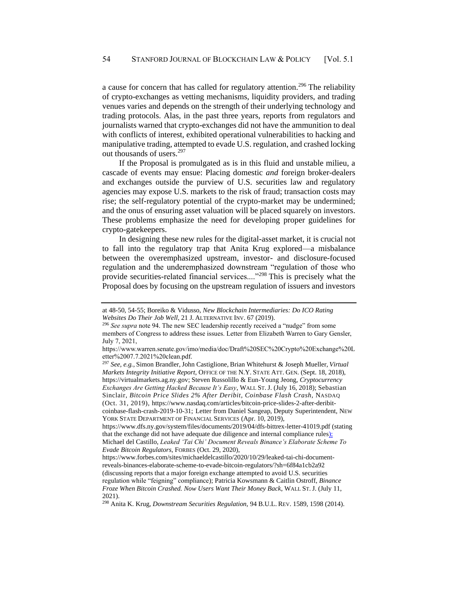a cause for concern that has called for regulatory attention.<sup>296</sup> The reliability of crypto-exchanges as vetting mechanisms, liquidity providers, and trading venues varies and depends on the strength of their underlying technology and trading protocols. Alas, in the past three years, reports from regulators and journalists warned that crypto-exchanges did not have the ammunition to deal with conflicts of interest, exhibited operational vulnerabilities to hacking and manipulative trading, attempted to evade U.S. regulation, and crashed locking out thousands of users.<sup>297</sup>

<span id="page-53-0"></span>If the Proposal is promulgated as is in this fluid and unstable milieu, a cascade of events may ensue: Placing domestic *and* foreign broker-dealers and exchanges outside the purview of U.S. securities law and regulatory agencies may expose U.S. markets to the risk of fraud; transaction costs may rise; the self-regulatory potential of the crypto-market may be undermined; and the onus of ensuring asset valuation will be placed squarely on investors. These problems emphasize the need for developing proper guidelines for crypto-gatekeepers.

In designing these new rules for the digital-asset market, it is crucial not to fall into the regulatory trap that Anita Krug explored—a misbalance between the overemphasized upstream, investor- and disclosure-focused regulation and the underemphasized downstream "regulation of those who provide securities-related financial services...."<sup>298</sup> This is precisely what the Proposal does by focusing on the upstream regulation of issuers and investors

at 48-50, 54-55; Boreiko & Vidusso, *New Blockchain Intermediaries: Do ICO Rating Websites Do Their Job Well*, 21 J. ALTERNATIVE INV. 67 (2019).

<sup>296</sup> *See supra* note 94. The new SEC leadership recently received a "nudge" from some members of Congress to address these issues. Letter from Elizabeth Warren to Gary Gensler, July 7, 2021,

https://www.warren.senate.gov/imo/media/doc/Draft%20SEC%20Crypto%20Exchange%20L etter%2007.7.2021%20clean.pdf.

<sup>297</sup> *See, e.g.,* Simon Brandler, John Castiglione, Brian Whitehurst & Joseph Mueller, *Virtual Markets Integrity Initiative Report*, OFFICE OF THE N.Y. STATE ATT. GEN. (Sept. 18, 2018), https://virtualmarkets.ag.ny.gov; Steven Russolillo & Eun-Young Jeong, *Cryptocurrency Exchanges Are Getting Hacked Because It's Easy*, WALL ST. J. (July 16, 2018); Sebastian Sinclair, *Bitcoin Price Slides 2% After Deribit, Coinbase Flash Crash*, NASDAQ (Oct. 31, 2019), https://www.nasdaq.com/articles/bitcoin-price-slides-2-after-deribitcoinbase-flash-crash-2019-10-31; Letter from Daniel Sangeap, Deputy Superintendent, NEW YORK STATE DEPARTMENT OF FINANCIAL SERVICES (Apr. 10, 2019), https://www.dfs.ny.gov/system/files/documents/2019/04/dfs-bittrex-letter-41019.pdf (stating that the exchange did not have adequate due diligence and internal compliance rules); Michael del Castillo, *Leaked 'Tai Chi' Document Reveals Binance's Elaborate Scheme To Evade Bitcoin Regulators*, FORBES (Oct. 29, 2020),

https://www.forbes.com/sites/michaeldelcastillo/2020/10/29/leaked-tai-chi-documentreveals-binances-elaborate-scheme-to-evade-bitcoin-regulators/?sh=6f84a1cb2a92 (discussing reports that a major foreign exchange attempted to avoid U.S. securities regulation while "feigning" compliance); Patricia Kowsmann & Caitlin Ostroff, *Binance Froze When Bitcoin Crashed. Now Users Want Their Money Back*, WALL ST. J. (July 11, 2021).

<sup>298</sup> Anita K. Krug, *Downstream Securities Regulation,* 94 B.U.L. REV. 1589, 1598 (2014).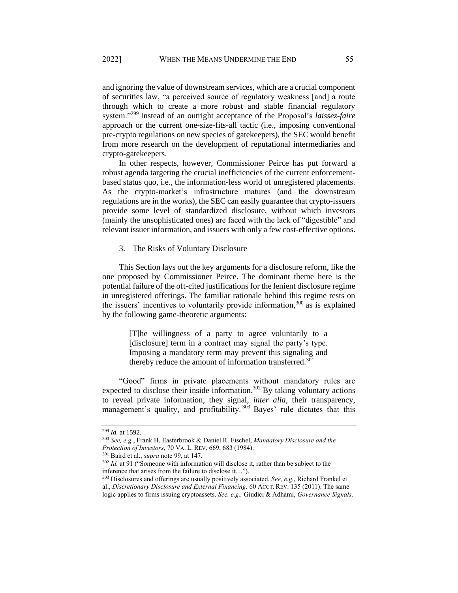and ignoring the value of downstream services, which are a crucial component of securities law, "a perceived source of regulatory weakness [and] a route through which to create a more robust and stable financial regulatory system."<sup>299</sup> Instead of an outright acceptance of the Proposal's *laissez-faire* approach or the current one-size-fits-all tactic (i.e., imposing conventional pre-crypto regulations on new species of gatekeepers), the SEC would benefit from more research on the development of reputational intermediaries and crypto-gatekeepers.

In other respects, however, Commissioner Peirce has put forward a robust agenda targeting the crucial inefficiencies of the current enforcementbased status quo, i.e., the information-less world of unregistered placements. As the crypto-market's infrastructure matures (and the downstream regulations are in the works), the SEC can easily guarantee that crypto-issuers provide some level of standardized disclosure, without which investors (mainly the unsophisticated ones) are faced with the lack of "digestible" and relevant issuer information, and issuers with only a few cost-effective options.

3. The Risks of Voluntary Disclosure

This Section lays out the key arguments for a disclosure reform, like the one proposed by Commissioner Peirce. The dominant theme here is the potential failure of the oft-cited justifications for the lenient disclosure regime in unregistered offerings. The familiar rationale behind this regime rests on the issuers' incentives to voluntarily provide information,  $300$  as is explained by the following game-theoretic arguments:

> [T]he willingness of a party to agree voluntarily to a [disclosure] term in a contract may signal the party's type. Imposing a mandatory term may prevent this signaling and thereby reduce the amount of information transferred.<sup>301</sup>

"Good" firms in private placements without mandatory rules are expected to disclose their inside information.<sup>302</sup> By taking voluntary actions to reveal private information, they signal, *inter alia,* their transparency, management's quality, and profitability.<sup>303</sup> Bayes' rule dictates that this

<sup>299</sup> *Id.* at 1592.

<sup>300</sup> *See, e.g.*, Frank H. Easterbrook & Daniel R. Fischel, *Mandatory Disclosure and the Protection of Investors*, 70 VA. L. REV. 669, 683 (1984).

<sup>301</sup> Baird et al., *supra* note 99, at 147.

<sup>302</sup> *Id.* at 91 ("Someone with information will disclose it, rather than be subject to the inference that arises from the failure to disclose it....").

<sup>303</sup> Disclosures and offerings are usually positively associated. *See, e.g.*, Richard Frankel et al., *Discretionary Disclosure and External Financing,* 60 ACCT. REV. 135 (2011). The same logic applies to firms issuing cryptoassets. *See, e.g.,* Giudici & Adhami, *Governance Signals,*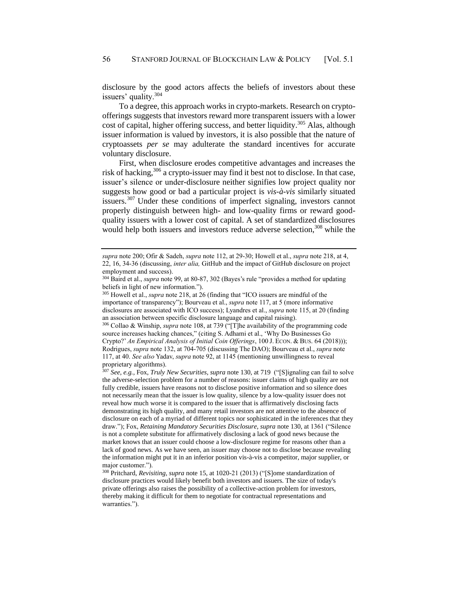disclosure by the good actors affects the beliefs of investors about these issuers' quality.<sup>304</sup>

To a degree, this approach works in crypto-markets. Research on cryptoofferings suggests that investors reward more transparent issuers with a lower cost of capital, higher offering success, and better liquidity.<sup>305</sup> Alas, although issuer information is valued by investors, it is also possible that the nature of cryptoassets *per se* may adulterate the standard incentives for accurate voluntary disclosure.

First, when disclosure erodes competitive advantages and increases the risk of hacking,<sup>306</sup> a crypto-issuer may find it best not to disclose. In that case, issuer's silence or under-disclosure neither signifies low project quality nor suggests how good or bad a particular project is *vis-à-vis* similarly situated issuers.<sup>307</sup> Under these conditions of imperfect signaling, investors cannot properly distinguish between high- and low-quality firms or reward goodquality issuers with a lower cost of capital. A set of standardized disclosures would help both issuers and investors reduce adverse selection,<sup>308</sup> while the

<sup>307</sup> *See, e.g.,* Fox, *Truly New Securities, supra* not[e 130,](#page-24-1) at 719 ("[S]ignaling can fail to solve the adverse-selection problem for a number of reasons: issuer claims of high quality are not fully credible, issuers have reasons not to disclose positive information and so silence does not necessarily mean that the issuer is low quality, silence by a low-quality issuer does not reveal how much worse it is compared to the issuer that is affirmatively disclosing facts demonstrating its high quality, and many retail investors are not attentive to the absence of disclosure on each of a myriad of different topics nor sophisticated in the inferences that they draw."); Fox, *Retaining Mandatory Securities Disclosure, supra* not[e 130,](#page-24-1) at 1361 ("Silence is not a complete substitute for affirmatively disclosing a lack of good news because the market knows that an issuer could choose a low-disclosure regime for reasons other than a lack of good news. As we have seen, an issuer may choose not to disclose because revealing the information might put it in an inferior position vis-à-vis a competitor, major supplier, or major customer.").

*supra* not[e 200;](#page-37-0) Ofir & Sadeh, *supra* note [112,](#page-21-0) at 29-30; Howell et al., *supra* note 218, at 4, 22, 16, 34-36 (discussing, *inter alia,* GitHub and the impact of GitHub disclosure on project employment and success).

<sup>304</sup> Baird et al., *supra* note 99, at 80-87, 302 (Bayes's rule "provides a method for updating beliefs in light of new information.").

<sup>305</sup> Howell et al., *supra* note [218,](#page-41-0) at 26 (finding that "ICO issuers are mindful of the importance of transparency"); Bourveau et al., *supra* note 117, at 5 (more informative disclosures are associated with ICO success); Lyandres et al., *supra* note [115,](#page-22-0) at 20 (finding an association between specific disclosure language and capital raising).

<sup>306</sup> Collao & Winship, *supra* not[e 108,](#page-21-1) at 739 ("[T]he availability of the programming code source increases hacking chances," (citing S. Adhami et al., 'Why Do Businesses Go Crypto?' *An Empirical Analysis of Initial Coin Offerings*, 100 J. ECON. & BUS. 64 (2018))); Rodrigues, *supra* note [132,](#page-25-0) at 704-705 (discussing The DAO); Bourveau et al., *supra* note 117, at 40. *See also* Yadav, *supra* not[e 92,](#page-18-0) at 1145 (mentioning unwillingness to reveal proprietary algorithms).

<sup>308</sup> Pritchard, *Revisiting, supra* not[e 15,](#page-4-1) at 1020-21 (2013) ("[S]ome standardization of disclosure practices would likely benefit both investors and issuers. The size of today's private offerings also raises the possibility of a collective-action problem for investors, thereby making it difficult for them to negotiate for contractual representations and warranties.").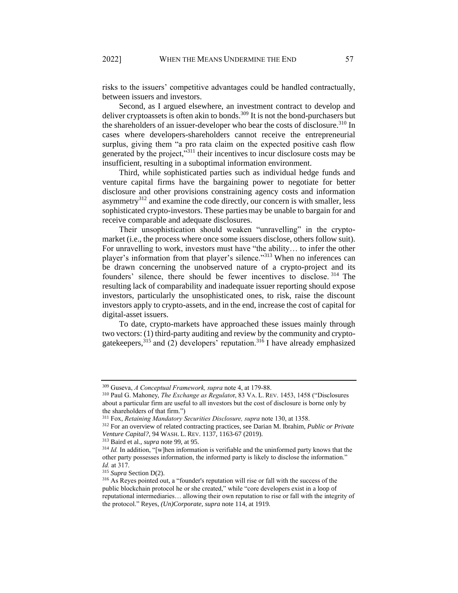risks to the issuers' competitive advantages could be handled contractually, between issuers and investors.

Second, as I argued elsewhere, an investment contract to develop and deliver cryptoassets is often akin to bonds.<sup>309</sup> It is not the bond-purchasers but the shareholders of an issuer-developer who bear the costs of disclosure.<sup>310</sup> In cases where developers-shareholders cannot receive the entrepreneurial surplus, giving them "a pro rata claim on the expected positive cash flow generated by the project,<sup>3311</sup> their incentives to incur disclosure costs may be insufficient, resulting in a suboptimal information environment.

Third, while sophisticated parties such as individual hedge funds and venture capital firms have the bargaining power to negotiate for better disclosure and other provisions constraining agency costs and information asymmetry $312$  and examine the code directly, our concern is with smaller, less sophisticated crypto-investors. These parties may be unable to bargain for and receive comparable and adequate disclosures.

Their unsophistication should weaken "unravelling" in the cryptomarket (i.e., the process where once some issuers disclose, others follow suit). For unravelling to work, investors must have "the ability… to infer the other player's information from that player's silence."<sup>313</sup> When no inferences can be drawn concerning the unobserved nature of a crypto-project and its founders' silence, there should be fewer incentives to disclose. <sup>314</sup> The resulting lack of comparability and inadequate issuer reporting should expose investors, particularly the unsophisticated ones, to risk, raise the discount investors apply to crypto-assets, and in the end, increase the cost of capital for digital-asset issuers.

To date, crypto-markets have approached these issues mainly through two vectors: (1) third-party auditing and review by the community and cryptogatekeepers,<sup>315</sup> and (2) developers' reputation.<sup>316</sup> I have already emphasized

<sup>309</sup> Guseva, *A Conceptual Framework, supra* note [4,](#page-2-0) at 179-88.

<sup>310</sup> Paul G. Mahoney, *The Exchange as Regulato*r, 83 VA. L. REV. 1453, 1458 ("Disclosures about a particular firm are useful to all investors but the cost of disclosure is borne only by the shareholders of that firm.")

<sup>311</sup> Fox, *Retaining Mandatory Securities Disclosure, supra* not[e 130,](#page-24-1) at 1358.

<sup>312</sup> For an overview of related contracting practices, see Darian M. Ibrahim, *Public or Private Venture Capital?*, 94 WASH. L. REV. 1137, 1163-67 (2019).

<sup>313</sup> Baird et al., *supra* note 99, at 95.

<sup>&</sup>lt;sup>314</sup> *Id.* In addition, "[w]hen information is verifiable and the uninformed party knows that the other party possesses information, the informed party is likely to disclose the information." *Id.* at 317.

<sup>315</sup> *Supra* Section D(2).

<sup>316</sup> As Reyes pointed out, a "founder's reputation will rise or fall with the success of the public blockchain protocol he or she created," while "core developers exist in a loop of reputational intermediaries… allowing their own reputation to rise or fall with the integrity of the protocol." Reyes, *(Un)Corporate, supra* not[e 114,](#page-22-3) at 1919.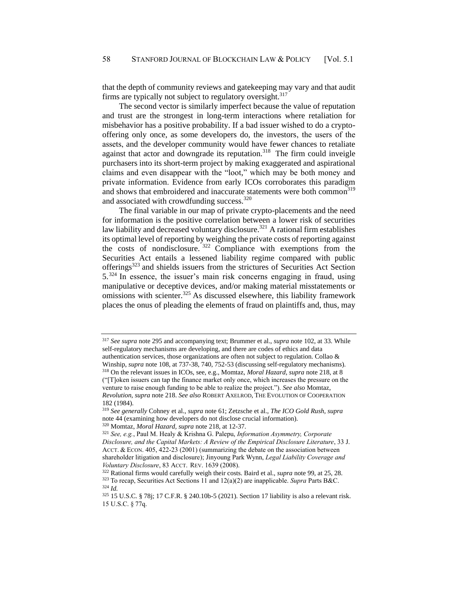that the depth of community reviews and gatekeeping may vary and that audit firms are typically not subject to regulatory oversight.<sup>317</sup>

The second vector is similarly imperfect because the value of reputation and trust are the strongest in long-term interactions where retaliation for misbehavior has a positive probability. If a bad issuer wished to do a cryptooffering only once, as some developers do, the investors, the users of the assets, and the developer community would have fewer chances to retaliate against that actor and downgrade its reputation.<sup>318</sup> The firm could inveigle purchasers into its short-term project by making exaggerated and aspirational claims and even disappear with the "loot," which may be both money and private information. Evidence from early ICOs corroborates this paradigm and shows that embroidered and inaccurate statements were both common<sup>319</sup> and associated with crowdfunding success.<sup>320</sup>

The final variable in our map of private crypto-placements and the need for information is the positive correlation between a lower risk of securities law liability and decreased voluntary disclosure.<sup>321</sup> A rational firm establishes its optimal level of reporting by weighing the private costs of reporting against the costs of nondisclosure. <sup>322</sup> Compliance with exemptions from the Securities Act entails a lessened liability regime compared with public offerings<sup>323</sup> and shields issuers from the strictures of Securities Act Section 5.<sup>324</sup> In essence, the issuer's main risk concerns engaging in fraud, using manipulative or deceptive devices, and/or making material misstatements or omissions with scienter.<sup>325</sup> As discussed elsewhere, this liability framework places the onus of pleading the elements of fraud on plaintiffs and, thus, may

<sup>317</sup> *See supra* note 295 and accompanying text; Brummer et al., *supra* not[e 102,](#page-20-0) at 33. While self-regulatory mechanisms are developing, and there are codes of ethics and data authentication services, those organizations are often not subject to regulation. Collao & Winship, *supra* not[e 108,](#page-21-1) at 737-38, 740, 752-53 (discussing self-regulatory mechanisms). <sup>318</sup> On the relevant issues in ICOs, see, e.g., Momtaz, *Moral Hazard*, *supra* note [218,](#page-41-0) at 8 ("[T]oken issuers can tap the finance market only once, which increases the pressure on the venture to raise enough funding to be able to realize the project."). *See also* Momtaz, *Revolution*, *supra* note [218.](#page-41-0) *See also* ROBERT AXELROD, THE EVOLUTION OF COOPERATION 182 (1984).

<sup>319</sup> *See generally* Cohney et al., *supra* note [61;](#page-10-0) Zetzsche et al., *The ICO Gold Rush, supra*  not[e 44](#page-8-2) (examining how developers do not disclose crucial information).

<sup>320</sup> Momtaz, *Moral Hazard, supra* not[e 218,](#page-41-0) at 12-37.

<sup>321</sup> *See, e.g.*, Paul M. Healy & Krishna G. Palepu, *Information Asymmetry, Corporate Disclosure, and the Capital Markets: A Review of the Empirical Disclosure Literature*, 33 J. ACCT. & ECON. 405, 422-23 (2001) (summarizing the debate on the association between shareholder litigation and disclosure); Jinyoung Park Wynn, *Legal Liability Coverage and Voluntary Disclosure*, 83 ACCT. REV. 1639 (2008).

<sup>322</sup> Rational firms would carefully weigh their costs. Baird et al., *supra* note 99, at 25, 28. <sup>323</sup> To recap, Securities Act Sections 11 and 12(a)(2) are inapplicable. *Supra* Parts B&C. <sup>324</sup> *Id.*

 $325$  15 U.S.C. § 78j; 17 C.F.R. § 240.10b-5 (2021). Section 17 liability is also a relevant risk. 15 U.S.C. § 77q.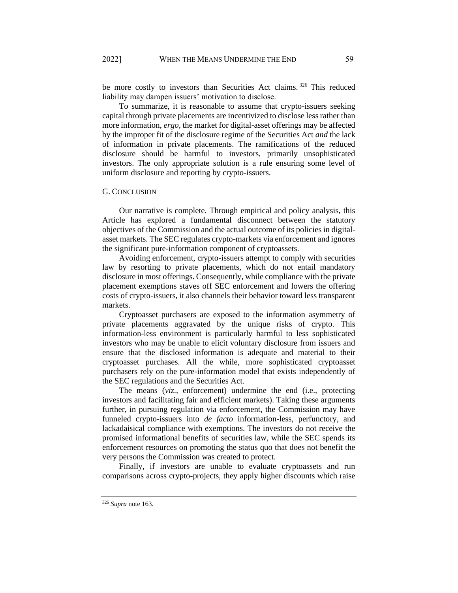be more costly to investors than Securities Act claims.<sup>326</sup> This reduced liability may dampen issuers' motivation to disclose.

To summarize, it is reasonable to assume that crypto-issuers seeking capital through private placements are incentivized to disclose less rather than more information, *ergo,* the market for digital-asset offerings may be affected by the improper fit of the disclosure regime of the Securities Act *and* the lack of information in private placements. The ramifications of the reduced disclosure should be harmful to investors, primarily unsophisticated investors. The only appropriate solution is a rule ensuring some level of uniform disclosure and reporting by crypto-issuers.

#### G. CONCLUSION

Our narrative is complete. Through empirical and policy analysis, this Article has explored a fundamental disconnect between the statutory objectives of the Commission and the actual outcome of its policies in digitalasset markets. The SEC regulates crypto-markets via enforcement and ignores the significant pure-information component of cryptoassets.

Avoiding enforcement, crypto-issuers attempt to comply with securities law by resorting to private placements, which do not entail mandatory disclosure in most offerings. Consequently, while compliance with the private placement exemptions staves off SEC enforcement and lowers the offering costs of crypto-issuers, it also channels their behavior toward less transparent markets.

Cryptoasset purchasers are exposed to the information asymmetry of private placements aggravated by the unique risks of crypto. This information-less environment is particularly harmful to less sophisticated investors who may be unable to elicit voluntary disclosure from issuers and ensure that the disclosed information is adequate and material to their cryptoasset purchases. All the while, more sophisticated cryptoasset purchasers rely on the pure-information model that exists independently of the SEC regulations and the Securities Act.

The means (*viz*., enforcement) undermine the end (i.e., protecting investors and facilitating fair and efficient markets). Taking these arguments further, in pursuing regulation via enforcement, the Commission may have funneled crypto-issuers into *de facto* information-less, perfunctory, and lackadaisical compliance with exemptions. The investors do not receive the promised informational benefits of securities law, while the SEC spends its enforcement resources on promoting the status quo that does not benefit the very persons the Commission was created to protect.

Finally, if investors are unable to evaluate cryptoassets and run comparisons across crypto-projects, they apply higher discounts which raise

<sup>326</sup> *Supra* note 163.